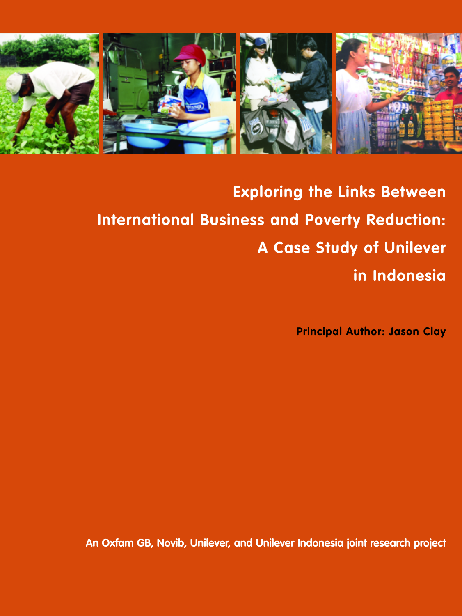

**Exploring the Links Between International Business and Poverty Reduction: A Case Study of Unilever in Indonesia**

**Principal Author: Jason Clay**

**An Oxfam GB, Novib, Unilever, and Unilever Indonesia joint research project**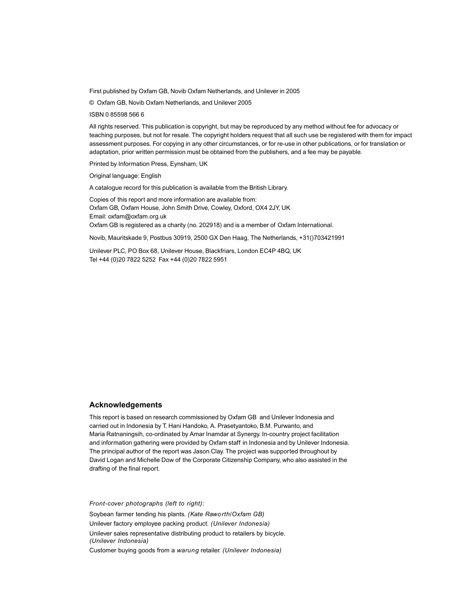First published by Oxfam GB, Novib Oxfam Netherlands, and Unilever in 2005

© Oxfam GB, Novib Oxfam Netherlands, and Unilever 2005

ISBN 0 85598 566 6

All rights reserved. This publication is copyright, but may be reproduced by any method without fee for advocacy or teaching purposes, but not for resale. The copyright holders request that all such use be registered with them for impact assessment purposes. For copying in any other circumstances, or for re-use in other publications, or for translation or adaptation, prior written permission must be obtained from the publishers, and a fee may be payable.

Printed by Information Press, Eynsham, UK

Original language: English

A catalogue record for this publication is available from the British Library.

Copies of this report and more information are available from: Oxfam GB, Oxfam House, John Smith Drive, Cowley, Oxford, OX4 2JY, UK Email: oxfam@oxfam.org.uk Oxfam GB is registered as a charity (no. 202918) and is a member of Oxfam International.

Novib, Mauritskade 9, Postbus 30919, 2500 GX Den Haag, The Netherlands, +31()703421991

Unilever PLC, PO Box 68, Unilever House, Blackfriars, London EC4P 4BQ, UK Tel +44 (0)20 7822 5252 Fax +44 (0)20 7822 5951

#### **Acknowledgements**

This report is based on research commissioned by Oxfam GB and Unilever Indonesia and carried out in Indonesia by T. Hani Handoko, A. Prasetyantoko, B.M. Purwanto, and Maria Ratnaningsih, co-ordinated by Amar Inamdar at Synergy. In-country project facilitation and information gathering were provided by Oxfam staff in Indonesia and by Unilever Indonesia. The principal author of the report was Jason Clay. The project was supported throughout by David Logan and Michelle Dow of the Corporate Citizenship Company, who also assisted in the drafting of the final report.

*Front-cover photographs (left to right):*

Soybean farmer tending his plants. *(Kate Raworth/Oxfam GB)* Unilever factory employee packing product. *(Unilever Indonesia)* Unilever sales representative distributing product to retailers by bicycle. *(Unilever Indonesia)* Customer buying goods from a *warung* retailer. *(Unilever Indonesia)*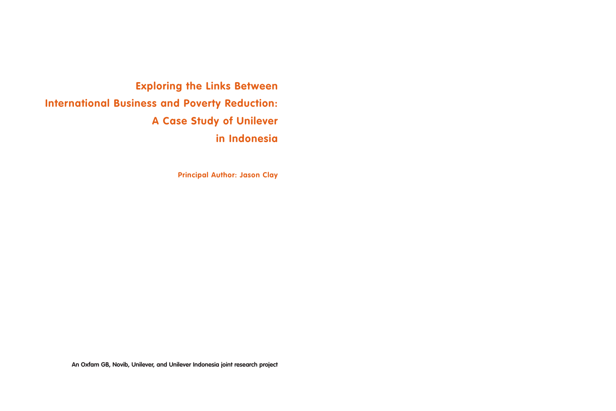**Exploring the Links Between International Business and Poverty Reduction: A Case Study of Unilever in Indonesia**

**Principal Author: Jason Clay**

**An Oxfam GB, Novib, Unilever, and Unilever Indonesia joint research project**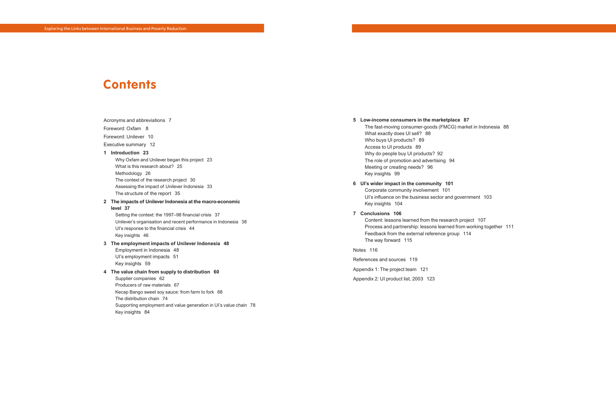#### Acronyms and abbreviations 7

Foreword: Oxfam 8

Foreword: Unilever 10

Executive summary 12

#### **1 Introduction 23**

Why Oxfam and Unilever began this project 23 What is this research about? 25 Methodology 26 The context of the research project 30 Assessing the impact of Unilever Indonesia 33 The structure of the report 35

#### **2 The impacts of Unilever Indonesia at the macro-economic level 37**

Setting the context: the 1997–98 financial crisis 37 Unilever's organisation and recent performance in Indonesia 38 UI's response to the financial crisis 44 Key insights 46

#### **3 The employment impacts of Unilever Indonesia 48**

Employment in Indonesia 48 UI's employment impacts 51 Key insights 59

#### **4 The value chain from supply to distribution 60**

Supplier companies 62 Producers of raw materials 67 Kecap Bango sweet soy sauce: from farm to fork 68 The distribution chain 74 Supporting employment and value generation in UI's value chain 78 Key insights 84

# **Contents**

#### **5 Low-income consumers in the marketplace 87**

The fast-moving consumer-goods (FMCG) market in Indonesia 88 What exactly does UI sell? 88 Who buys UI products? 89 Access to UI products 89 Why do people buy UI products? 92 The role of promotion and advertising 94 Meeting or creating needs? 96 Key insights 99

## **6 UI's wider impact in the community 101**

Corporate community involvement 101 UI's influence on the business sector and government 103 Key insights 104

#### **7 Conclusions 106**

Content: lessons learned from the research project 107 Process and partnership: lessons learned from working together 111 Feedback from the external reference group 114 The way forward 115

#### Notes 116

References and sources 119 Appendix 1: The project team 121

Appendix 2: UI product list, 2003 123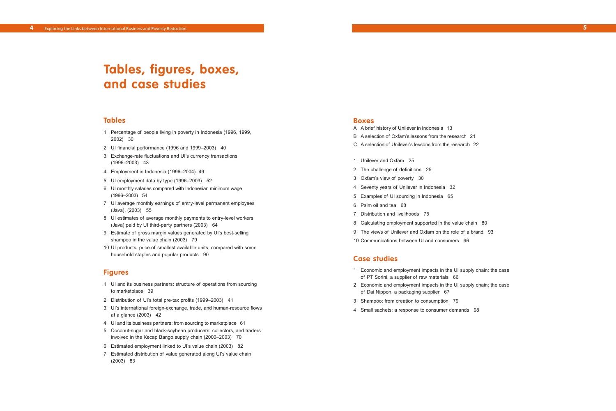## **Tables**

- 1 Percentage of people living in poverty in Indonesia (1996, 1999, 2002) 30
- 2 UI financial performance (1996 and 1999–2003) 40
- 3 Exchange-rate fluctuations and UI's currency transactions (1996–2003) 43
- 4 Employment in Indonesia (1996–2004) 49
- 5 UI employment data by type (1996–2003) 52
- 6 UI monthly salaries compared with Indonesian minimum wage (1996–2003) 54
- 7 UI average monthly earnings of entry-level permanent employees (Java), (2003) 55
- 8 UI estimates of average monthly payments to entry-level workers (Java) paid by UI third-party partners (2003) 64
- 9 Estimate of gross margin values generated by UI's best-selling shampoo in the value chain (2003) 79
- 10 UI products: price of smallest available units, compared with some household staples and popular products 90

### **Figures**

- 1 UI and its business partners: structure of operations from sourcing to marketplace 39
- 2 Distribution of UI's total pre-tax profits (1999–2003) 41
- 3 UI's international foreign-exchange, trade, and human-resource flows at a glance (2003) 42
- 4 UI and its business partners: from sourcing to marketplace 61
- 5 Coconut-sugar and black-soybean producers, collectors, and traders involved in the Kecap Bango supply chain (2000–2003) 70
- 6 Estimated employment linked to UI's value chain (2003) 82
- 7 Estimated distribution of value generated along UI's value chain (2003) 83

# **Tables, figures, boxes, and case studies**

#### **Boxes**

- A A brief history of Unilever in Indonesia 13
- B A selection of Oxfam's lessons from the research 21
- C A selection of Unilever's lessons from the research 22
- 1 Unilever and Oxfam 25
- 2 The challenge of definitions 25
- 3 Oxfam's view of poverty 30
- 4 Seventy years of Unilever in Indonesia 32
- 5 Examples of UI sourcing in Indonesia 65
- 6 Palm oil and tea 68
- 7 Distribution and livelihoods 75
- 8 Calculating employment supported in the value chain 80
- 9 The views of Unilever and Oxfam on the role of a brand 93
- 10 Communications between UI and consumers 96

## **Case studies**

- 1 Economic and employment impacts in the UI supply chain: the case of PT Sorini, a supplier of raw materials 66
- 2 Economic and employment impacts in the UI supply chain: the case of Dai Nippon, a packaging supplier 67
- 3 Shampoo: from creation to consumption 79
- 4 Small sachets: a response to consumer demands 98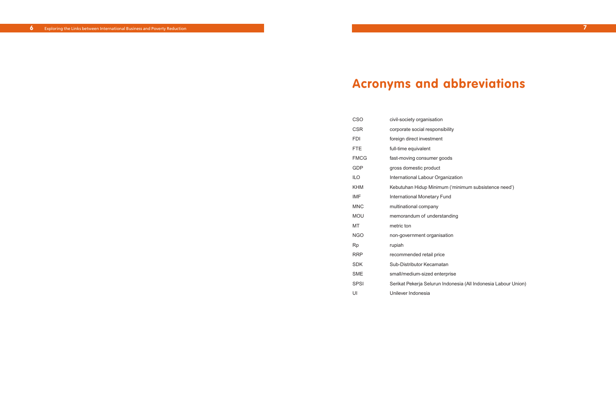| CSO         | civil-society organisation         |
|-------------|------------------------------------|
| <b>CSR</b>  | corporate social responsibility    |
| FDI         | foreign direct investment          |
| <b>FTE</b>  | full-time equivalent               |
| <b>FMCG</b> | fast-moving consumer goods         |
| GDP         | gross domestic product             |
| ILO         | International Labour Organization  |
| <b>KHM</b>  | Kebutuhan Hidup Minimum ('minin    |
| <b>IMF</b>  | <b>International Monetary Fund</b> |
| <b>MNC</b>  | multinational company              |
| MOU         | memorandum of understanding        |
| МT          | metric ton                         |
| NGO         | non-government organisation        |
| Rp          | rupiah                             |
| <b>RRP</b>  | recommended retail price           |
| SDK         | Sub-Distributor Kecamatan          |
| SME         | small/medium-sized enterprise      |
| <b>SPSI</b> | Serikat Pekerja Selurun Indonesia  |
| UI          | Unilever Indonesia                 |

mum subsistence need')

s (All Indonesia Labour Union)

# **Acronyms and abbreviations**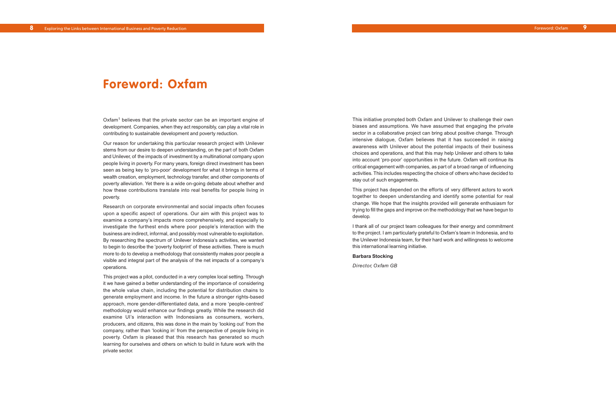This initiative prompted both Oxfam and Unilever to challenge their own biases and assumptions. We have assumed that engaging the private sector in a collaborative project can bring about positive change. Through intensive dialogue, Oxfam believes that it has succeeded in raising awareness with Unilever about the potential impacts of their business choices and operations, and that this may help Unilever and others to take into account 'pro-poor' opportunities in the future. Oxfam will continue its critical engagement with companies, as part of a broad range of influencing activities. This includes respecting the choice of others who have decided to stay out of such engagements.

Oxfam<sup>1</sup> believes that the private sector can be an important engine of development. Companies, when they act responsibly, can play a vital role in contributing to sustainable development and poverty reduction.

> This project has depended on the efforts of very different actors to work together to deepen understanding and identify some potential for real change. We hope that the insights provided will generate enthusiasm for trying to fill the gaps and improve on the methodology that we have begun to develop.

> I thank all of our project team colleagues for their energy and commitment to the project. I am particularly grateful to Oxfam's team in Indonesia, and to the Unilever Indonesia team, for their hard work and willingness to welcome this international learning initiative.

#### **Barbara Stocking**

*Director, Oxfam GB*

Our reason for undertaking this particular research project with Unilever stems from our desire to deepen understanding, on the part of both Oxfam and Unilever, of the impacts of investment by a multinational company upon people living in poverty. For many years, foreign direct investment has been seen as being key to 'pro-poor' development for what it brings in terms of wealth creation, employment, technology transfer, and other components of poverty alleviation. Yet there is a wide on-going debate about whether and how these contributions translate into real benefits for people living in poverty.

Research on corporate environmental and social impacts often focuses upon a specific aspect of operations. Our aim with this project was to examine a company's impacts more comprehensively, and especially to investigate the furthest ends where poor people's interaction with the business are indirect, informal, and possibly most vulnerable to exploitation. By researching the spectrum of Unilever Indonesia's activities, we wanted to begin to describe the 'poverty footprint' of these activities. There is much more to do to develop a methodology that consistently makes poor people a visible and integral part of the analysis of the net impacts of a company's operations.

This project was a pilot, conducted in a very complex local setting. Through it we have gained a better understanding of the importance of considering the whole value chain, including the potential for distribution chains to generate employment and income. In the future a stronger rights-based approach, more gender-differentiated data, and a more 'people-centred' methodology would enhance our findings greatly. While the research did examine UI's interaction with Indonesians as consumers, workers, producers, and citizens, this was done in the main by 'looking out' from the company, rather than 'looking in' from the perspective of people living in poverty. Oxfam is pleased that this research has generated so much learning for ourselves and others on which to build in future work with the private sector.

## **Foreword: Oxfam**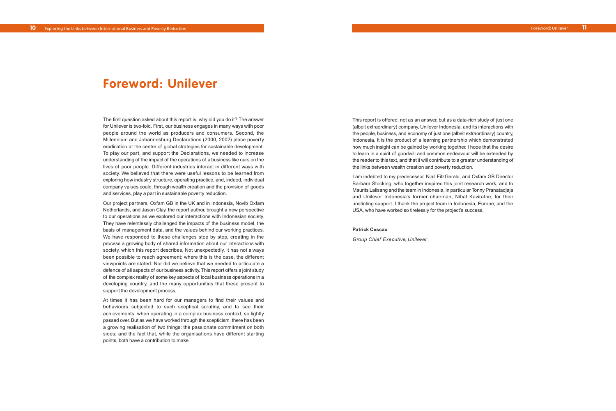The first question asked about this report is: why did you do it? The answer for Unilever is two-fold. First, our business engages in many ways with poor people around the world as producers and consumers. Second, the Millennium and Johannesburg Declarations (2000, 2002) place poverty eradication at the centre of global strategies for sustainable development. To play our part, and support the Declarations, we needed to increase understanding of the impact of the operations of a business like ours on the lives of poor people. Different industries interact in different ways with society. We believed that there were useful lessons to be learned from exploring how industry structure, operating practice, and, indeed, individual company values could, through wealth creation and the provision of goods and services, play a part in sustainable poverty reduction.

Our project partners, Oxfam GB in the UK and in Indonesia, Novib Oxfam Netherlands, and Jason Clay, the report author, brought a new perspective to our operations as we explored our interactions with Indonesian society. They have relentlessly challenged the impacts of the business model, the basis of management data, and the values behind our working practices. We have responded to these challenges step by step, creating in the process a growing body of shared information about our interactions with society, which this report describes. Not unexpectedly, it has not always been possible to reach agreement; where this is the case, the different viewpoints are stated. Nor did we believe that we needed to articulate a defence of all aspects of our business activity. This report offers a joint study of the complex reality of some key aspects of local business operations in a developing country, and the many opportunities that these present to support the development process.

At times it has been hard for our managers to find their values and behaviours subjected to such sceptical scrutiny, and to see their achievements, when operating in a complex business context, so lightly passed over. But as we have worked through the scepticism, there has been a growing realisation of two things: the passionate commitment on both sides; and the fact that, while the organisations have different starting points, both have a contribution to make.

# **Foreword: Unilever**

This report is offered, not as an answer, but as a data-rich study of just one (albeit extraordinary) company, Unilever Indonesia, and its interactions with the people, business, and economy of just one (albeit extraordinary) country, Indonesia. It is the product of a learning partnership which demonstrated how much insight can be gained by working together. I hope that the desire to learn in a spirit of goodwill and common endeavour will be extended by the reader to this text, and that it will contribute to a greater understanding of the links between wealth creation and poverty reduction.

I am indebted to my predecessor, Niall FitzGerald, and Oxfam GB Director Barbara Stocking, who together inspired this joint research work, and to Maurits Lalisang and the team in Indonesia, in particular Tonny Pranatadjaja and Unilever Indonesia's former chairman, Nihal Kaviratne, for their unstinting support. I thank the project team in Indonesia, Europe, and the USA, who have worked so tirelessly for the project's success.

#### **Patrick Cescau**

*Group Chief Executive, Unilever*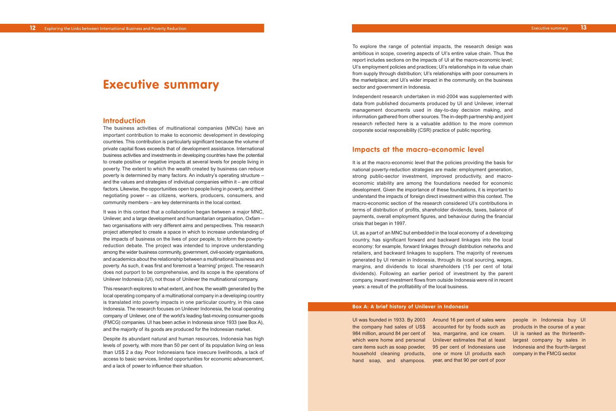### **Introduction**

The business activities of multinational companies (MNCs) have an important contribution to make to economic development in developing countries. This contribution is particularly significant because the volume of private capital flows exceeds that of development assistance. International business activities and investments in developing countries have the potential to create positive or negative impacts at several levels for people living in poverty. The extent to which the wealth created by business can reduce poverty is determined by many factors. An industry's operating structure – and the values and strategies of individual companies within it – are critical factors. Likewise, the opportunities open to people living in poverty, and their negotiating power – as citizens, workers, producers, consumers, and community members – are key determinants in the local context.

It was in this context that a collaboration began between a major MNC, Unilever, and a large development and humanitarian organisation, Oxfam – two organisations with very different aims and perspectives. This research project attempted to create a space in which to increase understanding of the impacts of business on the lives of poor people, to inform the povertyreduction debate. The project was intended to improve understanding among the wider business community, government, civil-society organisations, and academics about the relationship between a multinational business and poverty. As such, it was first and foremost a 'learning' project. The research does not purport to be comprehensive, and its scope is the operations of Unilever Indonesia (UI), not those of Unilever the multinational company.

This research explores to what extent, and how, the wealth generated by the local operating company of a multinational company in a developing country is translated into poverty impacts in one particular country, in this case Indonesia. The research focuses on Unilever Indonesia, the local operating company of Unilever, one of the world's leading fast-moving consumer-goods (FMCG) companies. UI has been active in Indonesia since 1933 (see Box A), and the majority of its goods are produced for the Indonesian market.

Despite its abundant natural and human resources, Indonesia has high levels of poverty, with more than 50 per cent of its population living on less than US\$ 2 a day. Poor Indonesians face insecure livelihoods, a lack of access to basic services, limited opportunities for economic advancement, and a lack of power to influence their situation.

## **Executive summary**

UI was founded in 1933. By 2003 the company had sales of US\$ 984 million, around 84 per cent of which were home and personal care items such as soap powder, household cleaning products, hand soap, and shampoos.

Around 16 per cent of sales were accounted for by foods such as tea, margarine, and ice cream. Unilever estimates that at least 95 per cent of Indonesians use one or more UI products each year, and that 90 per cent of poor

people in Indonesia buy UI products in the course of a year. UI is ranked as the thirteenthlargest company by sales in Indonesia and the fourth-largest company in the FMCG sector.

### **Box A: A brief history of Unilever in Indonesia**

To explore the range of potential impacts, the research design was ambitious in scope, covering aspects of UI's entire value chain. Thus the report includes sections on the impacts of UI at the macro-economic level; UI's employment policies and practices; UI's relationships in its value chain from supply through distribution; UI's relationships with poor consumers in the marketplace; and UI's wider impact in the community, on the business sector and government in Indonesia.

Independent research undertaken in mid-2004 was supplemented with data from published documents produced by UI and Unilever, internal management documents used in day-to-day decision making, and information gathered from other sources. The in-depth partnership and joint research reflected here is a valuable addition to the more common corporate social responsibility (CSR) practice of public reporting.

## **Impacts at the macro-economic level**

It is at the macro-economic level that the policies providing the basis for national poverty-reduction strategies are made: employment generation, strong public-sector investment, improved productivity, and macroeconomic stability are among the foundations needed for economic development. Given the importance of these foundations, it is important to understand the impacts of foreign direct investment within this context. The macro-economic section of the research considered UI's contributions in terms of distribution of profits, shareholder dividends, taxes, balance of payments, overall employment figures, and behaviour during the financial crisis that began in 1997.

UI, as a part of an MNC but embedded in the local economy of a developing country, has significant forward and backward linkages into the local economy: for example, forward linkages through distribution networks and retailers, and backward linkages to suppliers. The majority of revenues generated by UI remain in Indonesia, through its local sourcing, wages, margins, and dividends to local shareholders (15 per cent of total dividends). Following an earlier period of investment by the parent company, inward investment flows from outside Indonesia were nil in recent years: a result of the profitability of the local business.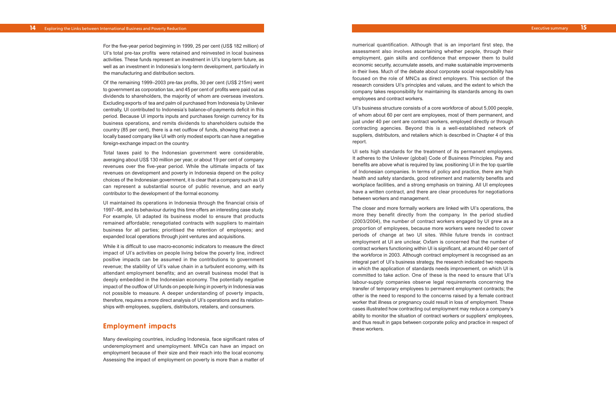numerical quantification. Although that is an important first step, the assessment also involves ascertaining whether people, through their employment, gain skills and confidence that empower them to build economic security, accumulate assets, and make sustainable improvements in their lives. Much of the debate about corporate social responsibility has focused on the role of MNCs as direct employers. This section of the research considers UI's principles and values, and the extent to which the company takes responsibility for maintaining its standards among its own employees and contract workers.

UI's business structure consists of a core workforce of about 5,000 people, of whom about 60 per cent are employees, most of them permanent, and just under 40 per cent are contract workers, employed directly or through contracting agencies. Beyond this is a well-established network of suppliers, distributors, and retailers which is described in Chapter 4 of this report.

UI sets high standards for the treatment of its permanent employees. It adheres to the Unile ver (global) Code of Business Principles . Pay and benefits are above what is required by law, positioning UI in the top quartile of Indonesian companies. In terms of policy and practice, there are high health and safety standards, good retirement and maternity benefits and workplace facilities, and a strong emphasis on training. All UI employees have a written contract, and there are clear procedures for negotiations between workers and management.

The closer and more formally workers are linked with UI's operations, the mor e the y benefit directl y from the compan y. In the period studied (2003/2004), the number of contract workers engaged by UI grew as a proportion of employees, because more workers were needed to cover periods of chang e at two UI sites. While future trends in contract employment at UI are unclear, Oxfam is concerned that the number of contract workers functioning within UI is significant, at around 40 per cent of the workforce in 2003. Although contract employment is recognised as an integral part of UI's business strategy, the research indicated two respects in which the application of standards needs improvement, on which UI is committed to take action. One of these is the need to ensure that UI's labour-supply companies observe legal requirements concerning the transfer of temporary employees to permanent employment contracts; the other is the need to respond to the concerns raised by a female contract worker that illness or pregnancy could result in loss of employment. These cases illustrated how contracting out employment may reduce a company's ability to monitor the situation of contract workers or suppliers' employees, and thus result in gaps between corporate policy and practice in respect of these workers.

For the five-year period beginning in 1999, 25 per cent (US\$ 182 million) of UI's total pre-tax profits were retained and reinvested in local business activities. These funds represent an investment in UI's long-term future, as well as an investment in Indonesia's long-term development, particularly in the manufacturing and distribution sectors.

Of the remaining 1999–2003 pre-tax profits, 30 per cent (US\$ 215m) went to government as corporation tax, and 45 per cent of profits were paid out as dividends to shareholders, the majority of whom are overseas investors. Excluding exports of tea and palm oil purchased from Indonesia by Unilever centrally, UI contributed to Indonesia's balance-of-payments deficit in this period. Because UI imports inputs and purchases foreign currency for its business operations, and remits dividends to shareholders outside the country (85 per cent), there is a net outflow of funds, showing that even a locally based company like UI with only modest exports can have a negative foreign-exchange impact on the country.

Total taxes paid to the Indonesian government were considerable, averaging about US\$ 130 million per year, or about 19 per cent of company revenues over the five-year period. While the ultimate impacts of tax revenues on development and poverty in Indonesia depend on the policy choices of the Indonesian government, it is clear that a company such as UI can r epresent a substantial source of public revenue, and an early contributor to the development of the formal economy.

UI maintained its operations in Indonesia through the financial crisis of 1997–98, and its behaviour during this time offers an interesting case study. For example, UI adapted its business model to ensure that products remained affordable; renegotiated contracts with suppliers to maintain business for all parties; prioritised the retention of employees; and expanded local operations through joint ventures and acquisitions.

While it is difficult to use macro-economic indicators to measure the direct impact of UI's activities on people living below the poverty line, indirect positive impacts can be assumed in the contributions to government revenue; the stability of UI's value chain in a turbulent economy, with its attendant employment benefits; and an overall business model that is deeply embedded in the Indonesian economy. The potentially negative impact of the outflow of UI funds on people living in poverty in Indonesia was not possible to measure. A deeper understanding of poverty impacts, therefore, requires a more direct analysis of UI's operations and its relationships with employees, suppliers, distributors, retailers, and consumers.

## **Employment impacts**

Man y developing countries, including Indonesia, face significant rates of underemployment and unemployment. MNCs can have an impact on employment because of their siz e and their reach into the local economy. Assessing the impact of employment on po verty is more than a matter of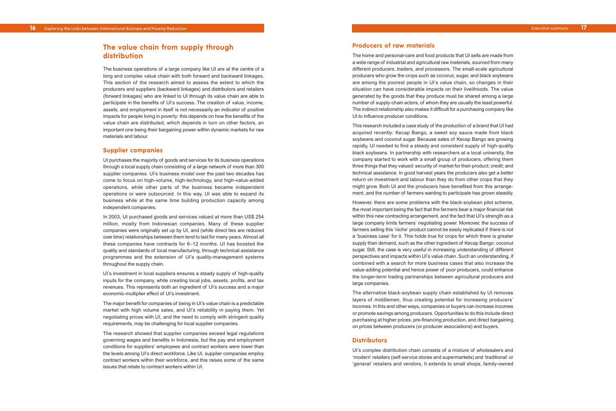#### **Producers of raw materials**

The home and personal-care and food products that UI sells are made from a wide range of industrial and agricultural raw materials, sourced from many different producers, traders, and processors. The small-scale agricultural producers who grow the crops such as coconut, sugar, and black soybeans are among the poorest people in UI's value chain, so changes in their situation can have considerable impacts on their livelihoods. The value generated by the goods that they produce must be shared among a large number of supply-chain actors, of whom they are usually the least powerful. The indirect relationship also makes it difficult for a purchasing company like UI to influence producer conditions.

This research included a case study of the production of a brand that UI had acquired recently: Kecap Bango, a sweet soy sauce made from black soybeans and coconut sugar. Because sales of Kecap Bango are growing rapidly, UI needed to find a steady and consistent supply of high-quality black soybeans. In partnership with researchers at a local university, the compan y started to wor k with a small group of producers, offering them three things that they valued: security of market for their product; credit; and technical assistance. In good harvest years the producers also get a better return on investment and labour than they do from other crops that they might grow. Both UI and the producers have benefited from this arrangement, and the number of farmers wanting to participate has grown steadily.

However, there are some problems with the black-soybean pilot scheme, the most important being the fact that the farmers bear a major financial risk within this ne w contracting arrangement, and the fact that UI's strength as a large company limits farmers' negotiating power. Moreover, the success of farmers selling this 'niche' product cannot be easily replicated if there is not a 'business case' for it. This holds true for crops for which there is greater supply than demand, such as the other ingredient of Kecap Bango: coconut sugar. Still, the case is very useful in increasing understanding of different perspectives and impacts within UI's value chain. Such an understanding, if combined with a search for more business cases that also increase the value-adding potential and hence power of poor producers, could enhance the longer-term trading partnerships between agricultural producers and large companies.

The alternative black-soybean supply chain established by UI removes layers of middlemen, thus creating potential for increasing producers' incomes. In this and other ways, companies or buyers can increase incomes or promote savings among producers. Opportunities to do this include direct purchasing at higher prices, pre-financing production, and direct bargaining on prices between producers (or producer associations) and buyers.

### **Distributors**

UI's complex distribution chain consists of a mixture of wholesalers and 'modern' retailers (self-service stores and supermarkets) and 'traditional' or 'general' retailers and vendors. It extends to small shops, family-owned

## **The value chain from supply through distribution**

The business operations of a large company like UI are at the centre of a long and complex value chain with both forward and backward linkages. This section of the research aimed to assess the extent to which the producers and suppliers (backward linkages) and distributors and retailers (forward linkages) who are linked to UI through its value chain are able to participate in the benefits of UI's success. The creation of value, income, assets, and employment in itself is not necessarily an indicator of positive impacts for people living in poverty: this depends on how the benefits of the value chain are distributed, which depends in turn on other factors, an important one being their bargaining power within dynamic markets for raw materials and labour.

#### **Supplier companies**

UI pur chases the majority of goods and services for its business operations through a local supply chain consisting of a large network of more than 300 supplier companies. UI's business model over the past two decades has come to focus on high-volume, high-technology, and high-value-added oper ations, while other parts of the business became independent operations or were outsourced. In this way, UI was able to expand its business while at the same time building production capacity among independent companies.

In 2003, UI pur chased goods and services valued at more than US\$ 254 million, mostl y from Indonesian companies . Man y of these supplier companies were originally set up by UI, and (while direct ties are reduced over time) relationships between them tend to last for many years. Almost all these companies have contracts for 6–12 months. UI has boosted the quality and standards of local manufacturing, through technical assistance programmes and the extension of UI's quality-management systems throughout the supply chain.

UI's investment in local suppliers ensures a steady supply of high-quality inputs for the company, while creating local jobs, assets, profits, and tax revenues. This represents both an ingredient of UI's success and a major economic-multiplier effect of UI's investment.

The major benefit for companies of being in UI' s value chain is a predictable market with high volume sales, and UI's reliability in paying them. Yet negotiating prices with UI, and the need to comply with stringent quality requirements, may be challenging for local supplier companies.

The research showed that supplier companies exceed legal regulations governing wages and benefits in Indonesia, but the pay and employment conditions for suppliers' employees and contract workers were lower than the levels among UI's direct workforce. Like UI, supplier companies employ contract workers within their workforce, and this raises some of the same issues that relate to contract workers within UI.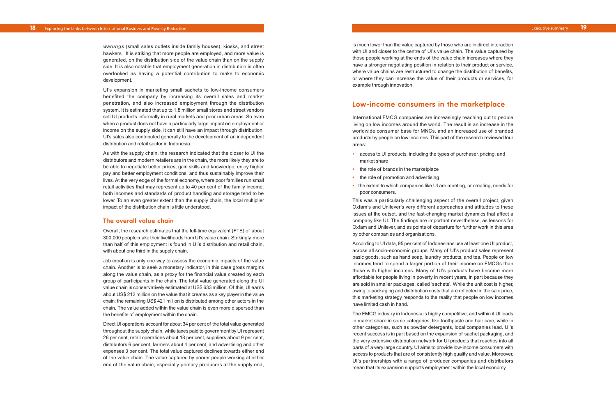is much lower than the value captured by those who are in direct interaction with UI and closer to the centre of UI's value chain. The value captured by those people working at the ends of the value chain increases where they have a stronger negotiating position in relation to their product or service, where value chains are restructured to change the distribution of benefits, or where they can increase the value of their products or services, for example through innovation.

## **Low-income consumers in the marketplace**

International FMCG companies are increasingly reaching out to people living on low incomes around the world. The result is an increase in the worldwide consumer base for MNCs, and an increased use of branded products by people on low incomes. This part of the research reviewed four areas:

- **•** access to UI products, including the types of purchaser, pricing, and market share
- **•** the role of brands in the marketplace
- **•** the role of promotion and advertising
- the extent to which companies like UI are meeting, or creating, needs for poor consumers.

This was a particularly challenging aspect of the overall project, given Oxfam's and Unilever's very different approaches and attitudes to these issues a t the outset, and the fast-changing market dynamics that affect a compan y lik e UI. The findings ar e important nevertheless, as lessons for Oxfam and Unilever, and as points of departure for further work in this area by other companies and organisations.

According to UI data, 95 per cent of Indonesians use at least one UI product, across all socio-economic groups. Many of UI's product sales represent basic goods, such as hand soap, laundry products, and tea. People on low incomes tend to spend a larger portion of their income on FMCGs than those with higher incomes. Many of UI's products have become more affordable for people living in poverty in recent years, in part because they are sold in smaller packages, called 'sachets'. While the unit cost is higher, owing to packaging and distribution costs that are reflected in the sale price, this marketing strategy responds to the reality that people on low incomes have limited cash in hand.

The FMCG industry in Indonesia is highly competitive, and within it UI leads in market share in some categories, like toothpaste and hair care, while in other categories, such as powder detergents, local companies lead. UI's recent success is in part based on the expansion of sachet packaging, and the ver y extensive distribution network for UI products that reaches into all parts of a very large country. UI aims to provide low-income consumers with access to products that are of consistently high quality and value. Moreover, UI' s partnerships with a rang e of producer companies and distributors mean that its expansion supports employment within the local economy.

*warungs* (small sales outlets inside family houses), kiosks, and street hawkers. It is striking that more people are employed, and more value is generated, on the distribution side of the value chain than on the supply side. It is also notable that employment generation in distribution is often overlooked as having a potential contribution to make to economic development.

UI's expansion in marketing small sachets to low-income consumers benefited the company by increasing its overall sales and market penetration, and also increased employment through the distribution system. It is estimated that up to 1.8 million small stores and street vendors sell UI products informally in rural markets and poor urban areas. So even when a product does not have a particularly large impact on employment or income on the supply side, it can still have an impact through distribution. UI's sales also contributed generally to the development of an independent distribution and retail sector in Indonesia.

As with the supply chain, the research indicated that the closer to UI the distributors and modern retailers are in the chain, the more likely they are to be able to negotiate better prices, gain skills and knowledge, enjoy higher pay and better employment conditions, and thus sustainably improve their li ves . At the ver y edge of the formal economy, where poor families run small retail activities that may represent up to 40 per cent of the family income, both incomes and standards of product handling and storage tend to be lower. To an even greater extent than the supply chain, the local multiplier impact of the distribution chain is little understood.

#### **The overall value chain**

Overall, the research estimates that the full-time equivalent (FTE) of about 300,000 people make their livelihoods from UI's value chain. Strikingly, more than half of this employment is found in UI's distribution and retail chain, with about one third in the supply chain.

Job creation is only one way to assess the economic impacts of the value chain. Another is to seek a monetary indicator, in this case gross margins along the value chain, as a proxy for the financial value created by each group of participants in the chain. The total value generated along the UI value chain is conservatively estimated at US\$ 633 million. Of this, UI earns about US\$ 212 million on the value that it creates as a key player in the value chain; the remaining US\$ 421 million is distributed among other actors in the chain. The value added within the value chain is even more dispersed than the benefits of employment within the chain.

Direct UI operations account for about 34 per cent of the total value generated throughout the supply chain, while taxes paid to government by UI represent 26 per cent, retail operations about 18 per cent, suppliers about 9 per cent, distributors 6 per cent, farmers about 4 per cent, and advertising and other expenses 3 per cent. The total value captured declines towards either end of the value chain. The value captured by poorer people working at either end of the value chain, especially primary producers at the supply end,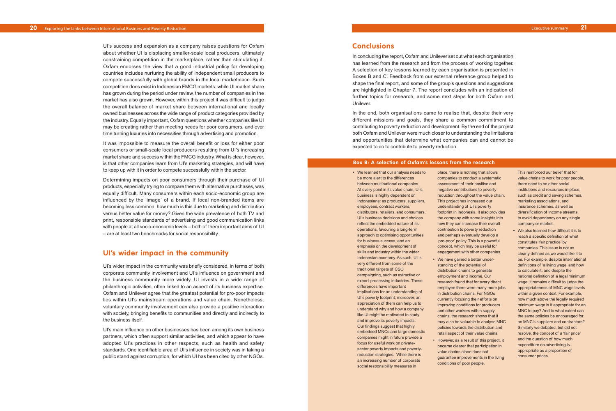## **Conclusions**

In concluding the report, Oxfam and Unilever set out what each organisation has learned from the research and from the process of working together. A selection of key lessons learned by each organisation is presented in Boxes B and C. Feedback from our external reference group helped to shape the final report, and some of the group's questions and suggestions are highlighted in Chapter 7. The report concludes with an indication of further topics for research, and some next steps for both Oxfam and Unilever.

In the end, both organisations came to realise that, despite their very different missions and goals, they share a common commitment to contributing to poverty reduction and development. By the end of the project both Oxfam and Unilever were much closer to understanding the limitations and opportunities that determine what companies can and cannot be expected to do to contribute to poverty reduction.

Executive summary **21**

UI's success and expansion as a company raises questions for Oxfam about whether UI is displacing smaller-scale local producers, ultimately constraining competition in the marketplace, rather than stimulating it. Oxfam endorses the view that a good industrial policy for developing countries includes nurturing the ability of independent small producers to compete successfully with global brands in the local marketplace. Such competition does exist in Indonesian FMCG markets: while UI market share has grown during the period under review, the number of companies in the market has also grown. However, within this project it was difficult to judge the overall balance of market share between international and locally owned businesses across the wide range of product categories provided by the industry. Equally important, Oxfam questions whether companies like UI may be creating rather than meeting needs for poor consumers, and over time turning luxuries into necessities through advertising and promotion.

It was impossible to measure the overall benefit or loss for either poor consumers or small-scale local producers resulting from UI's increasing market share and success within the FMCG industry. What is clear, however, is that other companies learn from UI's marketing strategies, and will have to keep up with it in order to compete successfully within the sector.

Determining impacts on poor consumers through their purchase of UI products, especially trying to compare them with alternative purchases, was equally difficult. Many consumers within each socio-economic group are influenced by the 'image' of a brand. If local non-branded items are becoming less common, how much is this due to marketing and distribution versus better value for money? Given the wide prevalence of both TV and print, responsible standards of advertising and good communication links with people at all socio-economic levels – both of them important aims of UI – are at least two benchmarks for social responsibility.

## **UI's wider impact in the community**

UI's wider impact in the community was briefly considered, in terms of both corporate community involvement and UI's influence on government and the business community more widely. UI invests in a wide range of philanthropic activities, often linked to an aspect of its business expertise. Oxfam and Unilever agree that the greatest potential for pro-poor impacts lies within UI's mainstream operations and value chain. Nonetheless, voluntary community involvement can also provide a positive interaction with society, bringing benefits to communities and directly and indirectly to the business itself.

UI's main influence on other businesses has been among its own business partners, which often support similar activities, and which appear to have adopted UI's practices in other respects, such as health and safety standards. One identifiable area of UI's influence in society was in taking a public stand against corruption, for which UI has been cited by other NGOs.

**•** We learned that our analysis needs to be more alert to the differences between multinational companies. At every point in its value chain, UI's business is highly dependent on Indonesians: as producers, suppliers, employees, contract workers, distributors, retailers, and consumers. UI's business decisions and choices reflect the embedded nature of its operations, favouring a long-term approach to optimising opportunities for business success, and an emphasis on the development of skills and industry within the wider Indonesian economy. As such, UI is very different from some of the traditional targets of CSO campaigning, such as extractive or export-processing industries. These differences have important implications for an understanding of UI's poverty footprint; moreover, an appreciation of them can help us to understand why and how a company like UI might be motivated to study and improve its poverty impacts. Our findings suggest that highly embedded MNCs and large domestic companies might in future provide a focus for useful work on privatesector poverty impacts and povertyreduction strategies. While there is an increasing number of corporate social responsibility measures in

place, there is nothing that allows companies to conduct a systematic assessment of their positive and negative contributions to poverty reduction throughout the value chain. This project has increased our understanding of UI's poverty footprint in Indonesia. It also provides the company with some insights into how they can increase their overall contribution to poverty reduction and perhaps eventually develop a 'pro-poor' policy. This is a powerful concept, which may be useful for engagement with other companies.

research found that for every direct employee there were many more jobs in distribution chains. For NGOs currently focusing their efforts on improving conditions for producers and other workers within supply chains, the research shows that it may also be valuable to analyse MNC policies towards the distribution and retail aspect of their value chains.

- **•** We have gained a better understanding of the potential of distribution chains to generate employment and income. Our
- value chains alone does not conditions of poor people.

• However, as a result of this project, it became clearer that participation in guarantee improvements in the living

This reinforced our belief that for value chains to work for poor people, there need to be other social institutions and resources in place, such as credit and saving schemes, marketing associations, and insurance schemes, as well as diversification of income streams, to avoid dependency on any single company or market.

**•** We also learned how difficult it is to reach a specific definition of what constitutes 'fair practice' by companies. This issue is not as clearly defined as we would like it to be. For example, despite international definitions of 'a living wage' and how to calculate it, and despite the national definition of a legal minimum wage, it remains difficult to judge the appropriateness of MNC wage levels within a given context. For example, how much above the legally required minimum wage is it appropriate for an MNC to pay? And to what extent can the same policies be encouraged for an MNC's suppliers and contractors? Similarly we debated, but did not resolve, the concept of a 'fair price' and the question of how much expenditure on advertising is appropriate as a proportion of consumer prices.

#### **Box B: A selection of Oxfam's lessons from the research**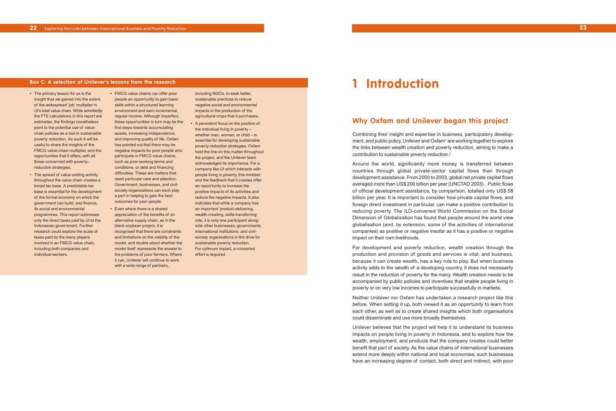## **Why Oxfam and Unilever began this project**

Combining their insight and expertise in business, participatory development, and public policy. Unilever and Oxfam<sup>1</sup> are working together to explore the links between wealth creation and poverty reduction, aiming to make a contribution to sustainable poverty reduction.2

Around the world, significantly more money is transferred between countries through global private-sector capital flows than through development assistance. From 2000 to 2003, global net private capital flows averaged more than US\$ 200 billion per year (UNCTAD 2003). Public flows of official development assistance, by comparison, totalled only US\$ 58 billion per year. It is important to consider how private capital flows, and foreign direct investment in particular, can make a positive contribution to reducing poverty. The ILO-convened World Commission on the Social Dimension of Globalization has found that people around the world view globalisation (and, by extension, some of the activities of international companies) as positive or negative insofar as it has a positive or negative impact on their own livelihoods.

For development and poverty reduction, wealth creation through the production and provision of goods and services is vital; and business, because it can create wealth, has a key role to play. But when business activity adds to the wealth of a developing country, it does not necessarily result in the reduction of poverty for the many. Wealth creation needs to be accompanied by public policies and incentives that enable people living in poverty or on very low incomes to participate successfully in markets.

Neither Unilever nor Oxfam has undertaken a research project like this before. When setting it up, both viewed it as an opportunity to learn from each other, as well as to create shared insights which both organisations could disseminate and use more broadly themselves.

Unilever believes that the project will help it to understand its business impacts on people living in poverty in Indonesia, and to explore how the wealth, employment, and products that the company creates could better benefit that part of society. As the value chains of international businesses extend more deeply within national and local economies, such businesses have an increasing degree of contact, both direct and indirect, with poor

- **•** The primary lesson for us is the insight that we gained into the extent of the widespread 'job' multiplier in UI's total value chain. While admittedly the FTE calculations in this report are estimates, the findings nonetheless point to the potential use of valuechain policies as a tool in sustainable poverty reduction. As such it will be useful to share the insights of the FMCG value-chain multiplier, and the opportunities that it offers, with all those concerned with povertyreduction strategies.
- The spread of value-adding activity throughout the value chain creates a broad tax base. A predictable tax base is essential for the development of the formal economy on which the government can build, and finance, its social and environmental programmes. This report addresses only the direct taxes paid by UI to the Indonesian government. Further research could explore the scale of taxes paid by the many players involved in an FMCG value chain, including both companies and individual workers.
- **•** FMCG value chains can offer poor people an opportunity to gain basic skills within a structured learning environment and earn incremental, regular income. Although imperfect, these opportunities in turn may be the first steps towards accumulating assets, increasing independence, and improving quality of life. Oxfam has pointed out that there may be negative impacts for poor people who participate in FMCG value chains, such as poor working terms and conditions, or debt and financing difficulties. These are matters that need particular care and attention. Government, businesses, and civilsociety organisations can each play a part in helping to gain the best outcomes for poor people.
- **•** Even where there is a shared appreciation of the benefits of an alternative supply chain, as in the black-soybean project, it is recognised that there are constraints and limitations on the viability of the model, and doubts about whether the model itself represents the answer to the problems of poor farmers. Where it can, Unilever will continue to work with a wide range of partners,

including NGOs, to seek better, sustainable practices to reduce negative social and environmental impacts in the production of the agricultural crops that it purchases.

**•** A persistent focus on the position of the individual living in poverty – whether man, woman, or child – is essential for developing sustainable poverty-reduction strategies. Oxfam held the line on this matter throughout the project, and the Unilever team acknowledged its importance. For a company like UI which interacts with people living in poverty, this mindset and the feedback that it creates offer an opportunity to increase the positive impacts of its activities and reduce the negative impacts. It also indicates that while a company has an important 'product-delivering, wealth-creating, skills-transferring' role, it is only one participant alongside other businesses, governments, international institutions, and civilsociety organisations in the drive for sustainable poverty reduction. For optimum impact, a concerted effort is required.

# **Box C: A selection of Unilever's lessons from the research 1 <b>Introduction**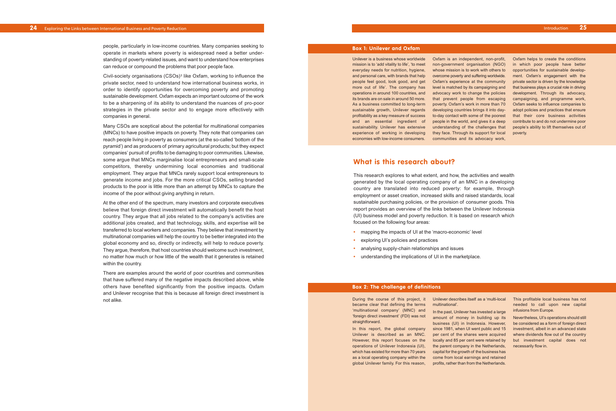## **What is this research about?**

This research explores to what extent, and how, the activities and wealth generated by the local operating company of an MNC in a developing country are translated into reduced poverty: for example, through employment or asset creation, increased skills and raised standards, local sustainable purchasing policies, or the provision of consumer goods. This report provides an overview of the links between the Unilever Indonesia (UI) business model and poverty reduction. It is based on research which focused on the following four areas:

- **•** mapping the impacts of UI at the 'macro-economic' level
- **•** exploring UI's policies and practices
- **•** analysing supply-chain relationships and issues
- **•** understanding the implications of UI in the marketplace.

people, particularly in low-income countries. Many companies seeking to operate in markets where poverty is widespread need a better understanding of poverty-related issues, and want to understand how enterprises can reduce or compound the problems that poor people face.

Civil-society organisations (CSOs)3 like Oxfam, working to influence the private sector, need to understand how international business works, in order to identify opportunities for overcoming poverty and promoting sustainable development. Oxfam expects an important outcome of the work to be a sharpening of its ability to understand the nuances of pro-poor strategies in the private sector and to engage more effectively with companies in general.

Many CSOs are sceptical about the potential for multinational companies (MNCs) to have positive impacts on poverty. They note that companies can reach people living in poverty as consumers (at the so-called 'bottom of the pyramid') and as producers of primary agricultural products; but they expect companies' pursuit of profits to be damaging to poor communities. Likewise, some argue that MNCs marginalise local entrepreneurs and small-scale competitors, thereby undermining local economies and traditional employment. They argue that MNCs rarely support local entrepreneurs to generate income and jobs. For the more critical CSOs, selling branded products to the poor is little more than an attempt by MNCs to capture the income of the poor without giving anything in return.

> During the course of this project, it became clear that defining the terms 'multinational company' (MNC) and 'foreign direct investment' (FDI) was not straightforward.

At the other end of the spectrum, many investors and corporate executives believe that foreign direct investment will automatically benefit the host country. They argue that all jobs related to the company's activities are additional jobs created, and that technology, skills, and expertise will be transferred to local workers and companies. They believe that investment by multinational companies will help the country to be better integrated into the global economy and so, directly or indirectly, will help to reduce poverty. They argue, therefore, that host countries should welcome such investment, no matter how much or how little of the wealth that it generates is retained within the country.

> Unilever is described as an MNC. per cent of the shares were acquired where dividends flow out of the country which has existed for more than 70 years capital for the growth of the business has amount of money in building up its business (UI) in Indonesia. However, be considered as a form of foreign direct since 1981, when UI went public and 15 investment, albeit in an advanced state locally and 85 per cent were retained by but investment capital does not the parent company in the Netherlands, come from local earnings and retained profits, rather than from the Netherlands.

There are examples around the world of poor countries and communities that have suffered many of the negative impacts described above, while others have benefited significantly from the positive impacts. Oxfam and Unilever recognise that this is because all foreign direct investment is not alike.

Unilever is a business whose worldwide mission is to 'add vitality to life', 'to meet everyday needs for nutrition, hygiene, and personal care, with brands that help people feel good, look good, and get more out of life'. The company has operations in around 100 countries, and its brands are on sale in around 50 more. As a business committed to long-term sustainable growth, Unilever regards profitability as a key measure of success and an essential ingredient of sustainability. Unilever has extensive experience of working in developing economies with low-income consumers.

Oxfam is an independent, non-profit, non-government organisation (NGO) whose mission is to work with others to opportunities for sustainable developovercome poverty and suffering worldwide. Oxfam's experience at the community level is matched by its campaigning and advocacy work to change the policies that prevent people from escaping poverty. Oxfam's work in more than 70 Oxfam seeks to influence companies to developing countries brings it into day-adopt policies and practices that ensure to-day contact with some of the poorest that their core business activities people in the world, and gives it a deep understanding of the challenges that they face. Through its support for local communities and its advocacy work,

Oxfam helps to create the conditions in which poor people have better ment. Oxfam's engagement with the private sector is driven by the knowledge that business plays a crucial role in driving development. Through its advocacy, campaigning, and programme work, contribute to and do not undermine poor people's ability to lift themselves out of poverty.

#### **Box 1: Unilever and Oxfam**

In this report, the global company However, this report focuses on the operations of Unilever Indonesia (UI), as a local operating company within the global Unilever family. For this reason,

#### Unilever describes itself as a 'multi-local

multinational'. In the past, Unilever has invested a large This profitable local business has not needed to call upon new capital infusions from Europe.

Nevertheless, UI's operations should still necessarily flow in.

#### **Box 2: The challenge of definitions**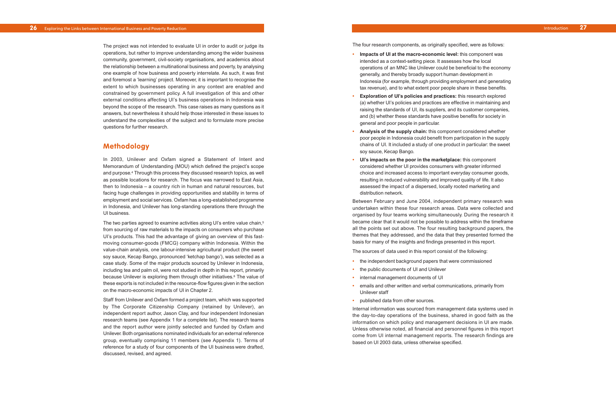The four research components, as originally specified, were as follows:

- **• Impacts of UI at the macro-economic level:** this component was intended as a context-setting piece. It assesses how the local operations of an MNC like Unilever could be beneficial to the economy generally, and thereby broadly support human development in Indonesia (for example, through providing employment and generating tax revenue), and to what extent poor people share in these benefits.
- **• Exploration of UI's policies and practices:** this research explored (a) whether UI's policies and practices are effective in maintaining and raising the standards of UI, its suppliers, and its customer companies, and (b) whether these standards have positive benefits for society in general and poor people in particular.
- **• Analysis of the supply chain:** this component considered whether poor people in Indonesia could benefit from participation in the supply chains of UI. It included a study of one product in particular: the sweet soy sauce, Kecap Bango.
- **• UI' s impacts on the poor in the marketplace:** this component considered whether UI provides consumers with greater informed choice and increased access to important everyday consumer goods, resulting in reduced vulnerability and improved quality of life. It also assessed the impact of a dispersed, locally rooted marketing and distribution network.

Between February and June 2004, independent primary research was undertaken within these four research areas. Data were collected and or ganised b y four teams working simultaneously. During the research it became clear that it would not be possible to address within the timeframe all the points set out above. The four resulting background papers, the themes that they addressed, and the data that they presented formed the basis for man y of the insights and findings presented in this report.

The sources of data used in this report consist of the following:

- **•** the independent background papers that were commissioned
- **•** the public documents of UI and Unilever
- **•** internal management documents of UI
- **•** emails and other written and verbal communications, primarily from Unilever staff
- **•** published data from other sources.

Internal information was sourced from management data systems used in the day-to-day operations of the business, shared in good faith as the information on which policy and management decisions in UI are made. Unless otherwise noted, all financial and personnel figures in this report come from UI internal management reports. The research findings are based on UI 2003 data, unless otherwise specified.

- 
- 

The project was not intended to evaluate UI in order to audit or judge its operations, but rather to improve understanding among the wider business community, government, civil-society organisations, and academics about the relationship between a multinational business and poverty, by analysing one example of how business and poverty interrelate. As such, it was first and foremost a 'learning' project. Moreover, it is important to recognise the extent to which businesses operating in any context are enabled and constrained by government policy. A full investigation of this and other external conditions affecting UI's business operations in Indonesia was beyond the scope of the research. This case raises as many questions as it answers, but nevertheless it should help those interested in these issues to understand the complexities of the subject and to formulate more precise questions for further research.

## **Methodology**

In 2003, Unile ver and Oxfam signed a Statement of Intent and Memorandum of Understanding (MOU) which defined the project's scope and purpose. <sup>4</sup> Through this process they discussed research topics, as well as possible locations for research. The focus was narrowed to East Asia, then to Indonesia – a country rich in human and natural resources, but facing huge challenges in providing opportunities and stability in terms of employment and social services. Oxfam has a long-established programme in Indonesia, and Unilever has long-standing operations there through the UI business .

The two parties agreed to examine activities along UI's entire value chain, 5 from sourcing of raw materials to the impacts on consumers who purchase UI' s products . This had the advantage of giving an overview of this fastmoving consumer-goods (FMCG) company within Indonesia. Within the value-chain analysis, one labour-intensive agricultural product (the sweet soy sauce, Kecap Bango, pronounced 'ketchap bango'), was selected as a case study *.* Some of the major products sourced by Unilever in Indonesia, including tea and palm oil, were not studied in depth in this report, primarily because Unilever is exploring them through other initiatives. <sup>6</sup> The value of these exports is not included in the resource-flow figures given in the section on the macro-economic impacts of UI in Chapter 2.

Staff from Unilever and Oxfam formed a project team, which was supported by The Corporate Citizenship Company (retained by Unilever), an independent report author, Jason Clay, and four independent Indonesian research teams (see Appendix 1 for a complete list). The research teams and the report author were jointly selected and funded by Oxfam and Unilever. Both organisations nominated individuals for an external reference group, eventually comprising 11 members (see Appendix 1). Terms of reference for a study of four components of the UI business were drafted, discussed, revised, and agreed.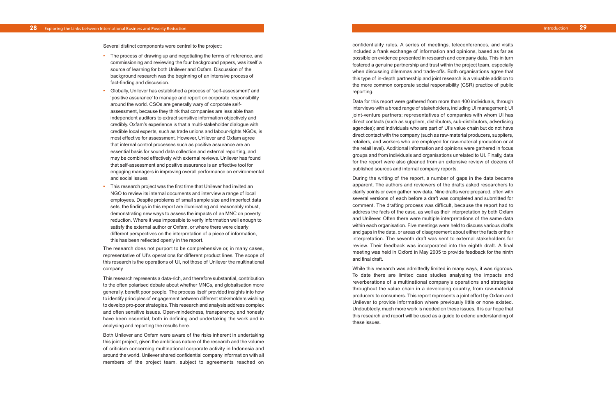confidentiality rules. A series of meetings, teleconferences, and visits included a frank exchange of information and opinions, based as far as possible on evidence presented in research and company data. This in turn fostered a genuine partnership and trust within the project team, especially when discussing dilemmas and trade-offs. Both organisations agree that this type of in-depth partnership and joint research is a valuable addition to the more common corporate social responsibility (CSR) practice of public reporting.

Data for this report were gathered from more than 400 individuals, through interviews with a broad range of stakeholders, including UI management; UI joint-venture partners; representatives of companies with whom UI has direct contacts (such as suppliers, distributors, sub-distributors, advertising agencies); and individuals who are part of UI's value chain but do not have direct contact with the company (such as raw-material producers, suppliers, retailers, and workers who are employed for raw-material production or at the retail level). Additional information and opinions were gathered in focus groups and from individuals and organisations unrelated to UI. Finally, data for the report were also gleaned from an extensive review of dozens of published sources and internal compan y r eports.

During the writing of the report, a number of gaps in the data became apparent. The authors and reviewers of the drafts asked researchers to clarify points or even gather new data. Nine drafts were prepared, often with several versions of each before a draft was completed and submitted for comment. The drafting process was difficult, because the report had to address the facts of the case, as well as their interpretation by both Oxfam and Unile ver. Often ther e were multiple interpretations of the same data within eac h or ganisation. Fi v e meetings were held to discuss various drafts and gaps in the data, or areas of disagreement about either the facts or their interpretation. The seventh draft was sent to external stakeholders for review. Their feedback was incorporated into the eighth draft. A final meeting was held in Oxford in May 2005 to provide feedback for the ninth and final draft.

While this research was admittedly limited in many ways, it was rigorous. To date there are limited case studies analysing the impacts and reverberations of a multinational company's operations and strategies throughout the value chain in a developing country, from raw-material producers to consumers. This report represents a joint effort by Oxfam and Unilever to provide information where previously little or none existed. Undoubtedly, much more work is needed on these issues. It is our hope that this research and report will be used as a guide to extend understanding of these issues .

Several distinct components were central to the project:

- **•** The process of drawing up and negotiating the terms of reference, and commissioning and reviewing the four background papers, was itself a source of learning for both Unilever and Oxfam. Discussion of the background research was the beginning of an intensive process of fact-finding and discussion.
- **•** Globally, Unilever has established a process of 'self-assessment' and 'positive assurance' to manage and report on corporate responsibility around the world. CSOs are generally wary of corporate selfassessment, because they think that companies are less able than independent auditors to extract sensitive information objectively and credibly. Oxfam's experience is that a multi-stakeholder dialogue with credible local experts, such as trade unions and labour-rights NGOs, is most effective for assessment. However, Unilever and Oxfam agree that internal control processes such as positive assurance are an essential basis for sound data collection and external reporting, and may be combined effectively with external reviews. Unilever has found that self-assessment and positive assurance is an effective tool for eng aging managers in improving overall performance on environmental and social issues.
- **•** This resear c h project was the first time that Unilever had invited an NGO to review its internal documents and interview a range of local employees. Despite problems of small sample size and imperfect data sets , the findings in this report are illuminating and reasonably robust, demonstrating new ways to assess the impacts of an MNC on poverty reduction. Where it was impossible to verify information well enough to satisfy the external author or Oxfam, or wher e ther e were clearly different perspectives on the interpretation of a piece of information, this has been reflected openly in the report.

The research does not purport to be comprehensive or, in many cases, representative of UI's operations for different product lines. The scope of this research is the operations of UI, not those of Unilever the multinational company.

This research represents a data-rich, and therefore substantial, contribution to the often polarised debate about whether MNCs, and globalisation more generally, benefit poor people. The process itself provided insights into how to identify principles of engagement between different stakeholders wishing to de velop pro-poor strategies. This research and analysis address complex and often sensitive issues. Open-mindedness, transparency, and honesty have been essential, both in defining and undertaking the work and in analysing and reporting the results here.

Both Unile ver and Oxfam wer e aware of the risks inherent in undertaking this joint project, given the ambitious nature of the research and the volume of criticism concerning multinational corpor ate activity in Indonesia and around the world. Unilever shared confidential company information with all members of the project team, subject to agreements reached on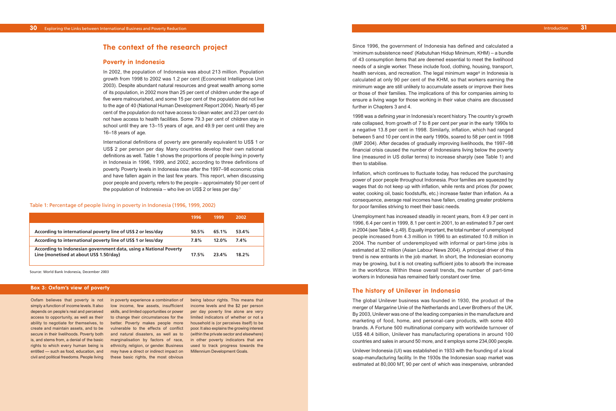Since 1996, the government of Indonesia has defined and calculated a 'minimum subsistence need' (Kebutuhan Hidup Minimum, KHM) – a bundle of 43 consumption items that are deemed essential to meet the livelihood needs of a single worker. These include food, clothing, housing, transport, health services, and recreation. The legal minimum wage <sup>8</sup> in Indonesia is calculated at only 90 per cent of the KHM, so that workers earning the minimum wage are still unlikely to accumulate assets or improve their lives or those of their families. The implications of this for companies aiming to ensure a living wage for those working in their value chains are discussed further in Chapters 3 and 4.

1998 was a defining year in Indonesia's recent history. The country's growth rate collapsed, from growth of 7 to 8 per cent per year in the early 1990s to a negative 13.8 per cent in 1998. Similarly, inflation, which had ranged between 5 and 10 per cent in the early 1990s, soared to 58 per cent in 1998 (IMF 2004). After decades of gradually improving livelihoods, the 1997–98 financial crisis caused the number of Indonesians living below the poverty line (measured in US dollar terms) to increase sharply (see Table 1) and then to stabilise .

Inflation, which continues to fluctuate today, has reduced the purchasing power of poor people throughout Indonesia. Poor families are squeezed by wages that do not keep up with inflation, while rents and prices (for power, water, cooking oil, basic foodstuffs, etc.) increase faster than inflation. As a consequence, average real incomes have fallen, creating greater problems for poor families striving to meet their basic needs.

International definitions of poverty are generally equivalent to US\$ 1 or US\$ 2 per person per day. Many countries develop their own national definitions as well. Table 1 shows the proportions of people living in poverty in Indonesia in 1996, 1999, and 2002, according to three definitions of poverty. Poverty levels in Indonesia rose after the 1997–98 economic crisis and have fallen again in the last few years. This report, when discussing poor people and poverty, refers to the people – approximately 50 per cent of the population of Indonesia – who live on US\$ 2 or less per day. $^7$ 

> Unemployment has increased steadily in recent years, from 4.9 per cent in 1996, 6.4 per cent in 1999, 8.1 per cent in 2001, to an estimated 9.7 per cent in 2004 (see Table 4, p.49). Equally important, the total number of unemployed people increased from 4.3 million in 1996 to an estimated 10.8 million in 2004. The number of underemployed with informal or part-time jobs is estimated at 32 million (Asian Labour News 2004). A principal driver of this trend is ne w entrants in the job market. In short, the Indonesian economy may be growing, but it is not creating sufficient jobs to absorb the increase in the workforce. Within these overall trends, the number of part-time workers in Indonesia has remained fairly constant over time.

#### **The history of Unilever in Indonesia**

The global Unilever business was founded in 1930, the product of the merger of Margarine Unie of the Netherlands and Lever Brothers of the UK. By 2003, Unilever was one of the leading companies in the manufacture and marketing of food, home, and personal-care products, with some 400 brands. A Fortune 500 multinational company with worldwide turnover of US\$ 48.4 billion, Unilever has manufacturing operations in around 100 countries and sales in around 50 mor e , and it employs some 234,000 people.

Unilever Indonesia (UI) was established in 1933 with the founding of a local soap-manufacturing facility. In the 1930s the Indonesian soap market was estimated at 80,000 MT, 90 per cent of which was inexpensive, unbranded Introduction **31**

## **The context of the research project**

#### **Poverty in Indonesia**

In 2002, the population of Indonesia was about 213 million. Population growth from 1998 to 2002 was 1.2 per cent (Economist Intelligence Unit 2003). Despite abundant natural resources and great wealth among some of its population, in 2002 more than 25 per cent of children under the age of five were malnourished, and some 15 per cent of the population did not live to the age of 40 (National Human Development Report 2004). Nearly 45 per cent of the population do not have access to clean water, and 23 per cent do not have access to health facilities. Some 79.3 per cent of children stay in school until they are 13–15 years of age, and 49.9 per cent until they are 16–18 years of age.

|                                                                                                              | 1996  | 1999  | 2002  |
|--------------------------------------------------------------------------------------------------------------|-------|-------|-------|
| According to international poverty line of US\$ 2 or less/day                                                | 50.5% | 65.1% | 53.4% |
| According to international poverty line of US\$ 1 or less/day                                                | 7.8%  | 12.0% | 7.4%  |
| According to Indonesian government data, using a National Poverty<br>Line (monetised at about US\$ 1.50/day) | 17.5% | 23.4% | 18.2% |

#### Table 1: Percentage of people living in poverty in Indonesia (1996, 1999, 2002)

Source: World Bank Indonesia, December 2003

#### **Box 3: Oxfam's view of poverty**

Oxfam believes that poverty is not in poverty experience a combination of being labour rights. This means that simpl y a function of income levels. It also lo w income, few assets, insufficient income le vels and the \$2 per person depends on people's real and perceived skills, and limited opportunities or power per day poverty line alone are very access to opportunity, as well as their bo change their circumstances for the bull indicators of whether or not a ability to negotiate for themselves, to better. Poverty makes people more household is (or perceives itself) to be create and maintain assets, and to be vulnerable to the effects of conflict poor Italso explains the growing interest secure in their livelihoods. Poverty both and natural disasters, as well as to (within the private sector and elsewhere) is, and stems from, a denial of the basic marginalisation by factors of race, in other poverty indicators that are rights to which every human being is ethnicity, religion, or gender. Business aused to track progress towards the entitled — such as food, education, and b may have a direct or indirect impact on b Millennium Development Goals. civil and political freedoms. People living bthese basic rights, the most obvious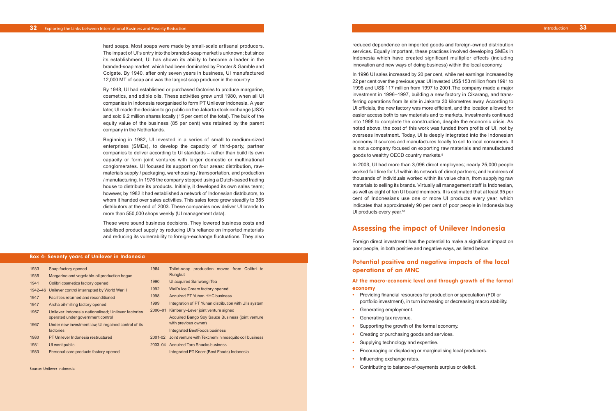reduced dependence on imported goods and foreign-owned distribution services. Equally important, these practices involved developing SMEs in Indonesia which have created significant multiplier effects (including innovation and new ways of doing business) within the local economy.

In 1996 UI sales increased by 20 per cent, while net earnings increased by 22 per cent over the previous year. UI invested US\$ 153 million from 1991 to 1996 and US\$ 117 million from 1997 to 2001.The company made a major investment in 1996–1997, building a new factory in Cikarang, and transferring operations from its site in Jakarta 30 kilometres away. According to UI officials, the new factory was more efficient, and the location allowed for easier access both to raw materials and to markets. Investments continued into 1998 to complete the construction, despite the economic crisis. As noted above, the cost of this work was funded from profits of UI, not by overseas investment. Today, UI is deeply integrated into the Indonesian economy. It sources and manufactures locally to sell to local consumers. It is not a company focused on exporting raw materials and manufactured goods to wealthy OECD country markets.9

In 2003, UI had more than 3,096 direct employees; nearly 25,000 people worked full time for UI within its network of direct partners; and hundreds of thousands of individuals worked within its value chain, from supplying raw materials to selling its brands. Virtually all management staff is Indonesian, as well as eight of ten UI board members. It is estimated that at least 95 per cent of Indonesians use one or more UI products every year, which indicates that approximately 90 per cent of poor people in Indonesia buy UI products every year.<sup>10</sup>

## **Assessing the impact of Unilever Indonesia**

Foreign direct investment has the potential to make a significant impact on poor people, in both positive and negative ways, as listed below.

## **Potential positive and negative impacts of the local operations of an MNC**

### **At the macro-economic level and through growth of the formal economy**

These were sound business decisions. They lowered business costs and stabilised product suppl y by reducing UI's reliance on imported materials and reducing its vulnerability to foreign-exchange fluctuations. They also

to

- **•** Providing financial resources for production or speculation (FDI or portfolio investment), in turn increasing or decreasing macro stability.
- **•** Generating employment.
- **•** Generating tax revenue.
- **•** Supporting the growth of the formal economy.
- **•** Creating or purchasing goods and services.
- **•** Supplying technology and expertise.
- **•** Encouraging or displacing or marginalising local producers.
- **•** Influencing exchange rates.
- **•** Contributing to balance-of-payments surplus or deficit.

Introduction **33**

hard soaps. Most soaps were made by small-scale artisanal producers. The impact of UI's entry into the branded-soap market is unknown; but since its establishment, UI has shown its ability to become a leader in the branded-soap market, which had been dominated by Procter & Gamble and Colgate. By 1940, after only seven years in business, UI manufactured 12,000 MT of soap and was the largest soap producer in the country.

By 1948, UI had established or purchased factories to produce margarine, cosmetics, and edible oils. These activities grew until 1980, when all UI companies in Indonesia reorganised to form PT Unilever Indonesia. A year later, UI made the decision to go public on the Jakarta stock exchange (JSX) and sold 9.2 million shares locally (15 per cent of the total). The bulk of the equity value of the business (85 per cent) was retained by the parent company in the Netherlands.

Beginning in 1982, UI invested in a series of small to medium-sized enterprises (SMEs), to develop the capacity of third-party, partner companies to deliver according to UI standards – rather than build its own capacity or form joint ventures with larger domestic or multinational conglomerates. UI focused its support on four areas: distribution, rawmaterials supply / packaging, warehousing / transportation, and production / manufacturing. In 1976 the company stopped using a Dutch-based trading house to distribute its products . Initiall y, it developed its own sales team; however, by 1982 it had established a network of Indonesian distributors, to whom it handed over sales activities. This sales force grew steadily to 385 distributor s at the end of 2003. These companies now deliver UI brands to more than 550,000 shops weekly (UI management data).

| 1933    | Soap factory opened                                  | 1984        | Toilet-soap production moved from Colibri to          |
|---------|------------------------------------------------------|-------------|-------------------------------------------------------|
| 1935    | Margarine and vegetable-oil production begun         |             | Rungkut                                               |
| 1941    | Colibri cosmetics factory opened                     | 1990        | UI acquired Sariwangi Tea                             |
| 1942-46 | Unilever control interrupted by World War II         | 1992        | Wall's Ice Cream factory opened                       |
| 1947    | Facilities returned and reconditioned                | 1998        | <b>Acquired PT Yuhan HHC business</b>                 |
| 1947    | Archa oil-milling factory opened                     | 1999        | Integration of PT Yuhan distribution with UI's system |
| 1957    | Unilever Indonesia nationalised; Unilever factories  | $2000 - 01$ | Kimberly-Lever joint venture signed                   |
|         | operated under government control                    |             | Acquired Bango Soy Sauce Business (joint venture      |
| 1967    | Under new investment law, UI regained control of its |             | with previous owner)                                  |
|         | factories                                            |             | <b>Integrated BestFoods business</b>                  |
| 1980    | <b>PT Unilever Indonesia restructured</b>            | 2001-02     | Joint venture with Texchem in mosquito coil business  |
| 1981    | UI went public                                       | 2003-04     | <b>Acquired Taro Snacks business</b>                  |
| 1983    | Personal-care products factory opened                |             | Integrated PT Knorr (Best Foods) Indonesia            |

#### **Box 4: Seventy years of Unilever in Indonesia**

Source: Unilever Indonesia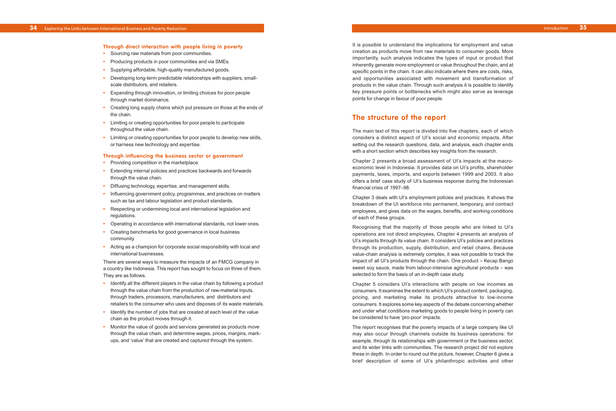It is possible to understand the implications for employment and value creation as products move from raw materials to consumer goods. More importantly, such analysis indicates the types of input or product that inherently generate more employment or value throughout the chain, and at specific points in the chain. It can also indicate where there are costs, risks, and opportunities associated with movement and transformation of products in the value chain. Through such analysis it is possible to identify key pressure points or bottlenecks which might also serve as leverage points for change in favour of poor people.

## **The structure of the report**

The main text of this report is divided into five chapters, each of which considers a distinct aspect of UI's social and economic impacts. After setting out the research questions, data, and analysis, each chapter ends with a shor t section which describes key insights from the research.

Chapter 2 presents a broad assessment of UI's impacts at the macroeconomic level in Indonesia. It provides data on UI's profits, shareholder payments, taxes, imports, and exports between 1999 and 2003. It also offers a brief case study of UI's business response during the Indonesian financial crisis of 1997–98.

Chapter 3 deals with UI's employment policies and practices. It shows the breakdown of the UI workforce into permanent, temporary, and contract employees, and gives data on the wages, benefits, and working conditions of each of these groups.

Recognising that the majority of those people who are linked to UI's operations are not direct employees, Chapter 4 presents an analysis of UI' s impacts through its value chain. It considers UI's policies and practices through its production, supply, distribution, and retail chains. Because value-chain analysis is extremely complex, it was not possible to track the impact of all UI's products through the chain. One product – Kecap Bango sweet soy sauce, made from labour-intensive agricultural products – was selected to form the basis of an in-depth case study.

Chapter 5 considers UI's interactions with people on low incomes as consumers. It examines the extent to which UI's product content, packaging, pricing, and marketing make its products attractive to low-income consumers. It explores some key aspects of the debate concerning whether and under what conditions marketing goods to people living in poverty can be considered to have 'pro-poor' impacts.

- Identify all the different players in the value chain by following a product through the value chain from the production of raw-material inputs, through traders, processors, manufacturers, and distributors and retailers to the consumer who uses and disposes of its waste materials .
- **•** Identify the number of jobs that are created at each level of the value chain as the product moves through it.
- **•** Monitor the value of goods and services generated as products move through the value chain, and determine wages, prices, margins, markups, and 'value' that are created and captured through the system.

The report recognises that the poverty impacts of a large company like UI may also occur through channels outside its business operations: for example, through its relationships with government or the business sector, and its wider links with communities . The research project did not explore these in depth. In order to round out the picture, however, Chapter 6 gives a brief description of some of UI' s philanthropic activities and other

Introduction **35**

#### **Through direct interaction with people living in poverty**

- **•** Sourcing raw materials from poor communities.
- **•** Producing products in poor communities and via SMEs.
- **•** Supplying affordable, high-quality manufactured goods.
- **•** Developing long-term predictable relationships with suppliers, smallscale distributors, and retailers.
- **•** Expanding through innovation, or limiting choices for poor people through market dominance.
- **•** Creating long supply chains which put pressure on those at the ends of the chain.
- **•** Limiting or creating opportunities for poor people to participate throughout the value chain.
- **•** Limiting or creating opportunities for poor people to develop new skills, or harness new technology and expertise.

#### **Through influencing the business sector or government**

- **•** Providing competition in the marketplace.
- **•** Extending internal policies and practices backwards and forwards through the value chain.
- **•** Diffusing technology, expertise, and management skills.
- **•** Influencing government policy, programmes, and practices on matters such as tax and labour legislation and product standards.
- **•** Respecting or undermining local and international legislation and regulations.
- **•** Oper ating in accordance with international standards, not lower ones.
- **•** Creating benchmarks for good governance in local business community.
- **•** Acting as a champion for corporate social responsibility with local and international businesses.

There are several ways to measure the impacts of an FMCG company in a country like Indonesia. This report has sought to focus on three of them. They are as follows.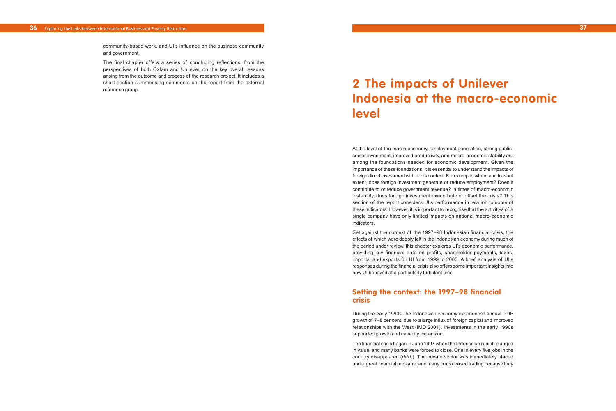At the level of the macro-economy, employment generation, strong publicsector investment, improved productivity, and macro-economic stability are among the foundations needed for economic development. Given the importance of these foundations, it is essential to understand the impacts of foreign direct investment within this context. For example, when, and to what extent, does foreign investment generate or reduce employment? Does it contribute to or reduce government revenue? In times of macro-economic instability, does foreign investment exacerbate or offset the crisis? This section of the report considers UI's performance in relation to some of these indicators. However, it is important to recognise that the activities of a single company have only limited impacts on national macro-economic indicators.

Set against the context of the 1997–98 Indonesian financial crisis, the effects of which were deeply felt in the Indonesian economy during much of the period under review, this chapter explores UI's economic performance, providing key financial data on profits, shareholder payments, taxes, imports, and exports for UI from 1999 to 2003. A brief analysis of UI's responses during the financial crisis also offers some important insights into how UI behaved at a particularly turbulent time.

## **Setting the context: the 1997–98 financial crisis**

During the early 1990s, the Indonesian economy experienced annual GDP growth of 7–8 per cent, due to a large influx of foreign capital and improved relationships with the West (IMD 2001). Investments in the early 1990s supported growth and capacity expansion.

The financial crisis began in June 1997 when the Indonesian rupiah plunged in value, and many banks were forced to close. One in every five jobs in the country disappeared (*ibid.*). The private sector was immediately placed under great financial pressure, and many firms ceased trading because they

**37**

community-based work, and UI's influence on the business community and government.

The final chapter offers a series of concluding reflections, from the perspectives of both Oxfam and Unilever, on the key overall lessons arising from the outcome and process of the research project. It includes a short section summarising comments on the report from the external reference group.

# **2 The impacts of Unilever Indonesia at the macro-economic level**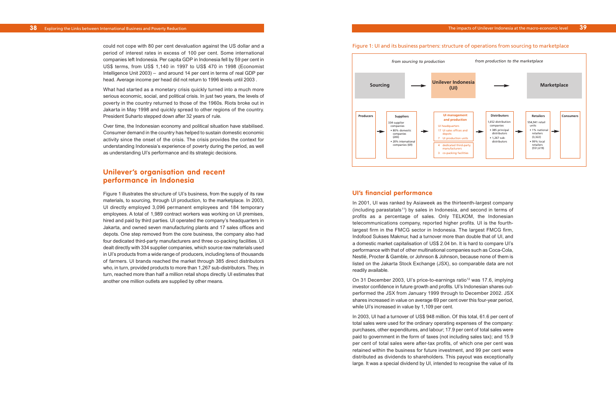#### **UI's financial performance**

In 2001, UI was ranked by Asiaweek as the thirteenth-largest company (including parastatals<sup>11</sup>) by sales in Indonesia, and second in terms of profits as a percentage of sales. Only TELKOM, the Indonesian telecommunications company, reported higher profits. UI is the fourthlargest firm in the FMCG sector in Indonesia. The largest FMCG firm, Indofood Sukses Makmur, had a turnover more than double that of UI, and a domestic market capitalisation of US\$ 2.04 bn. It is hard to compare UI's performance with that of other multinational companies such as Coca-Cola, Nestlé, Procter & Gamble, or Johnson & Johnson, because none of them is listed on the Jakarta Stock Exchange (JSX), so comparable data are not readily available.

On 31 December 2003, UI's price-to-earnings ratio<sup>12</sup> was 17.6, implying investor confidence in future growth and profits. UI's Indonesian shares outperformed the JSX from January 1999 through to December 2002. JSX shares increased in value on average 69 per cent over this four-year period, while UI's increased in value by 1,109 per cent.

What had started as a monetary crisis quickly turned into a much more serious economic, social, and political crisis. In just two years, the levels of poverty in the country returned to those of the 1960s. Riots broke out in Jakarta in May 1998 and quickly spread to other regions of the country. President Suharto stepped down after 32 years of rule.

> In 2003, UI had a turnover of US\$ 948 million. Of this total, 61.6 per cent of total sales were used for the ordinary operating expenses of the company: purchases, other expenditures, and labour; 17.9 per cent of total sales were paid to government in the form of taxes (not including sales tax); and 15.9 per cent of total sales were after-tax profits, of which one per cent was retained within the business for future investment, and 99 per cent were distributed as dividends to shareholders. This payout was exceptionally large. It was a special dividend by UI, intended to recognise the value of its

could not cope with 80 per cent devaluation against the US dollar and a period of interest rates in excess of 100 per cent. Some international companies left Indonesia. Per capita GDP in Indonesia fell by 59 per cent in US\$ terms, from US\$ 1,140 in 1997 to US\$ 470 in 1998 (Economist Intelligence Unit 2003) – and around 14 per cent in terms of real GDP per head. Average income per head did not return to 1996 levels until 2003 .

Over time, the Indonesian economy and political situation have stabilised. Consumer demand in the country has helped to sustain domestic economic activity since the onset of the crisis. The crisis provides the context for understanding Indonesia's experience of poverty during the period, as well as understanding UI's performance and its strategic decisions.

## **Unilever's organisation and recent performance in Indonesia**

Figure 1 illustrates the structure of UI's business, from the supply of its raw materials, to sourcing, through UI production, to the marketplace. In 2003, UI directly employed 3,096 permanent employees and 184 temporary employees. A total of 1,989 contract workers was working on UI premises, hired and paid by third parties. UI operated the company's headquarters in Jakarta, and owned seven manufacturing plants and 17 sales offices and depots. One step removed from the core business, the company also had four dedicated third-party manufacturers and three co-packing facilities. UI dealt directly with 334 supplier companies, which source raw materials used in UI's products from a wide range of producers, including tens of thousands of farmers. UI brands reached the market through 385 direct distributors who, in turn, provided products to more than 1,267 sub-distributors. They, in turn, reached more than half a million retail shops directly. UI estimates that another one million outlets are supplied by other means.

## Figure 1: UI and its business partners: structure of operations from sourcing to marketplace **Unilever Indonesia and its business partners: from sourcing to marketplace**

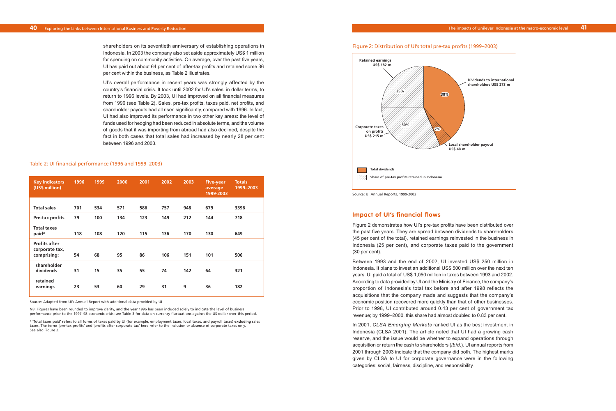#### **Impact of UI's financial flows**

Figure 2 demonstrates how UI's pre-tax profits have been distributed over the past five years. They are spread between dividends to shareholders (45 per cent of the total), retained earnings reinvested in the business in Indonesia (25 per cent), and corporate taxes paid to the government (30 per cent).

Between 1993 and the end of 2002, UI invested US\$ 250 million in Indonesia. It plans to invest an additional US\$ 500 million over the next ten years. UI paid a total of US\$ 1,050 million in taxes between 1993 and 2002. According to data provided by UI and the Ministry of Finance, the company's proportion of Indonesia's total tax before and after 1998 reflects the acquisitions that the company made and suggests that the company's economic position recovered more quickly than that of other businesses. Prior to 1998, UI contributed around 0.43 per cent of government tax revenue; by 1999–2000, this share had almost doubled to 0.83 per cent.

In 2001, *CLSA Emerging Markets* ranked UI as the best investment in Indonesia (CLSA 2001). The article noted that UI had a growing cash reserve, and the issue would be whether to expand operations through acquisition or return the cash to shareholders (*ibid.*). UI annual reports from 2001 through 2003 indicate that the company did both*.* The highest marks given by CLSA to UI for corporate governance were in the following categories: social, fairness, discipline, and responsibility.

shareholders on its seventieth anniversary of establishing operations in Indonesia. In 2003 the company also set aside approximately US\$ 1 million for spending on community activities. On average, over the past five years, UI has paid out about 64 per cent of after-tax profits and retained some 36 per cent within the business, as Table 2 illustrates.

UI's overall performance in recent years was strongly affected by the country's financial crisis. It took until 2002 for UI's sales, in dollar terms, to return to 1996 levels. By 2003, UI had improved on all financial measures from 1996 (see Table 2). Sales, pre-tax profits, taxes paid, net profits, and shareholder payouts had all risen significantly, compared with 1996. In fact, UI had also improved its performance in two other key areas: the level of funds used for hedging had been reduced in absolute terms, and the volume of goods that it was importing from abroad had also declined, despite the fact in both cases that total sales had increased by nearly 28 per cent between 1996 and 2003.

| <b>Key indicators</b><br>(US\$ million)               | 1996 | 1999 | 2000 | 2001 | 2002 | 2003 | <b>Five-year</b><br>average<br>1999-2003 | <b>Totals</b><br>1999-2003 |
|-------------------------------------------------------|------|------|------|------|------|------|------------------------------------------|----------------------------|
|                                                       |      |      |      |      |      |      |                                          |                            |
| <b>Total sales</b>                                    | 701  | 534  | 571  | 586  | 757  | 948  | 679                                      | 3396                       |
| Pre-tax profits                                       | 79   | 100  | 134  | 123  | 149  | 212  | 144                                      | 718                        |
| <b>Total taxes</b><br>paid <sup>a</sup>               | 118  | 108  | 120  | 115  | 136  | 170  | 130                                      | 649                        |
| <b>Profits after</b><br>corporate tax,<br>comprising: | 54   | 68   | 95   | 86   | 106  | 151  | 101                                      | 506                        |
| shareholder<br>dividends                              | 31   | 15   | 35   | 55   | 74   | 142  | 64                                       | 321                        |
| retained<br>earnings                                  | 23   | 53   | 60   | 29   | 31   | 9    | 36                                       | 182                        |

#### Table 2: UI financial performance (1996 and 1999–2003)

Source: Adapted from UI's Annual Report with additional data provided by UI

NB: Figures have been rounded to improve clarity, and the year 1996 has been included solely to indicate the level of business performance prior to the 1997–98 economic crisis: see Table 3 for data on currency fluctuations against the US dollar over this period.

<sup>a</sup> 'Total taxes paid' refers to all forms of taxes paid by UI (for example, employment taxes, local taxes, and payroll taxes) **excluding** sales taxes. The terms 'pre-tax profits' and 'profits after corporate tax' here refer to the inclusion or absence of corporate taxes only. See also Figure 2.

#### Figure 2: Distribution of UI's total pre-tax profits (1999–2003)



**Dividends to international shareholders US\$ 273 m** 

**Local shareholder payout**

Source: UI Annual Reports, 1999-2003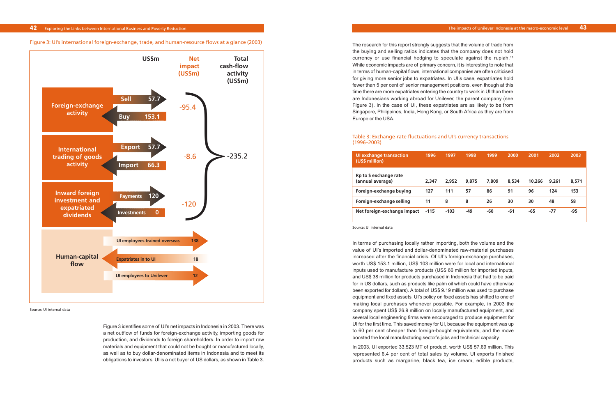The research for this report strongly suggests that the volume of trade from the buying and selling ratios indicates that the company does not hold currency or use financial hedging to speculate against the rupiah.<sup>13</sup> While economic impacts are of primary concern, it is interesting to note that in terms of human-capital flows, international companies are often criticised for giving more senior jobs to expatriates. In UI's case, expatriates hold fewer than 5 per cent of senior management positions, even though at this time there are more expatriates entering the country to work in UI than there are Indonesians working abroad for Unilever, the parent company (see Figure 3). In the case of UI, these expatriates are as likely to be from Singapore, Philippines, India, Hong Kong, or South Africa as they are from Europe or the USA.

#### Table 3: Exchange-rate fluctuations and UI's currency transactions (1996–2003)

Figure 3 identifies some of UI's net impacts in Indonesia in 2003. There was a net outflow of funds for foreign-exchange activity, importing goods for production, and dividends to foreign shareholders. In order to import raw materials and equipment that could not be bought or manufactured locally, as well as to buy dollar-denominated items in Indonesia and to meet its obligations to investors, UI is a net buyer of US dollars, as shown in Table 3.

Figure 3: UI's international foreign-exchange, trade, and human-resource flows at a glance (2003) **UI's international foreign exchange, trade, and human-resource flows** 

## **42** Exploring the Links between International Business and Poverty Reduction



Source: UI internal data

| Ul exchange transaction<br>(US\$ million)  | 1996   | 1997   | 1998  | 1999  | 2000  | 2001   | 2002  | 2003  |
|--------------------------------------------|--------|--------|-------|-------|-------|--------|-------|-------|
| Rp to \$ exchange rate<br>(annual average) | 2,347  | 2.952  | 9,875 | 7.809 | 8,534 | 10,266 | 9,261 | 8,571 |
| Foreign-exchange buying                    | 127    | 111    | 57    | 86    | 91    | 96     | 124   | 153   |
| Foreign-exchange selling                   | 11     | 8      | 8     | 26    | 30    | 30     | 48    | 58    |
| Net foreign-exchange impact                | $-115$ | $-103$ | $-49$ | -60   | -61   | $-65$  | $-77$ | -95   |

Source: UI internal data

In terms of purchasing locally rather importing, both the volume and the value of UI's imported and dollar-denominated raw-material purchases increased after the financial crisis. Of UI's foreign-exchange purchases, worth US\$ 153.1 million, US\$ 103 million were for local and international inputs used to manufacture products (US\$ 66 million for imported inputs, and US\$ 38 million for products purchased in Indonesia that had to be paid for in US dollars, such as products like palm oil which could have otherwise been exported for dollars). A total of US\$ 9.19 million was used to purchase equipment and fixed assets. UI's policy on fixed assets has shifted to one of making local purchases whenever possible. For example, in 2003 the company spent US\$ 26.9 million on locally manufactured equipment, and several local engineering firms were encouraged to produce equipment for UI for the first time. This saved money for UI, because the equipment was up to 60 per cent cheaper than foreign-bought equivalents, and the move boosted the local manufacturing sector's jobs and technical capacity.

In 2003, UI exported 33,523 MT of product, worth US\$ 57.69 million. This represented 6.4 per cent of total sales by volume. UI exports finished products such as margarine, black tea, ice cream, edible products,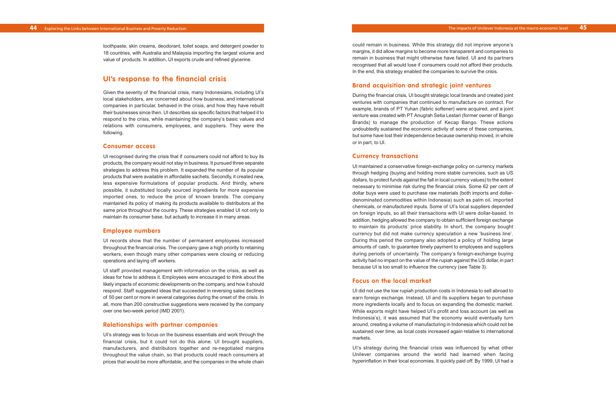could remain in business. While this strategy did not improve anyone's margins, it did allow margins to become more transparent and companies to remain in business that might otherwise have failed. UI and its partners recognised that all would lose if consumers could not afford their products. In the end, this strategy enabled the companies to survive the crisis.

## **Brand acquisition and strategic joint ventures**

During the financial crisis, UI bought strategic local brands and created joint ventures with companies that continued to manufacture on contract. For example, brands of PT Yuhan (fabric softener) were acquired, and a joint venture was created with PT Anugrah Setia Lestari (former owner of Bango Brands) to manage the production of Kecap Bango. These actions undoubtedly sustained the economic activity of some of these companies, but some have lost their independence because ownership moved, in whole or in part, to UI.

#### **Currency transactions**

UI maintained a conservative foreign-exchange policy on currency markets through hedging (buying and holding more stable currencies, such as US dollars, to protect funds against the fall in local currency values) to the extent necessary to minimise risk during the financial crisis. Some 62 per cent of dollar buys were used to purchase raw materials (both imports and dollardenominated commodities within Indonesia) such as palm oil, imported chemicals, or manufactured inputs. Some of UI's local suppliers depended on foreign inputs, so all their transactions with UI were dollar-based. In addition, hedging allowed the company to obtain sufficient foreign exchange to maintain its products' price stability. In short, the company bought currency but did not make currency speculation a new 'business line'. During this period the company also adopted a policy of holding large amounts of cash, to guarantee timely payment to employees and suppliers during periods of uncertainty. The company's foreign-exchange buying activity had no impact on the value of the rupiah against the US dollar, in part because UI is too small to influence the currency (see Table 3).

### **Focus on the local market**

UI did not use the low rupiah production costs in Indonesia to sell abroad to earn foreign exchange. Instead, UI and its suppliers began to purchase more ingredients locally and to focus on expanding the domestic market. While exports might have helped UI's profit and loss account (as well as Indonesia's), it was assumed that the economy would eventually turn around, creating a volume of manufacturing in Indonesia which could not be sustained over time, as local costs increased again relative to international markets.

UI's strategy during the financial crisis was influenced by what other Unilever companies around the world had learned when facing hyperinflation in their local economies. It quickly paid off. By 1999, UI had a

toothpaste, skin creams, deodorant, toilet soaps, and detergent powder to 18 countries, with Australia and Malaysia importing the largest volume and value of products. In addition, UI exports crude and refined glycerine.

## **UI's response to the financial crisis**

Given the severity of the financial crisis, many Indonesians, including UI's local stakeholders, are concerned about how business, and international companies in particular, behaved in the crisis, and how they have rebuilt their businesses since then. UI describes six specific factors that helped it to respond to the crisis, while maintaining the company's basic values and relations with consumers, employees, and suppliers. They were the following.

#### **Consumer access**

UI recognised during the crisis that if consumers could not afford to buy its products, the company would not stay in business. It pursued three separate strategies to address this problem. It expanded the number of its popular products that were available in affordable sachets. Secondly, it created new, less expensive formulations of popular products. And thirdly, where possible, it substituted locally sourced ingredients for more expensive imported ones, to reduce the price of known brands. The company maintained its policy of making its products available to distributors at the same price throughout the country. These strategies enabled UI not only to maintain its consumer base, but actually to increase it in many areas.

#### **Employee numbers**

UI records show that the number of permanent employees increased throughout the financial crisis. The company gave a high priority to retaining workers, even though many other companies were closing or reducing operations and laying off workers.

UI staff provided management with information on the crisis, as well as ideas for how to address it. Employees were encouraged to think about the likely impacts of economic developments on the company, and how it should respond. Staff suggested ideas that succeeded in reversing sales declines of 50 per cent or more in several categories during the onset of the crisis. In all, more than 200 constructive suggestions were received by the company over one two-week period (IMD 2001).

#### **Relationships with partner companies**

UI's strategy was to focus on the business essentials and work through the financial crisis, but it could not do this alone. UI brought suppliers, manufacturers, and distributors together and re-negotiated margins throughout the value chain, so that products could reach consumers at prices that would be more affordable, and the companies in the whole chain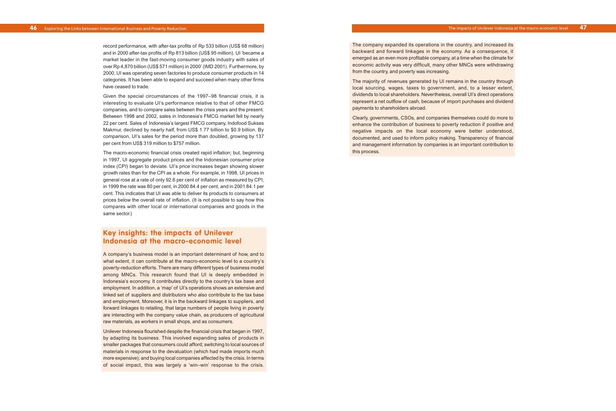The company expanded its operations in the country, and increased its backward and forward linkages in the economy. As a consequence, it emerged as an even more profitable company, at a time when the climate for economic activity was very difficult, many other MNCs were withdrawing from the country, and poverty was increasing.

The majority of revenues generated by UI remains in the country through local sourcing, wages, taxes to government, and, to a lesser extent, dividends to local shareholders. Nevertheless, overall UI's direct operations represent a net outflow of cash, because of import purchases and dividend payments to shareholders abroad.

Clearly, governments, CSOs, and companies themselves could do more to enhance the contribution of business to poverty reduction if positive and negative impacts on the local economy were better understood, documented, and used to inform policy making. Transparency of financial and management information by companies is an important contribution to this process.

record performance, with after-tax profits of Rp 533 billion (US\$ 68 million) and in 2000 after-tax profits of Rp 813 billion (US\$ 95 million). UI 'became a market leader in the fast-moving consumer goods industry with sales of over Rp 4,870 billion (US\$ 571 million) in 2000' (IMD 2001). Furthermore, by 2000, UI was operating seven factories to produce consumer products in 14 categories. It has been able to expand and succeed when many other firms have ceased to trade.

Given the special circumstances of the 1997–98 financial crisis, it is interesting to evaluate UI's performance relative to that of other FMCG companies, and to compare sales between the crisis years and the present. Between 1998 and 2002, sales in Indonesia's FMCG market fell by nearly 22 per cent. Sales of Indonesia's largest FMCG company, Indofood Sukses Makmur, declined by nearly half, from US\$ 1.77 billion to \$0.9 billion. By comparison, UI's sales for the period more than doubled, growing by 137 per cent from US\$ 319 million to \$757 million.

The macro-economic financial crisis created rapid inflation; but, beginning in 1997, UI aggregate product prices and the Indonesian consumer price index (CPI) began to deviate. UI's price increases began showing slower growth rates than for the CPI as a whole. For example, in 1998, UI prices in general rose at a rate of only 92.6 per cent of inflation as measured by CPI; in 1999 the rate was 80 per cent, in 2000 84.4 per cent, and in 2001 84.1 per cent. This indicates that UI was able to deliver its products to consumers at prices below the overall rate of inflation. (It is not possible to say how this compares with other local or international companies and goods in the same sector.)

## **Key insights: the impacts of Unilever Indonesia at the macro-economic level**

A company's business model is an important determinant of how, and to what extent, it can contribute at the macro-economic level to a country's poverty-reduction efforts. There are many different types of business model among MNCs. This research found that UI is deeply embedded in Indonesia's economy. It contributes directly to the country's tax base and employment. In addition, a 'map' of UI's operations shows an extensive and linked set of suppliers and distributors who also contribute to the tax base and employment. Moreover, it is in the backward linkages to suppliers, and forward linkages to retailing, that large numbers of people living in poverty are interacting with the company value chain, as producers of agricultural raw materials, as workers in small shops, and as consumers.

Unilever Indonesia flourished despite the financial crisis that began in 1997, by adapting its business. This involved expanding sales of products in smaller packages that consumers could afford; switching to local sources of materials in response to the devaluation (which had made imports much more expensive); and buying local companies affected by the crisis. In terms of social impact, this was largely a 'win–win' response to the crisis.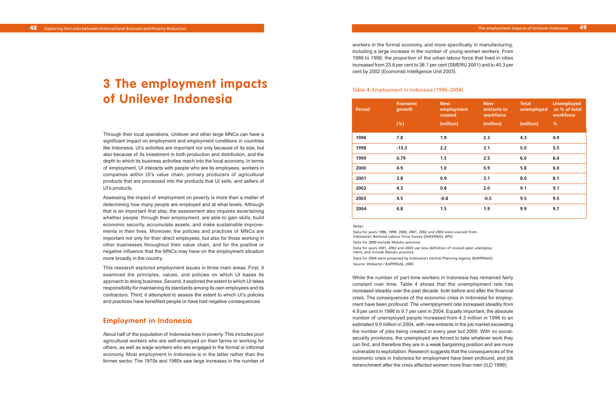workers in the formal economy, and more specifically in manufacturing, including a large increase in the number of young women workers. From 1986 to 1999, the proportion of the urban labour force that lived in cities increased from 23.6 per cent to 38.1 per cent (SMERU 2001) and to 40.3 per cent by 2002 (Economist Intelligence Unit 2003).

#### Table 4: Employment in Indonesia (1996–2004)

Through their local operations, Unilever and other large MNCs can have a significant impact on employment and employment conditions in countries like Indonesia. UI's activities are important not only because of its size, but also because of its investment in both production and distribution, and the depth to which its business activities reach into the local economy. In terms of employment, UI interacts with people who are its employees, workers in companies within UI's value chain, primary producers of agricultural products that are processed into the products that UI sells, and sellers of UI's products.

# **3 The employment impacts of Unilever Indonesia**

Assessing the impact of employment on poverty is more than a matter of determining how many people are employed and at what levels. Although that is an important first step, the assessment also requires ascertaining whether people, through their employment, are able to gain skills, build economic security, accumulate assets, and make sustainable improvements in their lives. Moreover, the policies and practices of MNCs are important not only for their direct employees, but also for those working in other businesses throughout their value chain, and for the positive or negative influence that the MNCs may have on the employment situation more broadly in the country.

Data for years 2001, 2002 and 2003 use new definition of revised open unemployment, and include Maluku province.

This research explored employment issues in three main areas. First, it examined the principles, values, and policies on which UI bases its approach to doing business. Second, it explored the extent to which UI takes responsibility for maintaining its standards among its own employees and its contractors. Third, it attempted to assess the extent to which UI's policies and practices have benefited people or have had negative consequences.

## **Employment in Indonesia**

About half of the population of Indonesia lives in poverty. This includes poor agricultural workers who are self-employed on their farms or working for others, as well as wage workers who are engaged in the formal or informal economy. Most employment in Indonesia is in the latter rather than the former sector. The 1970s and 1980s saw large increases in the number of

| <b>Period</b> | <b>Economic</b><br>growth<br>(% ) | <b>New</b><br>employment<br>created<br>(million) | <b>New</b><br>entrants to<br>workforce<br>(million) | <b>Total</b><br>unemployed<br>(million) | <b>Unemployed</b><br>as % of total<br>workforce<br>% |
|---------------|-----------------------------------|--------------------------------------------------|-----------------------------------------------------|-----------------------------------------|------------------------------------------------------|
| 1996          | 7.8                               | 1.9                                              | 2.3                                                 | 4.3                                     | 4.9                                                  |
| 1998          | $-13.3$                           | 2.2                                              | 3.1                                                 | 5.0                                     | 5.5                                                  |
| 1999          | 0.79                              | 1.5                                              | 2.5                                                 | $6.0$                                   | 6.4                                                  |
| 2000          | 4.9                               | 1.0                                              | 0.9                                                 | 5.8                                     | 6.0                                                  |
| 2001          | 3.8                               | 0.9                                              | 3.1                                                 | 8.0                                     | 8.1                                                  |
| 2002          | 4.3                               | 0.8                                              | 2.0                                                 | 9.1                                     | 9.1                                                  |
| 2003          | 4.5                               | $-0.8$                                           | $-0.5$                                              | 9.5                                     | 9.5                                                  |
| 2004          | 4.8                               | 1.5                                              | 1.9                                                 | 9.9                                     | 9.7                                                  |

Notes:

Data for years 1996, 1999, 2000, 2001, 2002 and 2003 were sourced from Indonesia's National Labour Force Survey (SAKERNAS, BPS). Data for 2000 exclude Maluku province.

Data for 2004 were projected by Indonesia's Central Planning Agency (BAPPENAS). Source: Widianto / BAPPENAS, 2003

While the number of part-time workers in Indonesia has remained fairly constant over time, Table 4 shows that the unemployment rate has increased steadily over the past decade, both before and after the financial crisis. The consequences of the economic crisis in Indonesia for employment have been profound. The unemployment rate increased steadily from 4.9 per cent in 1996 to 9.7 per cent in 2004. Equally important, the absolute number of unemployed people increased from 4.3 million in 1996 to an estimated 9.9 million in 2004, with new entrants in the job market exceeding the number of jobs being created in every year but 2000. With no socialsecurity provisions, the unemployed are forced to take whatever work they can find, and therefore they are in a weak bargaining position and are more vulnerable to exploitation. Research suggests that the consequences of the economic crisis in Indonesia for employment have been profound, and job retrenchment after the crisis affected women more than men (ILO 1999).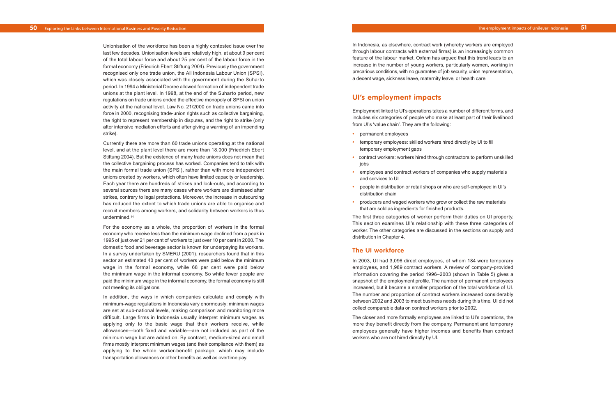In Indonesia, as elsewhere, contract work (whereby workers are employed through labour contracts with external firms) is an increasingly common feature of the labour market. Oxfam has argued that this trend leads to an increase in the number of young workers, particularly women, working in precarious conditions, with no guarantee of job security, union representation, a decent wage, sickness leave, maternity leave, or health care.

## **UI's employment impacts**

Employment linked to UI's operations takes a number of different forms, and includes six categories of people who make at least part of their livelihood from UI's 'value chain'. They are the following:

- **•** permanent employees
- **•** temporary employees: skilled workers hired directly by UI to fill temporary employment gaps
- **•** contract workers: workers hired through contractors to perform unskilled jobs
- **•** employees and contract workers of companies who supply materials and services to UI
- **•** people in distribution or retail shops or who are self-employed in UI's distribution chain
- **•** producers and waged workers who grow or collect the raw materials that are sold as ingredients for finished products.

The first three categories of worker perform their duties on UI property. This section examines UI's relationship with these three categories of worker. The other categories are discussed in the sections on supply and distribution in Chapter 4.

### **The UI workforce**

In 2003, UI had 3,096 direct employees, of whom 184 were temporary employees, and 1,989 contract workers. A review of company-provided information covering the period 1996–2003 (shown in Table 5) gives a snapshot of the employment profile. The number of permanent employees increased, but it became a smaller proportion of the total workforce of UI. The number and proportion of contract workers increased considerably between 2002 and 2003 to meet business needs during this time. UI did not collect comparable data on contract workers prior to 2002.

The closer and more formally employees are linked to UI's operations, the more they benefit directly from the company. Permanent and temporary employees generally have higher incomes and benefits than contract workers who are not hired directly by UI.

Unionisation of the workforce has been a highly contested issue over the last few decades. Unionisation levels are relatively high, at about 9 per cent of the total labour force and about 25 per cent of the labour force in the formal economy (Friedrich Ebert Stiftung 2004). Previously the government recognised only one trade union, the All Indonesia Labour Union (SPSI), which was closely associated with the government during the Suharto period. In 1994 a Ministerial Decree allowed formation of independent trade unions at the plant level. In 1998, at the end of the Suharto period, new regulations on trade unions ended the effective monopoly of SPSI on union activity at the national level. Law No. 21/2000 on trade unions came into force in 2000, recognising trade-union rights such as collective bargaining, the right to represent membership in disputes, and the right to strike (only after intensive mediation efforts and after giving a warning of an impending strike).

Currently there are more than 60 trade unions operating at the national level, and at the plant level there are more than 18,000 (Friedrich Ebert Stiftung 2004). But the existence of many trade unions does not mean that the collective bargaining process has worked. Companies tend to talk with the main formal trade union (SPSI), rather than with more independent unions created by workers, which often have limited capacity or leadership. Each year there are hundreds of strikes and lock-outs, and according to several sources there are many cases where workers are dismissed after strikes, contrary to legal protections. Moreover, the increase in outsourcing has reduced the extent to which trade unions are able to organise and recruit members among workers, and solidarity between workers is thus undermined.14

For the economy as a whole, the proportion of workers in the formal economy who receive less than the minimum wage declined from a peak in 1995 of just over 21 per cent of workers to just over 10 per cent in 2000. The domestic food and beverage sector is known for underpaying its workers. In a survey undertaken by SMERU (2001), researchers found that in this sector an estimated 40 per cent of workers were paid below the minimum wage in the formal economy, while 68 per cent were paid below the minimum wage in the informal economy. So while fewer people are paid the minimum wage in the informal economy, the formal economy is still not meeting its obligations.

In addition, the ways in which companies calculate and comply with minimum-wage regulations in Indonesia vary enormously: minimum wages are set at sub-national levels, making comparison and monitoring more difficult. Large firms in Indonesia usually interpret minimum wages as applying only to the basic wage that their workers receive, while allowances—both fixed and variable—are not included as part of the minimum wage but are added on. By contrast, medium-sized and small firms mostly interpret minimum wages (and their compliance with them) as applying to the whole worker-benefit package, which may include transportation allowances or other benefits as well as overtime pay.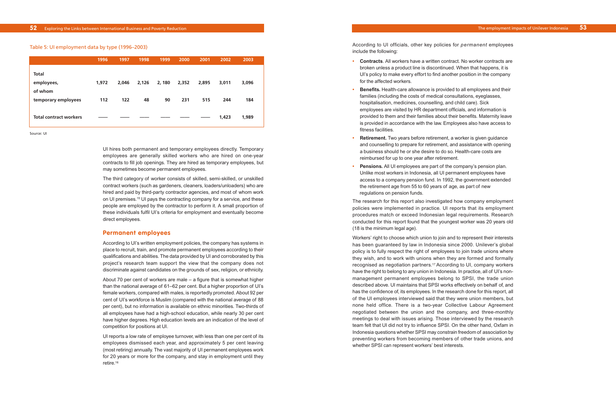According to UI officials, other key policies for *permanent* employees include the following:

- **• Contracts**. All workers have a written contract. No worker contracts are broken unless a product line is discontinued. When that happens, it is UI's policy to make every effort to find another position in the company for the affected workers.
- **• Benefits.** Health-care allowance is provided to all employees and their families (including the costs of medical consultations, eyeglasses, hospitalisation, medicines, counselling, and child care). Sick employees are visited by HR department officials, and information is provided to them and their families about their benefits. Maternity leave is provided in accordance with the law. Employees also have access to fitness facilities.
- **• Retirement.** Two years before retirement, a worker is given guidance and counselling to prepare for retirement, and assistance with opening a business should he or she desire to do so. Health-care costs are reimbursed for up to one year after retirement.
- **• Pensions.** All UI employees are part of the company's pension plan. Unlike most workers in Indonesia, all UI permanent employees have access to a company pension fund. In 1992, the government extended the retirement age from 55 to 60 years of age, as part of new regulations on pension funds.

The research for this report also investigated how company employment policies were implemented in practice. UI reports that its employment procedures match or exceed Indonesian legal requirements. Research conducted for this report found that the youngest worker was 20 years old (18 is the minimum legal age).

Workers' right to choose which union to join and to represent their interests has been guaranteed by law in Indonesia since 2000. Unilever's global policy is to fully respect the right of employees to join trade unions where they wish, and to work with unions when they are formed and formally recognised as negotiation partners.17 According to UI, company workers have the right to belong to any union in Indonesia. In practice, all of UI's nonmanagement permanent employees belong to SPSI, the trade union described above. UI maintains that SPSI works effectively on behalf of, and has the confidence of, its employees. In the research done for this report, all of the UI employees interviewed said that they were union members, but none held office. There is a two-year Collective Labour Agreement negotiated between the union and the company, and three-monthly meetings to deal with issues arising. Those interviewed by the research team felt that UI did not try to influence SPSI. On the other hand, Oxfam in Indonesia questions whether SPSI may constrain freedom of association by preventing workers from becoming members of other trade unions, and whether SPSI can represent workers' best interests.

|                                | 1996  | 1997  | 1998  | 1999  | 2000  | 2001  | 2002  | 2003  |  |
|--------------------------------|-------|-------|-------|-------|-------|-------|-------|-------|--|
| <b>Total</b><br>employees,     | 1,972 | 2,046 | 2,126 | 2,180 | 2,352 | 2,895 | 3,011 | 3,096 |  |
| of whom<br>temporary employees | 112   | 122   | 48    | 90    | 231   | 515   | 244   | 184   |  |
| <b>Total contract workers</b>  |       |       |       |       |       |       | 1,423 | 1,989 |  |

Table 5: UI employment data by type (1996–2003)

Source: UI

UI hires both permanent and temporary employees directly. Temporary employees are generally skilled workers who are hired on one-year contracts to fill job openings. They are hired as temporary employees, but may sometimes become permanent employees.

The third category of worker consists of skilled, semi-skilled, or unskilled contract workers (such as gardeners, cleaners, loaders/unloaders) who are hired and paid by third-party contractor agencies, and most of whom work on UI premises.15 UI pays the contracting company for a service, and these people are employed by the contractor to perform it. A small proportion of these individuals fulfil UI's criteria for employment and eventually become direct employees.

#### **Permanent employees**

According to UI's written employment policies, the company has systems in place to recruit, train, and promote permanent employees according to their qualifications and abilities. The data provided by UI and corroborated by this project's research team support the view that the company does not discriminate against candidates on the grounds of sex, religion, or ethnicity.

About 70 per cent of workers are male – a figure that is somewhat higher than the national average of 61–62 per cent. But a higher proportion of UI's female workers, compared with males, is reportedly promoted. About 92 per cent of UI's workforce is Muslim (compared with the national average of 88 per cent), but no information is available on ethnic minorities. Two-thirds of all employees have had a high-school education, while nearly 30 per cent have higher degrees. High education levels are an indication of the level of competition for positions at UI.

UI reports a low rate of employee turnover, with less than one per cent of its employees dismissed each year, and approximately 5 per cent leaving (most retiring) annually. The vast majority of UI permanent employees work for 20 years or more for the company, and stay in employment until they retire.16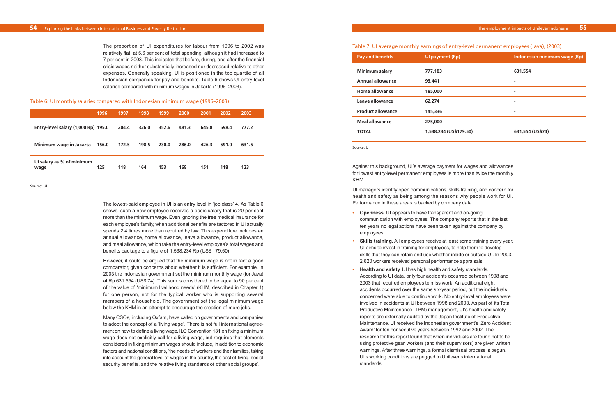Against this background, UI's average payment for wages and allowances for lowest entry-level permanent employees is more than twice the monthly KHM.

UI managers identify open communications, skills training, and concern for health and safety as being among the reasons why people work for UI. Performance in these areas is backed by company data:

- **• Openness**. UI appears to have transparent and on-going communication with employees. The company reports that in the last ten years no legal actions have been taken against the company by employees.
- **• Skills training.** All employees receive at least some training every year. UI aims to invest in training for employees, to help them to develop skills that they can retain and use whether inside or outside UI. In 2003, 2,620 workers received personal performance appraisals.
- **• Health and safety.** UI has high health and safety standards. According to UI data, only four accidents occurred between 1998 and 2003 that required employees to miss work. An additional eight accidents occurred over the same six-year period, but the individuals concerned were able to continue work. No entry-level employees were involved in accidents at UI between 1998 and 2003. As part of its Total Productive Maintenance (TPM) management, UI's health and safety reports are externally audited by the Japan Institute of Productive Maintenance. UI received the Indonesian government's 'Zero Accident Award' for ten consecutive years between 1992 and 2002. The research for this report found that when individuals are found not to be using protective gear, workers (and their supervisors) are given written warnings. After three warnings, a formal dismissal process is begun. UI's working conditions are pegged to Unilever's international standards.

The proportion of UI expenditures for labour from 1996 to 2002 was relatively flat, at 5.6 per cent of total spending, although it had increased to 7 per cent in 2003. This indicates that before, during, and after the financial crisis wages neither substantially increased nor decreased relative to other expenses. Generally speaking, UI is positioned in the top quartile of all Indonesian companies for pay and benefits. Table 6 shows UI entry-level salaries compared with minimum wages in Jakarta (1996–2003).

|                                     | 1996  | 1997  | 1998  | 1999  | 2000  | 2001  | 2002  | 2003  |
|-------------------------------------|-------|-------|-------|-------|-------|-------|-------|-------|
| Entry-level salary (1,000 Rp) 195.0 |       | 204.4 | 326.0 | 352.6 | 481.3 | 645.8 | 698.4 | 777.2 |
| Minimum wage in Jakarta             | 156.0 | 172.5 | 198.5 | 230.0 | 286.0 | 426.3 | 591.0 | 631.6 |
| UI salary as % of minimum<br>wage   | 125   | 118   | 164   | 153   | 168   | 151   | 118   | 123   |

Table 6: UI monthly salaries compared with Indonesian minimum wage (1996–2003)

Source: UI

The lowest-paid employee in UI is an entry level in 'job class' 4. As Table 6 shows, such a new employee receives a basic salary that is 20 per cent more than the minimum wage. Even ignoring the free medical insurance for each employee's family, when additional benefits are factored in UI actually spends 2.4 times more than required by law. This expenditure includes an annual allowance, home allowance, leave allowance, product allowance, and meal allowance, which take the entry-level employee's total wages and benefits package to a figure of 1,538,234 Rp (US\$ 179.50).

However, it could be argued that the minimum wage is not in fact a good comparator, given concerns about whether it is sufficient. For example, in 2003 the Indonesian government set the minimum monthly wage (for Java) at Rp 631,554 (US\$ 74). This sum is considered to be equal to 90 per cent of the value of 'minimum livelihood needs' (KHM, described in Chapter 1) for one person, not for the typical worker who is supporting several members of a household. The government set the legal minimum wage below the KHM in an attempt to encourage the creation of more jobs.

Many CSOs, including Oxfam, have called on governments and companies to adopt the concept of a 'living wage'. There is not full international agreement on how to define a living wage. ILO Convention 131 on fixing a minimum wage does not explicitly call for a living wage, but requires that elements considered in fixing minimum wages should include, in addition to economic factors and national conditions, 'the needs of workers and their families, taking into account the general level of wages in the country, the cost of living, social security benefits, and the relative living standards of other social groups'.

#### Table 7: UI average monthly earnings of entry-level permanent employees (Java), (2003)

| <b>Pay and benefits</b>  | Ul payment (Rp)        | Indonesian minimum wage (Rp) |
|--------------------------|------------------------|------------------------------|
| <b>Minimum salary</b>    | 777,183                | 631,554                      |
| <b>Annual allowance</b>  | 93,441                 | ۰                            |
| Home allowance           | 185,000                |                              |
| Leave allowance          | 62,274                 | ۰                            |
| <b>Product allowance</b> | 145,336                |                              |
| <b>Meal allowance</b>    | 275,000                |                              |
| <b>TOTAL</b>             | 1,538,234 (US\$179.50) | 631,554 (US\$74)             |

Source: UI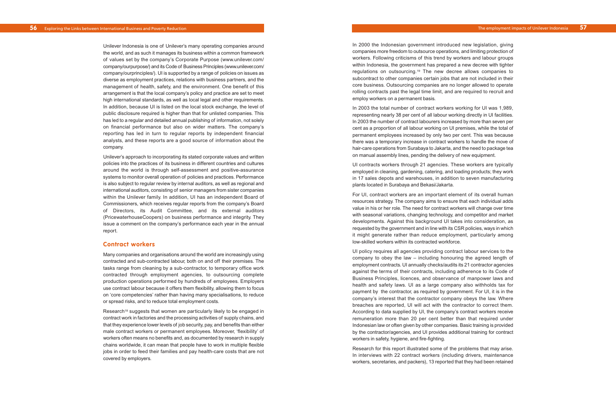In 2000 the Indonesian government introduced new legislation, giving companies more freedom to outsource operations, and limiting protection of workers. Following criticisms of this trend by workers and labour groups within Indonesia, the government has prepared a new decree with tighter regulations on outsourcing.19 The new decree allows companies to subcontract to other companies certain jobs that are not included in their core business. Outsourcing companies are no longer allowed to operate rolling contracts past the legal time limit, and are required to recruit and employ workers on a permanent basis.

In 2003 the total number of contract workers working for UI was 1,989, representing nearly 38 per cent of all labour working directly in UI facilities. In 2003 the number of contract labourers increased by more than seven per cent as a proportion of all labour working on UI premises, while the total of permanent employees increased by only two per cent. This was because there was a temporary increase in contract workers to handle the move of hair-care operations from Surabaya to Jakarta, and the need to package tea on manual assembly lines, pending the delivery of new equipment.

UI contracts workers through 21 agencies. These workers are typically employed in cleaning, gardening, catering, and loading products; they work in 17 sales depots and warehouses, in addition to seven manufacturing plants located in Surabaya and Bekasi/Jakarta.

For UI, contract workers are an important element of its overall human resources strategy. The company aims to ensure that each individual adds value in his or her role. The need for contract workers will change over time with seasonal variations, changing technology, and competitor and market developments. Against this background UI takes into consideration, as requested by the government and in line with its CSR policies, ways in which it might generate rather than reduce employment, particularly among low-skilled workers within its contracted workforce.

UI policy requires all agencies providing contract labour services to the company to obey the law – including honouring the agreed length of employment contracts. UI annually checks/audits its 21 contractor agencies against the terms of their contracts, including adherence to its Code of Business Principles, licences, and observance of manpower laws and health and safety laws. UI as a large company also withholds tax for payment by the contractor, as required by government. For UI, it is in the company's interest that the contractor company obeys the law. Where breaches are reported, UI will act with the contractor to correct them. According to data supplied by UI, the company's contract workers receive remuneration more than 20 per cent better than that required under Indonesian law or often given by other companies. Basic training is provided by the contractor/agencies, and UI provides additional training for contract workers in safety, hygiene, and fire-fighting.

Research for this report illustrated some of the problems that may arise. In interviews with 22 contract workers (including drivers, maintenance workers, secretaries, and packers), 13 reported that they had been retained

Research<sup>18</sup> suggests that women are particularly likely to be engaged in contract work in factories and the processing activities of supply chains, and that they experience lower levels of job security, pay, and benefits than either male contract workers or permanent employees. Moreover, 'flexibility' of workers often means no benefits and, as documented by research in supply chains worldwide, it can mean that people have to work in multiple flexible jobs in order to feed their families and pay health-care costs that are not covered by employers.

Unilever Indonesia is one of Unilever's many operating companies around the world, and as such it manages its business within a common framework of values set by the company's Corporate Purpose (www.unilever.com/ company/ourpurpose/) and its Code of Business Principles (www.unilever.com/ company/ourprinciples/). UI is supported by a range of policies on issues as diverse as employment practices, relations with business partners, and the management of health, safety, and the environment. One benefit of this arrangement is that the local company's policy and practice are set to meet high international standards, as well as local legal and other requirements. In addition, because UI is listed on the local stock exchange, the level of public disclosure required is higher than that for unlisted companies. This has led to a regular and detailed annual publishing of information, not solely on financial performance but also on wider matters. The company's reporting has led in turn to regular reports by independent financial analysts, and these reports are a good source of information about the company.

Unilever's approach to incorporating its stated corporate values and written policies into the practices of its business in different countries and cultures around the world is through self-assessment and positive-assurance systems to monitor overall operation of policies and practices. Performance is also subject to regular review by internal auditors, as well as regional and international auditors, consisting of senior managers from sister companies within the Unilever family. In addition, UI has an independent Board of Commissioners, which receives regular reports from the company's Board of Directors, its Audit Committee, and its external auditors (PricewaterhouseCoopers) on business performance and integrity. They issue a comment on the company's performance each year in the annual report.

#### **Contract workers**

Many companies and organisations around the world are increasingly using contracted and sub-contracted labour, both on and off their premises. The tasks range from cleaning by a sub-contractor, to temporary office work contracted through employment agencies, to outsourcing complete production operations performed by hundreds of employees. Employers use contract labour because it offers them flexibility, allowing them to focus on 'core competencies' rather than having many specialisations, to reduce or spread risks, and to reduce total employment costs.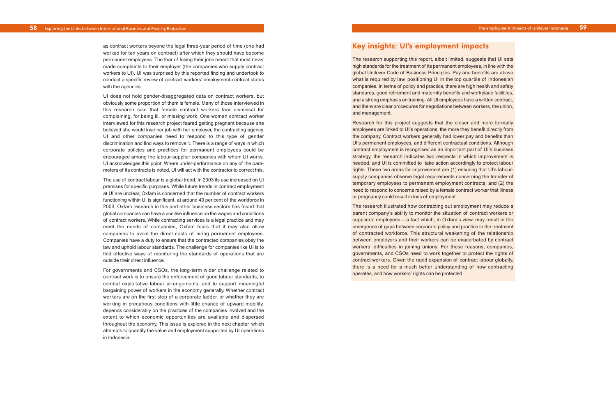## **Key insights: UI's employment impacts**

The research supporting this report, albeit limited, suggests that UI sets high standards for the treatment of its permanent employees, in line with the global Unilever Code of Business Principles. Pay and benefits are above what is required by law, positioning UI in the top quartile of Indonesian companies. In terms of policy and practice, there are high health and safety standards, good retirement and maternity benefits and workplace facilities, and a strong emphasis on training. All UI employees have a written contract, and there are clear procedures for negotiations between workers, the union, and management.

Research for this project suggests that the closer and more formally employees are linked to UI's operations, the more they benefit directly from the company. Contract workers generally had lower pay and benefits than UI's permanent employees, and different contractual conditions. Although contract employment is recognised as an important part of UI's business strategy, the research indicates two respects in which improvement is needed, and UI is committed to take action accordingly to protect labour rights. These two areas for improvement are (1) ensuring that UI's laboursupply companies observe legal requirements concerning the transfer of temporary employees to permanent employment contracts; and (2) the need to respond to concerns raised by a female contract worker that illness or pregnancy could result in loss of employment.

The research illustrated how contracting out employment may reduce a parent company's ability to monitor the situation of contract workers or suppliers' employees – a fact which, in Oxfam's view, may result in the emergence of gaps between corporate policy and practice in the treatment of contracted workforce. This structural weakening of the relationship between employers and their workers can be exacerbated by contract workers' difficulties in joining unions. For these reasons, companies, governments, and CSOs need to work together to protect the rights of contract workers. Given the rapid expansion of contract labour globally, there is a need for a much better understanding of how contracting operates, and how workers' rights can be protected.

as contract workers beyond the legal three-year period of time (one had worked for ten years on contract) after which they should have become permanent employees. The fear of losing their jobs meant that most never made complaints to their employer (the companies who supply contract workers to UI). UI was surprised by this reported finding and undertook to conduct a specific review of contract workers' employment-contract status with the agencies.

UI does not hold gender-disaggregated data on contract workers, but obviously some proportion of them is female. Many of those interviewed in this research said that female contract workers fear dismissal for complaining, for being ill, or missing work. One woman contract worker interviewed for this research project feared getting pregnant because she believed she would lose her job with her employer, the contracting agency. UI and other companies need to respond to this type of gender discrimination and find ways to remove it. There is a range of ways in which corporate policies and practices for permanent employees could be encouraged among the labour-supplier companies with whom UI works. UI acknowledges this point. Where under-performance on any of the parameters of its contracts is noted, UI will act with the contractor to correct this.

The use of contract labour is a global trend. In 2003 its use increased on UI premises for specific purposes. While future trends in contract employment at UI are unclear, Oxfam is concerned that the number of contract workers functioning within UI is significant, at around 40 per cent of the workforce in 2003. Oxfam research in this and other business sectors has found that global companies can have a positive influence on the wages and conditions of contract workers. While contracting services is a legal practice and may meet the needs of companies, Oxfam fears that it may also allow companies to avoid the direct costs of hiring permanent employees. Companies have a duty to ensure that the contracted companies obey the law and uphold labour standards. The challenge for companies like UI is to find effective ways of monitoring the standards of operations that are outside their direct influence.

For governments and CSOs, the long-term wider challenge related to contract work is to ensure the enforcement of good labour standards, to combat exploitative labour arrangements, and to support meaningful bargaining power of workers in the economy generally. Whether contract workers are on the first step of a corporate ladder, or whether they are working in precarious conditions with little chance of upward mobility, depends considerably on the practices of the companies involved and the extent to which economic opportunities are available and dispersed throughout the economy. This issue is explored in the next chapter, which attempts to quantify the value and employment supported by UI operations in Indonesia.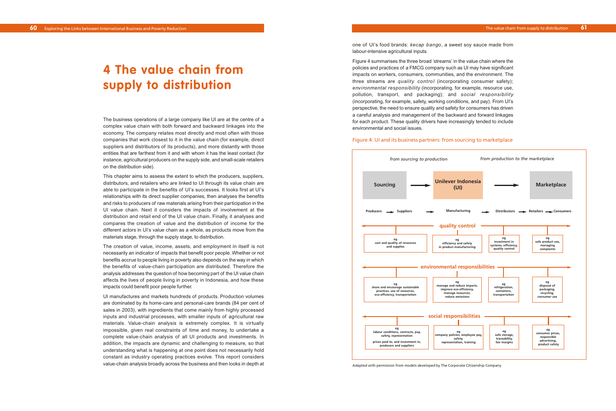one of UI's food brands: *kecap bango*, a sweet soy sauce made from labour-intensive agricultural inputs.

Figure 4 summarises the three broad 'streams' in the value chain where the policies and practices of a FMCG company such as UI may have significant impacts on workers, consumers, communities, and the environment. The three streams are *quality control* (incorporating consumer safety); *environmental responsibility* (incorporating, for example, resource use, pollution, transport, and packaging); and *social responsibility* (incorporating, for example, safety, working conditions, and pay). From UI's perspective, the need to ensure quality and safety for consumers has driven a careful analysis and management of the backward and forward linkages for each product. These quality drivers have increasingly tended to include environmental and social issues.

#### Figure 4: UI and its business partners: from sourcing to marketplace

The business operations of a large company like UI are at the centre of a complex value chain with both forward and backward linkages into the economy. The company relates most directly and most often with those companies that work closest to it in the value chain (for example, direct suppliers and distributors of its products), and more distantly with those entities that are farthest from it and with whom it has the least contact (for instance, agricultural producers on the supply side, and small-scale retailers on the distribution side).

This chapter aims to assess the extent to which the producers, suppliers, distributors, and retailers who are linked to UI through its value chain are able to participate in the benefits of UI's successes. It looks first at UI's relationships with its direct supplier companies, then analyses the benefits and risks to producers of raw materials arising from their participation in the UI value chain. Next it considers the impacts of involvement at the distribution and retail end of the UI value chain. Finally, it analyses and compares the creation of value and the distribution of income for the different actors in UI's value chain as a whole, as products move from the materials stage, through the supply stage, to distribution.

The creation of value, income, assets, and employment in itself is not necessarily an indicator of impacts that benefit poor people. Whether or not benefits accrue to people living in poverty also depends on the way in which the benefits of value-chain participation are distributed. Therefore the analysis addresses the question of how becoming part of the UI value chain affects the lives of people living in poverty in Indonesia, and how these impacts could benefit poor people further.

UI manufactures and markets hundreds of products. Production volumes are dominated by its home-care and personal-care brands (84 per cent of sales in 2003), with ingredients that come mainly from highly processed inputs and industrial processes, with smaller inputs of agricultural raw materials. Value-chain analysis is extremely complex. It is virtually impossible, given real constraints of time and money, to undertake a complete value-chain analysis of all UI products and investments. In addition, the impacts are dynamic and challenging to measure, so that understanding what is happening at one point does not necessarily hold constant as industry operating practices evolve. This report considers value-chain analysis broadly across the business and then looks in depth at

# **4 The value chain from supply to distribution**



Adapted with permission from models developed by The Corporate Citizenship Company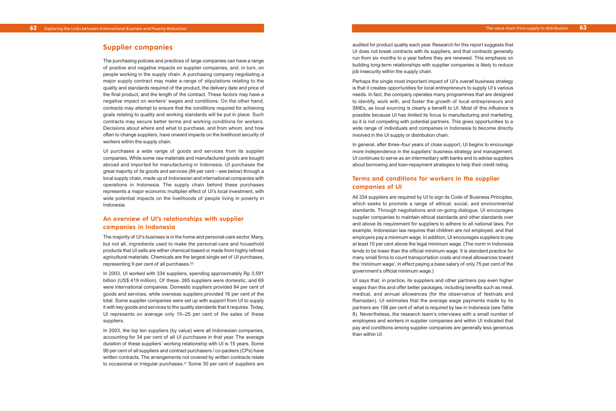audited for product quality each year. Research for this report suggests that UI does not break contracts with its suppliers, and that contracts generally run from six months to a year before they are renewed. This emphasis on building long-term relationships with supplier companies is likely to reduce job insecurity within the supply chain.

Perhaps the single most important impact of UI's overall business strategy is that it creates opportunities for local entrepreneurs to supply UI's various needs. In fact, the company operates many programmes that are designed to identify, work with, and foster the growth of local entrepreneurs and SMEs, as local sourcing is clearly a benefit to UI. Most of this influence is possible because UI has limited its focus to manufacturing and marketing, so it is not competing with potential partners. This gives opportunities to a wide range of individuals and companies in Indonesia to become directly involved in the UI supply or distribution chain.

In general, after three–four years of close support, UI begins to encourage more independence in the suppliers' business strategy and management. UI continues to serve as an intermediary with banks and to advise suppliers about borrowing and loan-repayment strategies to help their credit rating.

## **Terms and conditions for workers in the supplier companies of UI**

All 334 suppliers are required by UI to sign its Code of Business Principles, which seeks to promote a range of ethical, social, and environmental standards. Through negotiations and on-going dialogue, UI encourages supplier companies to maintain ethical standards and other standards over and above its requirement for suppliers to adhere to all national laws. For example, Indonesian law requires that children are not employed, and that employers pay a minimum wage. In addition, UI encourages suppliers to pay at least 10 per cent above the legal minimum wage. (The norm in Indonesia tends to be lower than the official minimum wage. It is standard practice for many small firms to count transportation costs and meal allowances toward the 'minimum wage', in effect paying a base salary of only 75 per cent of the government's official minimum wage.)

UI says that, in practice, its suppliers and other partners pay even higher wages than this and offer better packages, including benefits such as meal, medical, and annual allowances (for the observance of festivals and Ramadan). UI estimates that the average wage payments made by its partners are 158 per cent of what is required by law in Indonesia (see Table 8). Nevertheless, the research team's interviews with a small number of employees and workers in supplier companies and within UI indicated that pay and conditions among supplier companies are generally less generous than within UI.

## **Supplier companies**

The purchasing policies and practices of large companies can have a range of positive and negative impacts on supplier companies, and, in turn, on people working in the supply chain. A purchasing company negotiating a major supply contract may make a range of stipulations relating to the quality and standards required of the product, the delivery date and price of the final product, and the length of the contract. These factors may have a negative impact on workers' wages and conditions. On the other hand, contracts may attempt to ensure that the conditions required for achieving goals relating to quality and working standards will be put in place. Such contracts may secure better terms and working conditions for workers. Decisions about where and what to purchase, and from whom, and how often to change suppliers, have onward impacts on the livelihood security of workers within the supply chain.

UI purchases a wide range of goods and services from its supplier companies. While some raw materials and manufactured goods are bought abroad and imported for manufacturing in Indonesia, UI purchases the great majority of its goods and services (84 per cent – see below) through a local supply chain, made up of Indonesian and international companies with operations in Indonesia. The supply chain behind these purchases represents a major economic multiplier effect of UI's local investment, with wide potential impacts on the livelihoods of people living in poverty in Indonesia.

## **An overview of UI's relationships with supplier companies in Indonesia**

The majority of UI's business is in the home and personal-care sector. Many, but not all, ingredients used to make the personal-care and household products that UI sells are either chemical-based or made from highly refined agricultural materials. Chemicals are the largest single set of UI purchases, representing 9 per cent of all purchases.20

In 2003, UI worked with 334 suppliers, spending approximately Rp 3,591 billion (US\$ 419 million). Of these, 265 suppliers were domestic, and 69 were international companies. Domestic suppliers provided 84 per cent of goods and services, while overseas suppliers provided 16 per cent of the total. Some supplier companies were set up with support from UI to supply it with key goods and services to the quality standards that it requires. Today, UI represents on average only 15–25 per cent of the sales of these suppliers.

In 2003, the top ten suppliers (by value) were all Indonesian companies, accounting for 34 per cent of all UI purchases in that year. The average duration of these suppliers' working relationship with UI is 15 years. Some 90 per cent of all suppliers and contract purchasers / co-packers (CPs) have written contracts. The arrangements not covered by written contracts relate to occasional or irregular purchases.21 Some 30 per cent of suppliers are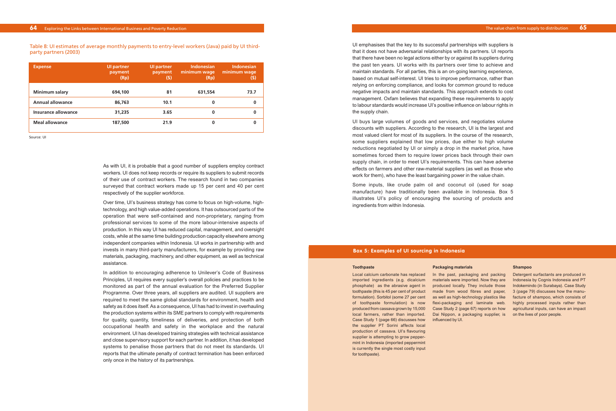UI emphasises that the key to its successful partnerships with suppliers is that it does not have adversarial relationships with its partners. UI reports that there have been no legal actions either by or against its suppliers during the past ten years. UI works with its partners over time to achieve and maintain standards. For all parties, this is an on-going learning experience, based on mutual self-interest. UI tries to improve performance, rather than relying on enforcing compliance, and looks for common ground to reduce negative impacts and maintain standards. This approach extends to cost management. Oxfam believes that expanding these requirements to apply to labour standards would increase UI's positive influence on labour rights in the supply chain.

UI buys large volumes of goods and services, and negotiates volume discounts with suppliers. According to the research, UI is the largest and most valued client for most of its suppliers. In the course of the research, some suppliers explained that low prices, due either to high volume reductions negotiated by UI or simply a drop in the market price, have sometimes forced them to require lower prices back through their own supply chain, in order to meet UI's requirements. This can have adverse effects on farmers and other raw-material suppliers (as well as those who work for them), who have the least bargaining power in the value chain.

Some inputs, like crude palm oil and coconut oil (used for soap manufacture) have traditionally been available in Indonesia. Box 5 illustrates UI's policy of encouraging the sourcing of products and ingredients from within Indonesia.

As with UI, it is probable that a good number of suppliers employ contract workers. UI does not keep records or require its suppliers to submit records of their use of contract workers. The research found in two companies surveyed that contract workers made up 15 per cent and 40 per cent respectively of the supplier workforce.

Over time, UI's business strategy has come to focus on high-volume, hightechnology, and high value-added operations. It has outsourced parts of the operation that were self-contained and non-proprietary, ranging from professional services to some of the more labour-intensive aspects of production. In this way UI has reduced capital, management, and oversight costs, while at the same time building production capacity elsewhere among independent companies within Indonesia. UI works in partnership with and invests in many third-party manufacturers, for example by providing raw materials, packaging, machinery, and other equipment, as well as technical assistance.

> phosphate) as the abrasive agent in y produced locally. They include those Nndokemindo (in Surabaya). Case Study toothpaste (this is 45 per cent of product made from wood fibres and paper, 3 (page 79) discusses how the manuformulation). Sorbitol (some 27 per cent as well as high-technology plastics like facture of shampoo, which consists of Detergent surfactants are produced in Indonesia by Cognis Indonesia and PT highly processed inputs rather than agricultural inputs, can have an impact on the lives of poor people.

In addition to encouraging adherence to Unilever's Code of Business Principles, UI requires every supplier's overall policies and practices to be monitored as part of the annual evaluation for the Preferred Supplier Programme. Over three years, all suppliers are audited. UI suppliers are required to meet the same global standards for environment, health and safety as it does itself. As a consequence, UI has had to invest in overhauling the production systems within its SME partners to comply with requirements for quality, quantity, timeliness of deliveries, and protection of both occupational health and safety in the workplace and the natural environment. UI has developed training strategies with technical assistance and close supervisory support for each partner. In addition, it has developed systems to penalise those partners that do not meet its standards. UI reports that the ultimate penalty of contract termination has been enforced only once in the history of its partnerships.

| <b>Expense</b>          | <b>UI partner</b><br>payment<br>(Rp) | <b>UI partner</b><br>payment<br>(S) | <b>Indonesian</b><br>minimum wage<br>(Rp) | <b>Indonesian</b><br>minimum wage<br>(S) |
|-------------------------|--------------------------------------|-------------------------------------|-------------------------------------------|------------------------------------------|
| <b>Minimum salary</b>   | 694,100                              | 81                                  | 631,554                                   | 73.7                                     |
| <b>Annual allowance</b> | 86,763                               | 10.1                                | 0                                         | 0                                        |
| Insurance allowance     | 31,235                               | 3.65                                | 0                                         | 0                                        |
| <b>Meal allowance</b>   | 187,500                              | 21.9                                | 0                                         | 0                                        |

Table 8: UI estimates of average monthly payments to entry-level workers (Java) paid by UI thirdparty partners (2003)

Source: UI

#### **Toothpaste**

Local calcium carbonate has replaced imported ingredients (e.g. dicalcium produced from cassava grown by 15,000 local farmers, rather than imported. Case Study 1 (page 66) discusses how the supplier PT Sorini affects local production of cassava. UI's flavouring supplier is attempting to grow peppermint in Indonesia (imported peppermint is currently the single most costly input for toothpaste).

of toothpaste formulation) is now flexi-packaging and laminate web. In the past, packaging and packing materials were imported. Now they are Case Study 2 (page 67) reports on how Dai Nippon, a packaging supplier, is

#### **Packaging materials**

influenced by UI.

#### **Shampoo**

#### **Box 5: Examples of UI sourcing in Indonesia**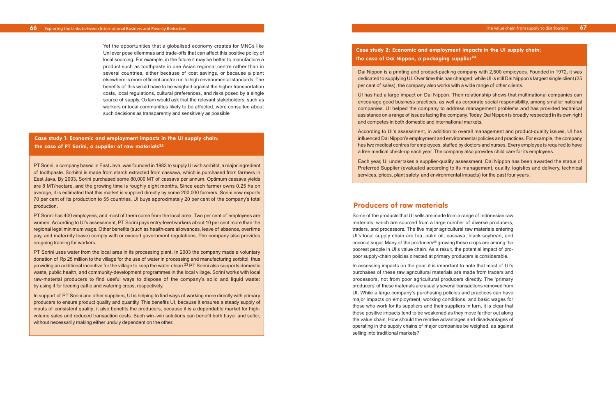## **Producers of raw materials**

Some of the products that UI sells are made from a range of Indonesian raw materials, which are sourced from a large number of diverse producers, traders, and processors. The five major agricultural raw materials entering UI's local supply chain are tea, palm oil, cassava, black soybean, and coconut sugar. Many of the producers<sup>25</sup> growing these crops are among the poorest people in UI's value chain. As a result, the potential impact of propoor supply-chain policies directed at primary producers is considerable.

In assessing impacts on the poor, it is important to note that most of UI's purchases of these raw agricultural materials are made from traders and processors, not from poor agricultural producers directly. The 'primary producers' of these materials are usually several transactions removed from UI. While a large company's purchasing policies and practices can have major impacts on employment, working conditions, and basic wages for those who work for its suppliers and their suppliers in turn, it is clear that these positive impacts tend to be weakened as they move farther out along the value chain. How should the relative advantages and disadvantages of operating in the supply chains of major companies be weighed, as against selling into traditional markets?

Yet the opportunities that a globalised economy creates for MNCs like Unilever pose dilemmas and trade-offs that can affect this positive policy of local sourcing. For example, in the future it may be better to manufacture a product such as toothpaste in one Asian regional centre rather than in several countries, either because of cost savings, or because a plant elsewhere is more efficient and/or run to high environmental standards. The benefits of this would have to be weighed against the higher transportation costs, local regulations, cultural preferences, and risks posed by a single source of supply. Oxfam would ask that the relevant stakeholders, such as workers or local communities likely to be affected, were consulted about such decisions as transparently and sensitively as possible.

PT Sorini, a company based in East Java, was founded in 1983 to supply UI with sorbitol, a major ingredient of toothpaste. Sorbitol is made from starch extracted from cassava, which is purchased from farmers in East Java. By 2003, Sorini purchased some 80,000 MT of cassava per annum. Optimum cassava yields are 8 MT/hectare, and the growing time is roughly eight months. Since each farmer owns 0.25 ha on average, it is estimated that this market is supplied directly by some 200,000 farmers. Sorini now exports 70 per cent of its production to 55 countries. UI buys approximately 20 per cent of the company's total production.

PT Sorini has 400 employees, and most of them come from the local area. Two per cent of employees are women. According to UI's assessment, PT Sorini pays entry-level workers about 10 per cent more than the regional legal minimum wage. Other benefits (such as health-care allowances, leave of absence, overtime pay, and maternity leave) comply with or exceed government regulations. The company also provides on-going training for workers.

PT Sorini uses water from the local area in its processing plant. In 2003 the company made a voluntary donation of Rp 25 million to the village for the use of water in processing and manufacturing sorbitol, thus providing an additional incentive for the village to keep the water clean.23 PT Sorini also supports domestic waste, public health, and community-development programmes in the local village. Sorini works with local raw-material producers to find useful ways to dispose of the company's solid and liquid waste: by using it for feeding cattle and watering crops, respectively.

In support of PT Sorini and other suppliers, UI is helping to find ways of working more directly with primary producers to ensure product quality and quantity. This benefits UI, because it ensures a steady supply of inputs of consistent quality; it also benefits the producers, because it is a dependable market for highvolume sales and reduced transaction costs. Such win–win solutions can benefit both buyer and seller, without necessarily making either unduly dependent on the other.

## **Case study 1: Economic and employment impacts in the UI supply chain: the case of PT Sorini, a supplier of raw materials22**

Dai Nippon is a printing and product-packing company with 2,500 employees. Founded in 1972, it was dedicated to supplying UI. Over time this has changed: while UI is still Dai Nippon's largest single client (25 per cent of sales), the company also works with a wide range of other clients.

UI has had a large impact on Dai Nippon. Their relationship shows that multinational companies can encourage good business practices, as well as corporate social responsibility, among smaller national companies. UI helped the company to address management problems and has provided technical assistance on a range of issues facing the company. Today, Dai Nippon is broadly respected in its own right and competes in both domestic and international markets.

According to UI's assessment, in addition to overall management and product-quality issues, UI has influenced Dai Nippon's employment and environmental policies and practices. For example, the company has two medical centres for employees, staffed by doctors and nurses. Every employee is required to have a free medical check-up each year. The company also provides child care for its employees.

Each year, UI undertakes a supplier-quality assessment. Dai Nippon has been awarded the status of Preferred Supplier (evaluated according to its management, quality, logistics and delivery, technical services, prices, plant safety, and environmental impacts) for the past four years.

### **Case study 2: Economic and employment impacts in the UI supply chain: the case of Dai Nippon, a packaging supplier24**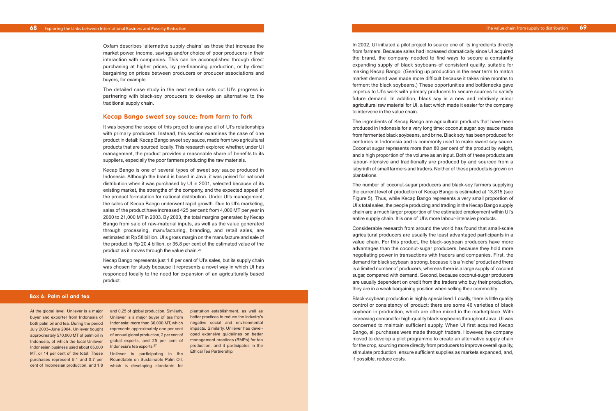In 2002, UI initiated a pilot project to source one of its ingredients directly from farmers. Because sales had increased dramatically since UI acquired the brand, the company needed to find ways to secure a constantly expanding supply of black soybeans of consistent quality, suitable for making Kecap Bango. (Gearing up production in the near term to match market demand was made more difficult because it takes nine months to ferment the black soybeans.) These opportunities and bottlenecks gave impetus to UI's work with primary producers to secure sources to satisfy future demand. In addition, black soy is a new and relatively minor agricultural raw material for UI, a fact which made it easier for the company to intervene in the value chain.

The ingredients of Kecap Bango are agricultural products that have been produced in Indonesia for a very long time: coconut sugar, soy sauce made from fermented black soybeans, and brine. Black soy has been produced for centuries in Indonesia and is commonly used to make sweet soy sauce. Coconut sugar represents more than 80 per cent of the product by weight, and a high proportion of the volume as an input. Both of these products are labour-intensive and traditionally are produced by and sourced from a labyrinth of small farmers and traders. Neither of these products is grown on plantations.

The number of coconut-sugar producers and black-soy farmers supplying the current level of production of Kecap Bango is estimated at 13,815 (see Figure 5). Thus, while Kecap Bango represents a very small proportion of UI's total sales, the people producing and trading in the Kecap Bango supply chain are a much larger proportion of the estimated employment within UI's entire supply chain. It is one of UI's more labour-intensive products.

Considerable research from around the world has found that small-scale agricultural producers are usually the least advantaged participants in a value chain. For this product, the black-soybean producers have more advantages than the coconut-sugar producers, because they hold more negotiating power in transactions with traders and companies. First, the demand for black soybean is strong, because it is a 'niche' product and there is a limited number of producers, whereas there is a large supply of coconut sugar, compared with demand. Second, because coconut-sugar producers are usually dependent on credit from the traders who buy their production, they are in a weak bargaining position when selling their commodity.

At the global level, Unilever is a major and 0.25 of global production. Similarly, global exports, and 25 per cent of management practices (BMPs) for tea Indonesia's tea exports.<sup>27</sup>

Black-soybean production is highly specialised. Locally, there is little quality control or consistency of product: there are some 46 varieties of black soybean in production, which are often mixed in the marketplace. With increasing demand for high-quality black soybeans throughout Java, UI was concerned to maintain sufficient supply. When UI first acquired Kecap Bango, all purchases were made through traders. However, the company moved to develop a pilot programme to create an alternative supply chain for the crop, sourcing more directly from producers to improve overall quality, stimulate production, ensure sufficient supplies as markets expanded, and, if possible, reduce costs.

Oxfam describes 'alternative supply chains' as those that increase the market power, income, savings and/or choice of poor producers in their interaction with companies. This can be accomplished through direct purchasing at higher prices, by pre-financing production, or by direct bargaining on prices between producers or producer associations and buyers, for example.

The detailed case study in the next section sets out UI's progress in partnering with black-soy producers to develop an alternative to the traditional supply chain.

### **Kecap Bango sweet soy sauce: from farm to fork**

It was beyond the scope of this project to analyse all of UI's relationships with primary producers. Instead, this section examines the case of one product in detail: Kecap Bango sweet soy sauce, made from two agricultural products that are sourced locally. This research explored whether, under UI management, the product provides a reasonable share of benefits to its suppliers, especially the poor farmers producing the raw materials.

Kecap Bango is one of several types of sweet soy sauce produced in Indonesia. Although the brand is based in Java, it was poised for national distribution when it was purchased by UI in 2001, selected because of its existing market, the strengths of the company, and the expected appeal of the product formulation for national distribution. Under UI's management, the sales of Kecap Bango underwent rapid growth. Due to UI's marketing, sales of the product have increased 425 per cent: from 4,000 MT per year in 2000 to 21,000 MT in 2003. By 2003, the total margins generated by Kecap Bango from sale of raw-material inputs, as well as the value generated through processing, manufacturing, branding, and retail sales, are estimated at Rp 58 billion. UI's gross margin on the manufacture and sale of the product is Rp 20.4 billion, or 35.8 per cent of the estimated value of the product as it moves through the value chain.26

Kecap Bango represents just 1.8 per cent of UI's sales, but its supply chain was chosen for study because it represents a novel way in which UI has responded locally to the need for expansion of an agriculturally based product.

#### **Box 6: Palm oil and tea**

buyer and exporter from Indonesia of Unilever is a major buyer of tea from both palm oil and tea. During the period Indonesia: more than 30,000 MT, which July 2003–June 2004, Unilever bought er represents approximately one per cent impacts. Similarly, Unilever has develapproximately 570,000 MT of palm oil in cof annual global production, 2 per cent of coped extensive guidelines on better Indonesia, of which the local Unilever Indonesian business used about 85,000 MT, or 14 per cent of the total. These Unilever is participating in the purchases represent 5.1 and 0.7 per cent of Indonesian production, and 1.8 which is developing standards for

Roundtable on Sustainable Palm Oil,

plantation establishment, as well as better practices to reduce the industry's negative social and environmental production, and it participates in the Ethical Tea Partnership.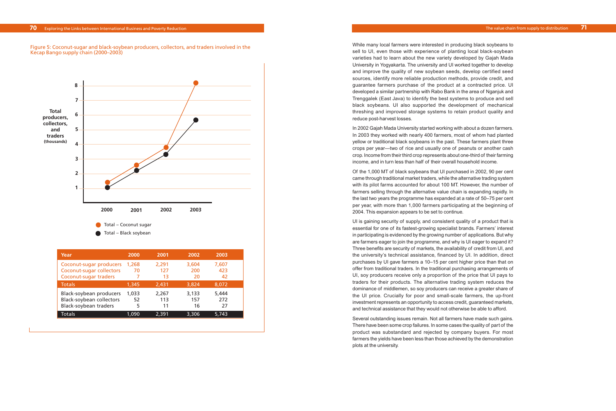While many local farmers were interested in producing black soybeans to sell to UI, even those with experience of planting local black-soybean varieties had to learn about the new variety developed by Gajah Mada University in Yogyakarta. The university and UI worked together to develop and improve the quality of new soybean seeds, develop certified seed sources, identify more reliable production methods, provide credit, and guarantee farmers purchase of the product at a contracted price. UI developed a similar partnership with Rabo Bank in the area of Nganjuk and Trenggalek (East Java) to identify the best systems to produce and sell black soybeans. UI also supported the development of mechanical threshing and improved storage systems to retain product quality and reduce post-harvest losses.

In 2002 Gajah Mada University started working with about a dozen farmers. In 2003 they worked with nearly 400 farmers, most of whom had planted yellow or traditional black soybeans in the past. These farmers plant three crops per year—two of rice and usually one of peanuts or another cash crop. Income from their third crop represents about one-third of their farming income, and in turn less than half of their overall household income.

Of the 1,000 MT of black soybeans that UI purchased in 2002, 90 per cent came through traditional market traders, while the alternative trading system with its pilot farms accounted for about 100 MT. However, the number of farmers selling through the alternative value chain is expanding rapidly. In the last two years the programme has expanded at a rate of 50–75 per cent per year, with more than 1,000 farmers participating at the beginning of 2004. This expansion appears to be set to continue.

## **70** Exploring the Links between International Business and Poverty Reduction **71 Figure 7 Figure 5 Figure 5 Figure 5 Figure 5 Figure 7 Figure 5 Figure 5 Figure 5 Figure 5 Figure 5 Figure 5 Figure**

Figure 5: Coconut-sugar and black-soybean producers, collectors, and traders involved in the Kecap Bango supply chain (2000–2003)

> UI is gaining security of supply, and consistent quality of a product that is essential for one of its fastest-growing specialist brands. Farmers' interest in participating is evidenced by the growing number of applications. But why are farmers eager to join the programme, and why is UI eager to expand it? Three benefits are security of markets, the availability of credit from UI, and the university's technical assistance, financed by UI. In addition, direct purchases by UI gave farmers a 10–15 per cent higher price than that on offer from traditional traders. In the traditional purchasing arrangements of UI, soy producers receive only a proportion of the price that UI pays to traders for their products. The alternative trading system reduces the dominance of middlemen, so soy producers can receive a greater share of the UI price. Crucially for poor and small-scale farmers, the up-front investment represents an opportunity to access credit, guaranteed markets, and technical assistance that they would not otherwise be able to afford.

> Several outstanding issues remain. Not all farmers have made such gains. There have been some crop failures. In some cases the quality of part of the product was substandard and rejected by company buyers. For most farmers the yields have been less than those achieved by the demonstration plots at the university.



| Year                                                                         | 2000             | 2001               | 2002               | 2003               |  |
|------------------------------------------------------------------------------|------------------|--------------------|--------------------|--------------------|--|
| Coconut-sugar producers<br>Coconut-sugar collectors<br>Coconut-sugar traders | 1,268<br>70      | 2,291<br>127<br>13 | 3,604<br>200<br>20 | 7,607<br>423<br>42 |  |
| <b>Totals</b>                                                                | 1,345            | 2,431              | 3,824              | 8,072              |  |
| Black-soybean producers<br>Black-soybean collectors<br>Black-soybean traders | 1.033<br>52<br>5 | 2,267<br>113<br>11 | 3,133<br>157<br>16 | 5,444<br>272<br>27 |  |
| Totals                                                                       | 1,090            | 2,391              | 3,306              | 5,743              |  |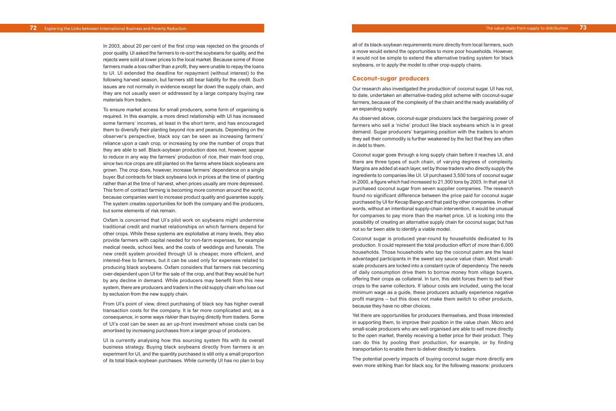all of its black-soybean requirements more directly from local farmers, such a move would extend the opportunities to more poor households. However, it would not be simple to extend the alternative trading system for black soybeans, or to apply the model to other crop-supply chains.

#### **Coconut-sugar producers**

Our research also investigated the production of coconut sugar. UI has not, to date, undertaken an alternative-trading pilot scheme with coconut-sugar farmers, because of the complexity of the chain and the ready availability of an expanding supply.

As observed above, coconut-sugar producers lack the bargaining power of farmers who sell a 'niche' product like black soybeans which is in great demand. Sugar producers' bargaining position with the traders to whom they sell their commodity is further weakened by the fact that they are often in debt to them.

Coconut sugar goes through a long supply chain before it reaches UI, and there are three types of such chain, of varying degrees of complexity. Margins are added at each layer, set by those traders who directly supply the ingredients to companies like UI. UI purchased 3,550 tons of coconut sugar in 2000, a figure which had increased to 21,300 tons by 2003. In that year UI purchased coconut sugar from seven supplier companies. The research found no significant difference between the price paid for coconut sugar purchased by UI for Kecap Bango and that paid by other companies. In other words, without an intentional supply-chain intervention, it would be unusual for companies to pay more than the market price. UI is looking into the possibility of creating an alternative supply chain for coconut sugar, but has not so far been able to identify a viable model.

Coconut sugar is produced year-round by households dedicated to its production. It could represent the total production effort of more than 6,000 households. Those households who tap the coconut palm are the least advantaged participants in the sweet soy sauce value chain. Most smallscale producers are locked into a constant cycle of dependency. The needs of daily consumption drive them to borrow money from village buyers, offering their crops as collateral. In turn, this debt forces them to sell their crops to the same collectors. If labour costs are included, using the local minimum wage as a guide, these producers actually experience negative profit margins – but this does not make them switch to other products, because they have no other choices.

Yet there are opportunities for producers themselves, and those interested in supporting them, to improve their position in the value chain. Micro and small-scale producers who are well organised are able to sell more directly to the open market, thereby receiving a better price for their product. They can do this by pooling their production, for example, or by finding transportation to enable them to deliver directly to traders.

The potential poverty impacts of buying coconut sugar more directly are even more striking than for black soy, for the following reasons: producers

In 2003, about 20 per cent of the first crop was rejected on the grounds of poor quality. UI asked the farmers to re-sort the soybeans for quality, and the rejects were sold at lower prices to the local market. Because some of those farmers made a loss rather than a profit, they were unable to repay the loans to UI. UI extended the deadline for repayment (without interest) to the following harvest season, but farmers still bear liability for the credit. Such issues are not normally in evidence except far down the supply chain, and they are not usually seen or addressed by a large company buying raw materials from traders.

To ensure market access for small producers, some form of organising is required. In this example, a more direct relationship with UI has increased some farmers' incomes, at least in the short term, and has encouraged them to diversify their planting beyond rice and peanuts. Depending on the observer's perspective, black soy can be seen as increasing farmers' reliance upon a cash crop, or increasing by one the number of crops that they are able to sell. Black-soybean production does not, however, appear to reduce in any way the farmers' production of rice, their main food crop, since two rice crops are still planted on the farms where black soybeans are grown. The crop does, however, increase farmers' dependence on a single buyer. But contracts for black soybeans lock in prices at the time of planting rather than at the time of harvest, when prices usually are more depressed. This form of contract farming is becoming more common around the world, because companies want to increase product quality and guarantee supply. The system creates opportunities for both the company and the producers, but some elements of risk remain.

Oxfam is concerned that UI's pilot work on soybeans might undermine traditional credit and market relationships on which farmers depend for other crops. While these systems are exploitative at many levels, they also provide farmers with capital needed for non-farm expenses, for example medical needs, school fees, and the costs of weddings and funerals. The new credit system provided through UI is cheaper, more efficient, and interest-free to farmers, but it can be used only for expenses related to producing black soybeans. Oxfam considers that farmers risk becoming over-dependent upon UI for the sale of the crop, and that they would be hurt by any decline in demand. While producers may benefit from this new system, there are producers and traders in the old supply chain who lose out by exclusion from the new supply chain.

From UI's point of view, direct purchasing of black soy has higher overall transaction costs for the company. It is far more complicated and, as a consequence, in some ways riskier than buying directly from traders. Some of UI's cost can be seen as an up-front investment whose costs can be amortised by increasing purchases from a larger group of producers.

UI is currently analysing how this sourcing system fits with its overall business strategy. Buying black soybeans directly from farmers is an experiment for UI, and the quantity purchased is still only a small proportion of its total black-soybean purchases. While currently UI has no plan to buy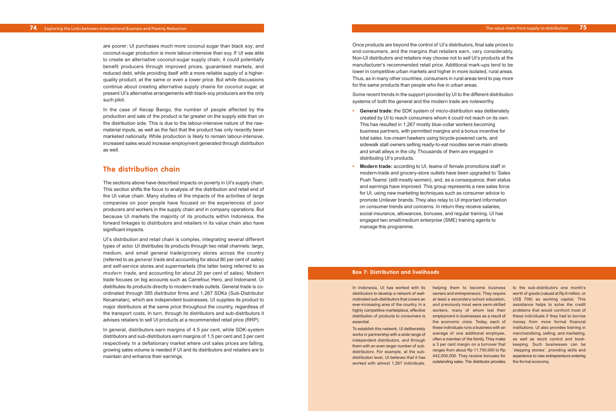Once products are beyond the control of UI's distributors, final sale prices to end-consumers, and the margins that retailers earn, vary considerably. Non-UI distributors and retailers may choose not to sell UI's products at the manufacturer's recommended retail price. Additional mark-ups tend to be lower in competitive urban markets and higher in more isolated, rural areas. Thus, as in many other countries, consumers in rural areas tend to pay more for the same products than people who live in urban areas.

Some recent trends in the support provided by UI to the different distribution systems of both the general and the modern trade are noteworthy.

- **• General trade:** the SDK system of micro-distribution was deliberately created by UI to reach consumers whom it could not reach on its own. This has resulted in 1,267 mostly blue-collar workers becoming business partners, with permitted margins and a bonus incentive for total sales. Ice-cream hawkers using bicycle-powered carts, and sidewalk stall owners selling ready-to-eat noodles serve main streets and small alleys in the city. Thousands of them are engaged in distributing UI's products.
- **• Modern trade:** according to UI, teams of female promotions staff in modern-trade and grocery-store outlets have been upgraded to 'Sales Push Teams' (still mostly women), and, as a consequence, their status and earnings have improved. This group represents a new sales force for UI, using new marketing techniques such as consumer advice to promote Unilever brands. They also relay to UI important information on consumer trends and concerns. In return they receive salaries, social insurance, allowances, bonuses, and regular training. UI has engaged two small/medium enterprise (SME) training agents to manage this programme.

are poorer; UI purchases much more coconut sugar than black soy; and coconut-sugar production is more labour-intensive than soy. If UI was able to create an alternative coconut-sugar supply chain, it could potentially benefit producers through improved prices, guaranteed markets, and reduced debt, while providing itself with a more reliable supply of a higherquality product, at the same or even a lower price. But while discussions continue about creating alternative supply chains for coconut sugar, at present UI's alternative arrangements with black-soy producers are the only such pilot.

> To establish this network, UI deliberately works in partnership with a wide range of independent distributors, and through them with an even larger number of subdistributors. For example, at the subdistribution level, UI believes that it has worked with almost 1,267 individuals

In the case of Kecap Bango, the number of people affected by the production and sale of the product is far greater on the supply side than on the distribution side. This is due to the labour-intensive nature of the rawmaterial inputs, as well as the fact that the product has only recently been marketed nationally. While production is likely to remain labour-intensive, increased sales would increase employment generated through distribution as well.

## **The distribution chain**

In Indonesia, UI has worked with its helping them to become business to the sub-distributors one month's motivated sub-distributors that covers an at least a secondary-school education, US\$ 706) as working capital. This ever-increasing area of the country. In a and previously most were semi-skilled assistance helps to solve the credit highly competitive marketplace, effective workers, many of whom lost their problems that would confront most of owners and entrepreneurs. They require employment in businesses as a result of these individuals if they had to borrow the economic crisis. Today, each of money from more formal financial these individuals runs a business with an institutions. UI also provides training in average of one additional employee, merchandising, selling, and marketing, often a member of the family. They make as well as stock control and booka 3 per cent margin on a turnover that ranges from about Rp 11,700,000 to Rp stepping stones', providing skills and 442,000,000. They receive bonuses for outstanding sales. The distributor provides

The sections above have described impacts on poverty in UI's supply chain. This section shifts the focus to analysis of the distribution and retail end of the UI value chain. Many studies of the impacts of the activities of large companies on poor people have focused on the experiences of poor producers and workers in the supply chain and in company operations. But because UI markets the majority of its products within Indonesia, the forward linkages to distributors and retailers in its value chain also have significant impacts.

UI's distribution and retail chain is complex, integrating several different types of actor. UI distributes its products through two retail channels: large, medium, and small general trade/grocery stores across the country (referred to as *general trade* and accounting for about 80 per cent of sales) and self-service stores and supermarkets (the latter being referred to as *modern trade*, and accounting for about 20 per cent of sales). Modern trade focuses on big accounts such as Carrefour, Hero, and Indomaret. UI distributes its products directly to modern-trade outlets. General trade is coordinated through 385 distributor firms and 1,267 SDKs (Sub-Distributor Kecamatan), which are independent businesses. UI supplies its product to major distributors at the same price throughout the country, regardless of the transport costs. In turn, through its distributors and sub-distributors it advises retailers to sell UI products at a recommended retail price (RRP).

In general, distributors earn margins of 4.5 per cent, while SDK-system distributors and sub-distributors earn margins of 1.5 per cent and 3 per cent respectively. In a deflationary market where unit sales prices are falling, growing sales volume is needed if UI and its distributors and retailers are to maintain and enhance their earnings.

#### **Box 7: Distribution and livelihoods**

distributors to develop a network of welldistribution of products to consumers is essential.

worth of goods (valued at Rp 6 million, or keeping. Such businesses can be experience to new entrepreneurs entering the formal economy.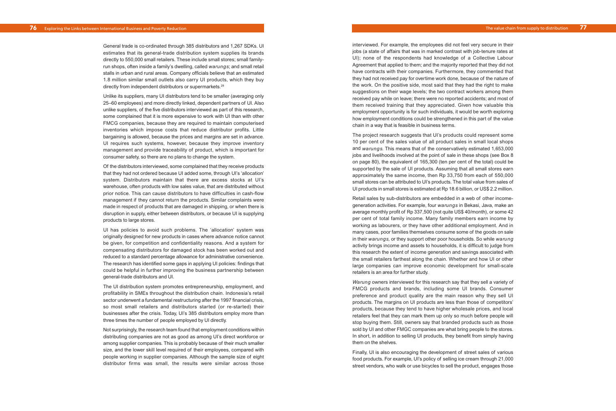interviewed. For example, the employees did not feel very secure in their jobs (a state of affairs that was in marked contrast with job-tenure rates at UI); none of the respondents had knowledge of a Collective Labour Agreement that applied to them; and the majority reported that they did not have contracts with their companies. Furthermore, they commented that they had not received pay for overtime work done, because of the nature of the work. On the positive side, most said that they had the right to make suggestions on their wage levels; the two contract workers among them received pay while on leave; there were no reported accidents; and most of them received training that they appreciated. Given how valuable this employment opportunity is for such individuals, it would be worth exploring how employment conditions could be strengthened in this part of the value chain in a way that is feasible in business terms.

The project research suggests that UI's products could represent some 10 per cent of the sales value of all product sales in small local shops and *warungs.* This means that of the conservatively estimated 1,653,000 jobs and livelihoods involved at the point of sale in these shops (see Box 8 on page 80), the equivalent of 165,300 (ten per cent of the total) could be supported by the sale of UI products. Assuming that all small stores earn approximately the same income, then Rp 33,750 from each of 550,000 small stores can be attributed to UI's products. The total value from sales of UI products in small stores is estimated at Rp 18.6 billion, or US\$ 2.2 million.

Retail sales by sub-distributors are embedded in a web of other incomegeneration activities. For example, four *warungs* in Bekasi, Java, make an average monthly profit of Rp 337,500 (not quite US\$ 40/month), or some 42 per cent of total family income. Many family members earn income by working as labourers, or they have other additional employment. And in many cases, poor families themselves consume some of the goods on sale in their *warungs,* or they support other poor households. So while *warung* activity brings income and assets to households, it is difficult to judge from this research the extent of income generation and savings associated with the small retailers farthest along the chain. Whether and how UI or other large companies can improve economic development for small-scale retailers is an area for further study.

*Warung* owners interviewed for this research say that they sell a variety of FMCG products and brands, including some UI brands. Consumer preference and product quality are the main reason why they sell UI products. The margins on UI products are less than those of competitors' products, because they tend to have higher wholesale prices, and local retailers feel that they can mark them up only so much before people will stop buying them. Still, owners say that branded products such as those sold by UI and other FMGC companies are what bring people to the stores. In short, in addition to selling UI products, they benefit from simply having them on the shelves.

Finally, UI is also encouraging the development of street sales of various food products. For example, UI's policy of selling ice cream through 21,000 street vendors, who walk or use bicycles to sell the product, engages those

General trade is co-ordinated through 385 distributors and 1,267 SDKs. UI estimates that its general-trade distribution system supplies its brands directly to 550,000 small retailers. These include small stores; small familyrun shops, often inside a family's dwelling, called *warungs*; and small retail stalls in urban and rural areas. Company officials believe that an estimated 1.8 million similar small outlets also carry UI products, which they buy directly from independent distributors or supermarkets.28

Unlike its suppliers, many UI distributors tend to be smaller (averaging only 25–60 employees) and more directly linked, dependent partners of UI. Also unlike suppliers, of the five distributors interviewed as part of this research, some complained that it is more expensive to work with UI than with other FMCG companies, because they are required to maintain computerised inventories which impose costs that reduce distributor profits. Little bargaining is allowed, because the prices and margins are set in advance. UI requires such systems, however, because they improve inventory management and provide traceability of product, which is important for consumer safety, so there are no plans to change the system.

Of the distributors interviewed, some complained that they receive products that they had not ordered because UI added some, through UI's 'allocation' system. Distributors maintain that there are excess stocks at UI's warehouse, often products with low sales value, that are distributed without prior notice. This can cause distributors to have difficulties in cash-flow management if they cannot return the products. Similar complaints were made in respect of products that are damaged in shipping, or when there is disruption in supply, either between distributors, or because UI is supplying products to large stores.

UI has policies to avoid such problems. The 'allocation' system was originally designed for new products in cases where advance notice cannot be given, for competition and confidentiality reasons. And a system for compensating distributors for damaged stock has been worked out and reduced to a standard percentage allowance for administrative convenience. The research has identified some gaps in applying UI policies: findings that could be helpful in further improving the business partnership between general-trade distributors and UI.

The UI distribution system promotes entrepreneurship, employment, and profitability in SMEs throughout the distribution chain. Indonesia's retail sector underwent a fundamental restructuring after the 1997 financial crisis, so most small retailers and distributors started (or re-started) their businesses after the crisis. Today, UI's 385 distributors employ more than three times the number of people employed by UI directly.

Not surprisingly, the research team found that employment conditions within distributing companies are not as good as among UI's direct workforce or among supplier companies. This is probably because of their much smaller size, and the lower skill level required of their employees, compared with people working in supplier companies. Although the sample size of eight distributor firms was small, the results were similar across those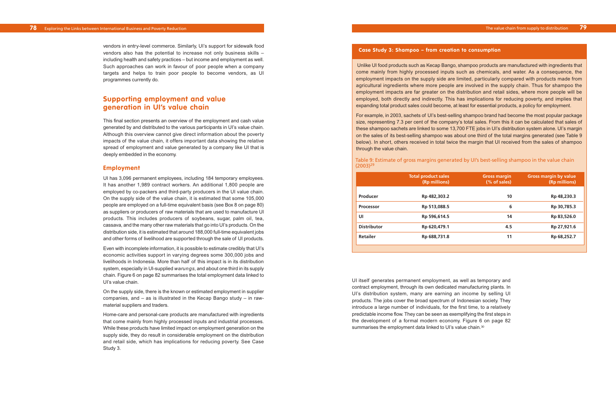### Table 9: Estimate of gross margins generated by UI's best-selling shampoo in the value chain

vendors in entry-level commerce. Similarly, UI's support for sidewalk food vendors also has the potential to increase not only business skills – including health and safety practices – but income and employment as well. Such approaches can work in favour of poor people when a company targets and helps to train poor people to become vendors, as UI programmes currently do.

## **Supporting employment and value generation in UI's value chain**

This final section presents an overview of the employment and cash value generated by and distributed to the various participants in UI's value chain. Although this overview cannot give direct information about the poverty impacts of the value chain, it offers important data showing the relative spread of employment and value generated by a company like UI that is deeply embedded in the economy.

#### **Employment**

UI has 3,096 permanent employees, including 184 temporary employees. It has another 1,989 contract workers. An additional 1,800 people are employed by co-packers and third-party producers in the UI value chain. On the supply side of the value chain, it is estimated that some 105,000 people are employed on a full-time equivalent basis (see Box 8 on page 80) as suppliers or producers of raw materials that are used to manufacture UI products. This includes producers of soybeans, sugar, palm oil, tea, cassava, and the many other raw materials that go into UI's products. On the distribution side, it is estimated that around 188,000 full-time equivalent jobs and other forms of livelihood are supported through the sale of UI products.

Even with incomplete information, it is possible to estimate credibly that UI's economic activities support in varying degrees some 300,000 jobs and livelihoods in Indonesia. More than half of this impact is in its distribution system, especially in UI-supplied *warungs*, and about one third in its supply chain. Figure 6 on page 82 summarises the total employment data linked to UI's value chain.

UI itself generates permanent employment, as well as temporary and contract employment, through its own dedicated manufacturing plants. In UI's distribution system, many are earning an income by selling UI products. The jobs cover the broad spectrum of Indonesian society. They introduce a large number of individuals, for the first time, to a relatively predictable income flow. They can be seen as exemplifying the first steps in the development of a formal modern economy. Figure 6 on page 82 summarises the employment data linked to UI's value chain.<sup>30</sup>

On the supply side, there is the known or estimated employment in supplier companies, and – as is illustrated in the Kecap Bango study – in rawmaterial suppliers and traders.

Home-care and personal-care products are manufactured with ingredients that come mainly from highly processed inputs and industrial processes. While these products have limited impact on employment generation on the supply side, they do result in considerable employment on the distribution and retail side, which has implications for reducing poverty. See Case Study 3.

#### **Case Study 3: Shampoo – from creation to consumption**

Unlike UI food products such as Kecap Bango, shampoo products are manufactured with ingredients that come mainly from highly processed inputs such as chemicals, and water. As a consequence, the employment impacts on the supply side are limited, particularly compared with products made from agricultural ingredients where more people are involved in the supply chain. Thus for shampoo the employment impacts are far greater on the distribution and retail sides, where more people will be employed, both directly and indirectly. This has implications for reducing poverty, and implies that expanding total product sales could become, at least for essential products, a policy for employment.

For example, in 2003, sachets of UI's best-selling shampoo brand had become the most popular package size, representing 7.3 per cent of the company's total sales. From this it can be calculated that sales of these shampoo sachets are linked to some 13,700 FTE jobs in UI's distribution system alone. UI's margin on the sales of its best-selling shampoo was about one third of the total margins generated (see Table 9 below). In short, others received in total twice the margin that UI received from the sales of shampoo through the value chain.

 $(2003)^{29}$ 

|                    | <b>Total product sales</b><br>(Rp millions) | <b>Gross margin</b><br>(% of sales) | <b>Gross margin by value</b><br>(Rp millions) |
|--------------------|---------------------------------------------|-------------------------------------|-----------------------------------------------|
| Producer           | Rp 482,303.2                                | 10                                  | Rp 48,230.3                                   |
| <b>Processor</b>   | Rp 513,088.5                                | 6                                   | Rp 30,785.3                                   |
| UI                 | Rp 596,614.5                                | 14                                  | Rp 83,526.0                                   |
| <b>Distributor</b> | Rp 620,479.1                                | 4.5                                 | Rp 27,921.6                                   |
| Retailer           | Rp 688,731.8                                | 11                                  | Rp 68,252.7                                   |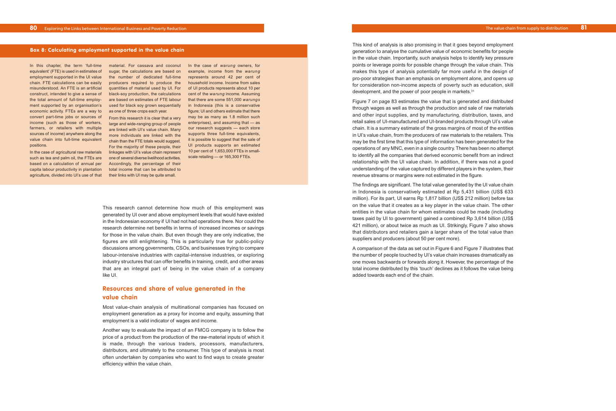Figure 7 on page 83 estimates the value that is generated and distributed through wages as well as through the production and sale of raw materials and other input supplies, and by manufacturing, distribution, taxes, and retail sales of UI-manufactured and UI-branded products through UI's value chain. It is a summary estimate of the gross margins of most of the entities in UI's value chain, from the producers of raw materials to the retailers. This may be the first time that this type of information has been generated for the operations of any MNC, even in a single country. There has been no attempt to identify all the companies that derived economic benefit from an indirect relationship with the UI value chain. In addition, if there was not a good understanding of the value captured by different players in the system, their revenue streams or margins were not estimated in the figure.

The findings are significant. The total value generated by the UI value chain in Indonesia is conservatively estimated at Rp 5,431 billion (US\$ 633 million). For its part, UI earns Rp 1,817 billion (US\$ 212 million) before tax on the value that it creates as a key player in the value chain. The other entities in the value chain for whom estimates could be made (including taxes paid by UI to government) gained a combined Rp 3,614 billion (US\$ 421 million), or about twice as much as UI. Strikingly, Figure 7 also shows that distributors and retailers gain a larger share of the total value than suppliers and producers (about 50 per cent more).

A comparison of the data as set out in Figure 6 and Figure 7 illustrates that the number of people touched by UI's value chain increases dramatically as one moves backwards or forwards along it. However, the percentage of the total income distributed by this 'touch' declines as it follows the value being added towards each end of the chain.

In this chapter, the term 'full-time material. For cassava and coconut equivalent' (FTE) is used in estimates of employment supported in the UI value the number of dedicated full-time chain. FTE calculations can be easily producers required to produce the misunderstood. An FTE is an artificial quantities of material used by UI. For construct, intended to give a sense of black-soy production, the calculations the total amount of full-time employ-are based on estimates of FTE labour ment supported by an organisation's used for black soy grown sequentially economic activity. FTEs are a way to as one of three crops each year. convert part-time jobs or sources of sources of income) anywhere along the positions.

based on a calculation of annual per capita labour productivity in plantation agriculture, divided into UI's use of that

sugar, the calculations are based on

income (such as those of workers, large and wide-ranging group of people farmers, or retailers with multiple are linked with UI's value chain. Many value chain into full-time equivalent chain than the FTE totals would suggest. In the case of agricultural raw materials linkages with UI's value chain represent such as tea and palm oil, the FTEs are one of several diverse livelihood activities. From this research it is clear that a very more individuals are linked with the For the majority of these people, their Accordingly, the percentage of their total income that can be attributed to their links with UI may be quite small.

In the case of *warung* owners, for example, income from the *warung* represents around 42 per cent of household income. Income from sales of UI products represents about 10 per cent of the *warung* income. Assuming that there are some 551,000 *warungs* in Indonesia (this is a conservative figure; UI and others estimate that there may be as many as 1.8 million such enterprises), and assuming that — as our research suggests — each store supports three full-time equivalents, it is possible to suggest that the sale of UI products supports an estimated 10 per cent of 1,653,000 FTEs in smallscale retailing — or 165,300 FTEs.

#### **Box 8: Calculating employment supported in the value chain**

This research cannot determine how much of this employment was generated by UI over and above employment levels that would have existed in the Indonesian economy if UI had not had operations there. Nor could the research determine net benefits in terms of increased incomes or savings for those in the value chain. But even though they are only indicative, the figures are still enlightening. This is particularly true for public-policy discussions among governments, CSOs, and businesses trying to compare labour-intensive industries with capital-intensive industries, or exploring industry structures that can offer benefits in training, credit, and other areas that are an integral part of being in the value chain of a company like UI.

## **Resources and share of value generated in the value chain**

Most value-chain analysis of multinational companies has focused on employment generation as a proxy for income and equity, assuming that employment is a valid indicator of wages and income.

Another way to evaluate the impact of an FMCG company is to follow the price of a product from the production of the raw-material inputs of which it is made, through the various traders, processors, manufacturers, distributors, and ultimately to the consumer. This type of analysis is most often undertaken by companies who want to find ways to create greater efficiency within the value chain.

This kind of analysis is also promising in that it goes beyond employment generation to analyse the cumulative value of economic benefits for people in the value chain. Importantly, such analysis helps to identify key pressure points or leverage points for possible change through the value chain. This makes this type of analysis potentially far more useful in the design of pro-poor strategies than an emphasis on employment alone, and opens up for consideration non-income aspects of poverty such as education, skill development, and the power of poor people in markets.<sup>31</sup>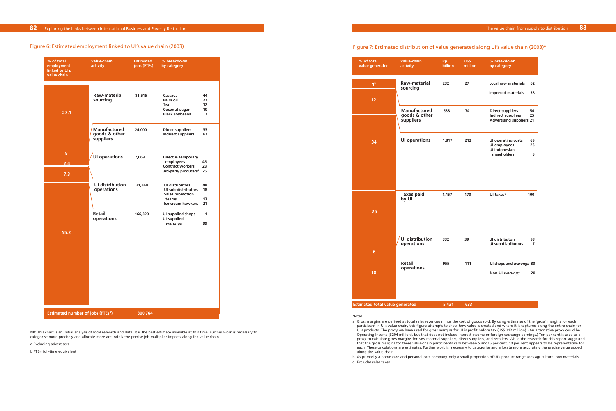#### Figure 6: Estimated employment linked to UI's value chain (2003)

|                               | Exploring the Links between International Business and Poverty Reduction |                                 |                                                             |              |
|-------------------------------|--------------------------------------------------------------------------|---------------------------------|-------------------------------------------------------------|--------------|
|                               |                                                                          |                                 |                                                             |              |
|                               | e 6: Estimated employment linked to UI's value chain (2003)              |                                 |                                                             |              |
| % of total<br>employment      | Value-chain<br>activity                                                  | <b>Estimated</b><br>jobs (FTEs) | % breakdown<br>by category                                  |              |
| linked to UI's<br>value chain |                                                                          |                                 |                                                             |              |
|                               |                                                                          |                                 |                                                             |              |
|                               | Raw-material<br>sourcing                                                 | 81,515                          | Cassava<br>Palm oil                                         | 44<br>27     |
|                               |                                                                          |                                 | Tea<br>Coconut sugar                                        | 12<br>10     |
| 27.1                          |                                                                          |                                 | <b>Black soybeans</b>                                       | 7            |
|                               | <b>Manufactured</b><br>goods & other                                     | 24,000                          | <b>Direct suppliers</b><br><b>Indirect suppliers</b>        | 33<br>67     |
|                               | suppliers                                                                |                                 |                                                             |              |
| 8                             | <b>UI operations</b>                                                     | 7,069                           | Direct & temporary                                          |              |
| 2.4                           |                                                                          |                                 | employees<br><b>Contract workers</b>                        | 46<br>28     |
| 7.3                           |                                                                          |                                 | 3rd-party producers <sup>a</sup>                            | 26           |
|                               | <b>UI distribution</b><br>operations                                     | 21,860                          | <b>UI distributors</b><br>UI sub-distributors               | 48<br>18     |
|                               |                                                                          |                                 | <b>Sales promotion</b><br>teams<br><b>Ice-cream hawkers</b> | 13<br>21     |
|                               | <b>Retail</b>                                                            | 166,320                         | <b>UI-supplied shops</b>                                    | $\mathbf{1}$ |
|                               | operations                                                               |                                 | <b>UI-supplied</b><br>warungs                               | 99           |
| 55.2                          |                                                                          |                                 |                                                             |              |
|                               |                                                                          |                                 |                                                             |              |
|                               |                                                                          |                                 |                                                             |              |
|                               |                                                                          |                                 |                                                             |              |
|                               |                                                                          |                                 |                                                             |              |
|                               |                                                                          |                                 |                                                             |              |
|                               |                                                                          |                                 |                                                             |              |
|                               |                                                                          |                                 |                                                             |              |

NB: This chart is an initial analysis of local research and data. It is the best estimate available at this time. Further work is necessary to categorise more precisely and allocate more accurately the precise job-multiplier impacts along the value chain.

a Excluding advertisers.

b FTE= full-time equivalent

#### Figure 7: Estimated distribution of value generated along UI's value chain (2003)<sup>a</sup> **UI's value chain in 2013**

|                                        |                                      |                |                 | The value chain from supply                                                     |
|----------------------------------------|--------------------------------------|----------------|-----------------|---------------------------------------------------------------------------------|
|                                        |                                      |                |                 |                                                                                 |
|                                        |                                      |                |                 | Figure 7: Estimated distribution of value generated along UI's value chain (200 |
| % of total<br>value generated          | <b>Value-chain</b><br>activity       | Rp.<br>billion | US\$<br>million | % breakdown<br>by category                                                      |
| $\mathbf{A}^{\mathbf{b}}$              | <b>Raw-material</b>                  | 232            | 27              | <b>Local raw materials</b>                                                      |
|                                        | sourcing                             |                |                 | <b>Imported materials</b>                                                       |
| 12                                     |                                      |                |                 |                                                                                 |
|                                        | <b>Manufactured</b><br>goods & other | 638            | 74              | <b>Direct suppliers</b><br><b>Indirect suppliers</b>                            |
|                                        | suppliers                            |                |                 | <b>Advertising suppliers 21</b>                                                 |
| 34                                     | <b>UI operations</b>                 | 1,817          | 212             | <b>UI operating costs</b>                                                       |
|                                        |                                      |                |                 | UI employees<br><b>UI Indonesian</b><br>shareholders                            |
|                                        |                                      |                |                 |                                                                                 |
|                                        |                                      |                |                 |                                                                                 |
|                                        |                                      |                |                 |                                                                                 |
|                                        | <b>Taxes paid</b><br>by UI           | 1,457          | 170             | UI taxes <sup>c</sup><br>100                                                    |
| 26                                     |                                      |                |                 |                                                                                 |
|                                        |                                      |                |                 |                                                                                 |
|                                        |                                      |                |                 |                                                                                 |
|                                        | <b>UI distribution</b><br>operations | 332            | 39              | <b>UI distributors</b><br><b>UI sub-distributors</b>                            |
| $6\phantom{a}$                         |                                      |                |                 |                                                                                 |
|                                        | <b>Retail</b><br>operations          | 955            | 111             | UI shops and warungs 80                                                         |
| 18                                     |                                      |                |                 | Non-UI warungs                                                                  |
|                                        |                                      |                |                 |                                                                                 |
|                                        |                                      |                |                 |                                                                                 |
| <b>Estimated total value generated</b> |                                      | 5,431          | 633             |                                                                                 |

#### Notes

participant in UI's value chain, this figure attempts to show how value is created and where it is captured along the entire chain for UI's products. The proxy we have used for gross margins for UI is profit before tax (US\$ 212 million). (An alternative proxy could be Operating Income [\$204 million], but that does not include interest income or foreign-exchange earnings.) Ten per cent is used as a proxy to calculate gross margins for raw-material suppliers, direct suppliers, and retailers. While the research for this report suggested that the gross margins for these value-chain participants vary between 5 and16 per cent, 10 per cent appears to be representative for each. These calculations are estimates. Further work is necessary to categorise and allocate more accurately the precise value added

- a Gross margins are defined as total sales revenues minus the cost of goods sold. By using estimates of the 'gross' margins for each along the value chain.
- b As primarily a home-care and personal-care company, only a small proportion of UI's product range uses agricultural raw materials.
- c Excludes sales taxes.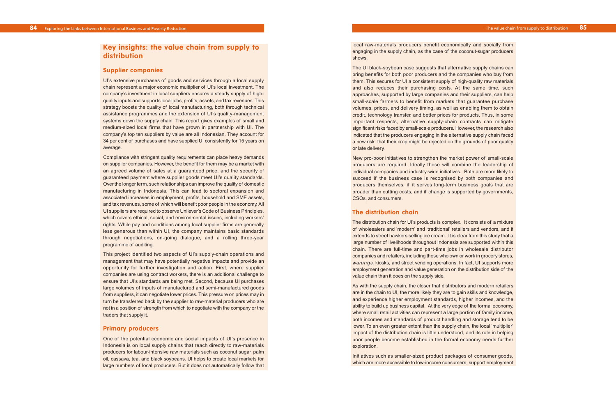local raw-materials producers benefit economically and socially from engaging in the supply chain, as the case of the coconut-sugar producers shows.

The UI black-soybean case suggests that alternative supply chains can bring benefits for both poor producers and the companies who buy from them. This secures for UI a consistent supply of high-quality raw materials and also reduces their purchasing costs. At the same time, such approaches, supported by large companies and their suppliers, can help small-scale farmers to benefit from markets that guarantee purchase volumes, prices, and delivery timing, as well as enabling them to obtain credit, technology transfer, and better prices for products. Thus, in some important respects, alternative supply-chain contracts can mitigate significant risks faced by small-scale producers. However, the research also indicated that the producers engaging in the alternative supply chain faced a new risk: that their crop might be rejected on the grounds of poor quality or late delivery.

New pro-poor initiatives to strengthen the market power of small-scale producers are required. Ideally these will combine the leadership of individual companies and industry-wide initiatives. Both are more likely to succeed if the business case is recognised by both companies and producers themselves, if it serves long-term business goals that are broader than cutting costs, and if change is supported by governments, CSOs, and consumers.

### **The distribution chain**

The distribution chain for UI's products is complex. It consists of a mixture of wholesalers and 'modern' and 'traditional' retailers and vendors, and it extends to street hawkers selling ice cream. It is clear from this study that a large number of livelihoods throughout Indonesia are supported within this chain. There are full-time and part-time jobs in wholesale distributor companies and retailers, including those who own or work in grocery stores, *warungs,* kiosks, and street vending operations. In fact, UI supports more employment generation and value generation on the distribution side of the value chain than it does on the supply side.

As with the supply chain, the closer that distributors and modern retailers are in the chain to UI, the more likely they are to gain skills and knowledge, and experience higher employment standards, higher incomes, and the ability to build up business capital. At the very edge of the formal economy, where small retail activities can represent a large portion of family income, both incomes and standards of product handling and storage tend to be lower. To an even greater extent than the supply chain, the local 'multiplier' impact of the distribution chain is little understood, and its role in helping poor people become established in the formal economy needs further exploration.

Initiatives such as smaller-sized product packages of consumer goods, which are more accessible to low-income consumers, support employment

## **Key insights: the value chain from supply to distribution**

### **Supplier companies**

UI's extensive purchases of goods and services through a local supply chain represent a major economic multiplier of UI's local investment. The company's investment in local suppliers ensures a steady supply of highquality inputs and supports local jobs, profits, assets, and tax revenues. This strategy boosts the quality of local manufacturing, both through technical assistance programmes and the extension of UI's quality-management systems down the supply chain. This report gives examples of small and medium-sized local firms that have grown in partnership with UI. The company's top ten suppliers by value are all Indonesian. They account for 34 per cent of purchases and have supplied UI consistently for 15 years on average.

Compliance with stringent quality requirements can place heavy demands on supplier companies. However, the benefit for them may be a market with an agreed volume of sales at a guaranteed price, and the security of guaranteed payment where supplier goods meet UI's quality standards. Over the longer term, such relationships can improve the quality of domestic manufacturing in Indonesia. This can lead to sectoral expansion and associated increases in employment, profits, household and SME assets, and tax revenues, some of which will benefit poor people in the economy. All UI suppliers are required to observe Unilever's Code of Business Principles, which covers ethical, social, and environmental issues, including workers' rights. While pay and conditions among local supplier firms are generally less generous than within UI, the company maintains basic standards through negotiations, on-going dialogue, and a rolling three-year programme of auditing.

This project identified two aspects of UI's supply-chain operations and management that may have potentially negative impacts and provide an opportunity for further investigation and action. First, where supplier companies are using contract workers, there is an additional challenge to ensure that UI's standards are being met. Second, because UI purchases large volumes of inputs of manufactured and semi-manufactured goods from suppliers, it can negotiate lower prices. This pressure on prices may in turn be transferred back by the supplier to raw-material producers who are not in a position of strength from which to negotiate with the company or the traders that supply it.

#### **Primary producers**

One of the potential economic and social impacts of UI's presence in Indonesia is on local supply chains that reach directly to raw-materials producers for labour-intensive raw materials such as coconut sugar, palm oil, cassava, tea, and black soybeans. UI helps to create local markets for large numbers of local producers. But it does not automatically follow that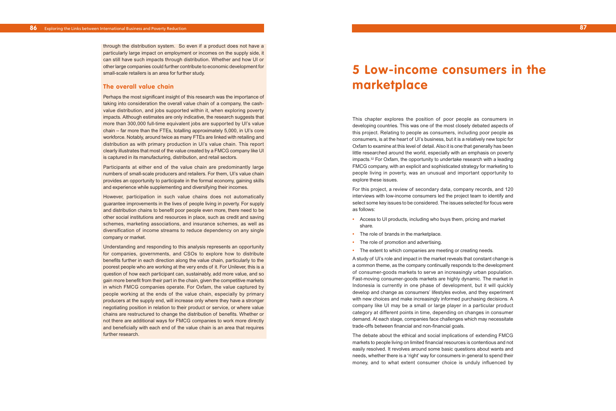This chapter explores the position of poor people as consumers in developing countries. This was one of the most closely debated aspects of this project. Relating to people as consumers, including poor people as consumers, is at the heart of UI's business, but it is a relatively new topic for Oxfam to examine at this level of detail. Also it is one that generally has been little researched around the world, especially with an emphasis on poverty impacts. 3 <sup>2</sup> For Oxfam, the opportunity to undertake research with a leading FMCG compan y, with an explicit and sophisticated strategy for marketing to people living in poverty, was an unusual and important opportunity to explore these issues.

For this project, a review of secondary data, company records, and 120 interviews with low-income consumers led the project team to identify and select some key issues to be considered. The issues selected for focus were as follows:

- **•** Access to UI products, including who buys them, pricing and market shar e .
- **•** The role of brands in the marketplace.
- **•** The role of promotion and advertising.
- **•** The extent to which companies are meeting or creating needs.

A study of UI's role and impact in the market reveals that constant change is a common theme, as the company continually responds to the development of consumer-goods markets to serve an increasingly urban population. Fast-moving consumer-goods markets are highly dynamic. The market in Indonesia is currently in one phase of development, but it will quickly develop and change as consumers' lifestyles evolve, and they experiment with ne w choices and make increasingly informed purchasing decisions. A compan y lik e UI ma y be a small or large player in a particular product category at different points in time, depending on changes in consumer demand. At eac h sta g e, companies face challenges which may necessitate trade-offs between financial and non-financial goals.

The debate about the ethical and social implications of extending FMCG markets to people living on limited financial resources is contentious and not easily resolved. It revolves around some basic questions about wants and needs, whether there is a 'right' way for consumers in general to spend their money, and to what extent consumer choice is unduly influenced by

through the distribution system. So even if a product does not have a particularly large impact on employment or incomes on the supply side, it can still have such impacts through distribution. Whether and how UI or other large companies could further contribute to economic development for small-scale retailers is an area for further study.

### **The overall value chain**

Perhaps the most significant insight of this research was the importance of taking into consideration the overall value chain of a company, the cashvalue distribution, and jobs supported within it, when exploring poverty impacts. Although estimates are only indicative, the research suggests that more than 300,000 full-time equivalent jobs are supported by UI's value chain – far more than the FTEs, totalling approximately 5,000, in UI's core workforce. Notably, around twice as many FTEs are linked with retailing and distribution as with primary production in UI's value chain. This report clearly illustrates that most of the value created by a FMCG company like UI is captured in its manufacturing, distribution, and retail sectors.

Participants at either end of the value chain are predominantly large numbers of small-scale producers and retailers. For them, UI's value chain provides an opportunity to participate in the formal economy, gaining skills and experience while supplementing and diversifying their incomes.

However, participation in such value chains does not automatically guarantee improvements in the lives of people living in poverty. For supply and distribution chains to benefit poor people even more, there need to be other social institutions and resources in place, such as credit and saving schemes , mar keting associations, and insurance schemes, as well as di versification of income streams to reduce dependency on any single company or market.

Understanding and responding to this analysis represents an opportunity for companies, governments, and CSOs to explore how to distribute benefits further in each direction along the value chain, particularly to the poorest people who ar e working at the very ends of it. For Unilever, this is a question of how each participant can, sustainably, add more value, and so gain more benefit from their part in the chain, given the competitive markets in which FMCG companies operate. For Oxfam, the value captured by people working at the ends of the value chain, especially by primary producers at the supply end, will increase only where they have a stronger negotiating position in relation to their product or service, or where value chains are restructured to change the distribution of benefits. Whether or not there are additional ways for FMCG companies to work more directly and beneficially with each end of the value chain is an area that requires further research.

# **5 Low-income consumers in the marketplace**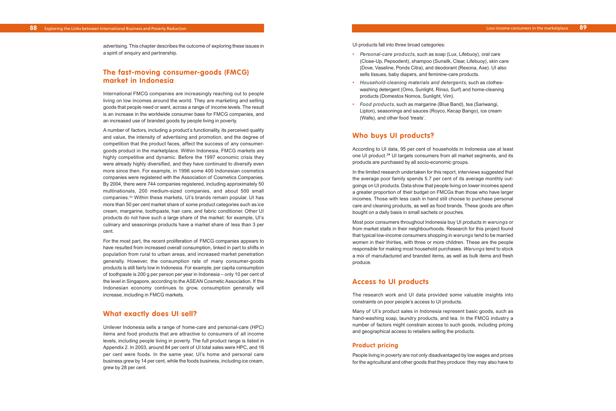UI products fall into three broad categories:

- **•** *Personal-care products*, such as soap (Lux, Lifebuoy), oral care (Close-Up, Pepsodent), shampoo (Sunsilk, Clear, Lifebuoy), skin care (Dove, Vaseline, Ponds Citra), and deodorant (Rexona, Axe). UI also sells tissues, baby diapers, and feminine-care products.
- **•** *Household-cleaning materials and detergents*, such as clotheswashing detergent (Omo, Sunlight, Rinso, Surf) and home-cleaning products (Domestos Nomos, Sunlight, Vim).
- **•** *Food products*, such as margarine (Blue Band), tea (Sariwangi, Lipton), seasonings and sauces (Royco, Kecap Bango), ice cream (Walls), and other food 'treats'.

## **Who buys UI products?**

According to UI data, 95 per cent of households in Indonesia use at least one UI product.34 UI targets consumers from all market segments, and its products are purchased by all socio-economic groups.

In the limited research undertaken for this report, interviews suggested that the average poor family spends 5.7 per cent of its average monthly outgoings on UI products. Data show that people living on lower incomes spend a greater proportion of their budget on FMCGs than those who have larger incomes. Those with less cash in hand still choose to purchase personal care and cleaning products, as well as food brands. These goods are often bought on a daily basis in small sachets or pouches.

Most poor consumers throughout Indonesia buy UI products in *warungs* or from market stalls in their neighbourhoods. Research for this project found that typical low-income consumers shopping in *warungs* tend to be married women in their thirties, with three or more children. These are the people responsible for making most household purchases. *Warungs* tend to stock a mix of manufactured and branded items, as well as bulk items and fresh produce.

## **Access to UI products**

The research work and UI data provided some valuable insights into constraints on poor people's access to UI products.

Many of UI's product sales in Indonesia represent basic goods, such as hand-washing soap, laundry products, and tea. In the FMCG industry a number of factors might constrain access to such goods, including pricing and geographical access to retailers selling the products.

## **Product pricing**

People living in poverty are not only disadvantaged by low wages and prices for the agricultural and other goods that they produce: they may also have to

advertising. This chapter describes the outcome of exploring these issues in a spirit of enquiry and partnership.

## **The fast-moving consumer-goods (FMCG) market in Indonesia**

International FMCG companies are increasingly reaching out to people living on low incomes around the world. They are marketing and selling goods that people need or want, across a range of income levels. The result is an increase in the worldwide consumer base for FMCG companies, and an increased use of branded goods by people living in poverty.

A number of factors, including a product's functionality, its perceived quality and value, the intensity of advertising and promotion, and the degree of competition that the product faces, affect the success of any consumergoods product in the marketplace. Within Indonesia, FMCG markets are highly competitive and dynamic. Before the 1997 economic crisis they were already highly diversified, and they have continued to diversify even more since then. For example, in 1996 some 400 Indonesian cosmetics companies were registered with the Association of Cosmetics Companies. By 2004, there were 744 companies registered, including approximately 50 multinationals, 200 medium-sized companies, and about 500 small companies.33 Within these markets, UI's brands remain popular. UI has more than 50 per cent market share of some product categories such as ice cream, margarine, toothpaste, hair care, and fabric conditioner. Other UI products do not have such a large share of the market: for example, UI's culinary and seasonings products have a market share of less than 3 per cent.

For the most part, the recent proliferation of FMCG companies appears to have resulted from increased overall consumption, linked in part to shifts in population from rural to urban areas, and increased market penetration generally. However, the consumption rate of many consumer-goods products is still fairly low in Indonesia. For example, per capita consumption of toothpaste is 200 g per person per year in Indonesia – only 10 per cent of the level in Singapore, according to the ASEAN Cosmetic Association. If the Indonesian economy continues to grow, consumption generally will increase, including in FMCG markets.

## **What exactly does UI sell?**

Unilever Indonesia sells a range of home-care and personal-care (HPC) items and food products that are attractive to consumers of all income levels, including people living in poverty. The full product range is listed in Appendix 2. In 2003, around 84 per cent of UI total sales were HPC, and 16 per cent were foods. In the same year, UI's home and personal care business grew by 14 per cent, while the foods business, including ice cream, grew by 28 per cent.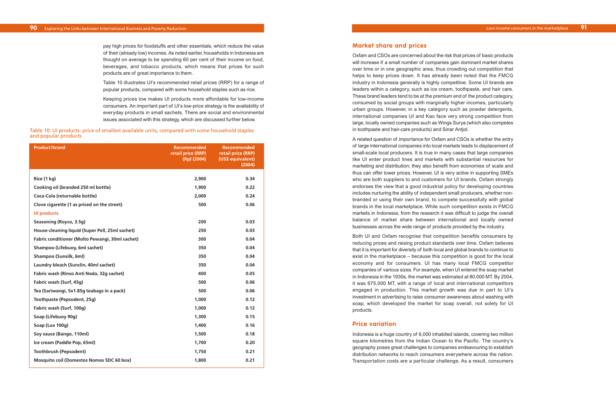#### **Market share and prices**

Oxfam and CSOs are concerned about the risk that prices of basic products will increase if a small number of companies gain dominant market shares over time or in one geographic area, thus crowding out competition that helps to keep prices down. It has already been noted that the FMCG industry in Indonesia generally is highly competitive. Some UI brands are leaders within a category, such as ice cream, toothpaste, and hair care. These brand leaders tend to be at the premium end of the product category, consumed by social groups with marginally higher incomes, particularly urban groups. However, in a key category such as powder detergents, international companies UI and Kao face very strong competition from large, locally owned companies such as Wings Surya (which also competes in toothpaste and hair-care products) and Sinar Antjol.

A related question of importance for Oxfam and CSOs is whether the entry of large international companies into local markets leads to displacement of small-scale local producers. It is true in many cases that large companies like UI enter product lines and markets with substantial resources for marketing and distribution; they also benefit from economies of scale and thus can offer lower prices. However, UI is very active in supporting SMEs who are both suppliers to and customers for UI brands. Oxfam strongly endorses the view that a good industrial policy for developing countries includes nurturing the ability of independent small producers, whether nonbranded or using their own brand, to compete successfully with global brands in the local marketplace. While such competition exists in FMCG markets in Indonesia, from the research it was difficult to judge the overall balance of market share between international and locally owned businesses across the wide range of products provided by the industry.

Both UI and Oxfam recognise that competition benefits consumers by reducing prices and raising product standards over time. Oxfam believes that it is important for diversity of both local and global brands to continue to exist in the marketplace – because this competition is good for the local economy and for consumers. UI has many local FMCG competitor companies of various sizes. For example, when UI entered the soap market in Indonesia in the 1930s, the market was estimated at 80,000 MT. By 2004, it was 675,000 MT, with a range of local and international competitors engaged in production. This market growth was due in part to UI's investment in advertising to raise consumer awareness about washing with soap, which developed the market for soap overall, not solely for UI products.

### **Price variation**

Indonesia is a huge country of 6,000 inhabited islands, covering two million square kilometres from the Indian Ocean to the Pacific. The country's geography poses great challenges to companies endeavouring to establish distribution networks to reach consumers everywhere across the nation. Transportation costs are a particular challenge. As a result, consumers

pay high prices for foodstuffs and other essentials, which reduce the value of their (already low) incomes. As noted earlier, households in Indonesia are thought on average to be spending 60 per cent of their income on food, beverages, and tobacco products, which means that prices for such products are of great importance to them.

Table 10 illustrates UI's recommended retail prices (RRP) for a range of popular products, compared with some household staples such as rice.

Keeping prices low makes UI products more affordable for low-income consumers. An important part of UI's low-price strategy is the availability of everyday products in small sachets. There are social and environmental issues associated with this strategy, which are discussed further below.

| <b>Product/brand</b>                            | <b>Recommended</b><br>retail price (RRP)<br>$(Rp)$ (2004) | <b>Recommended</b><br>retail price (RRP)<br>(US\$ equivalent)<br>(2004) |
|-------------------------------------------------|-----------------------------------------------------------|-------------------------------------------------------------------------|
|                                                 |                                                           |                                                                         |
| Rice (1 kg)                                     | 2,900                                                     | 0.34                                                                    |
| Cooking oil (branded 250 ml bottle)             | 1,900                                                     | 0.22                                                                    |
| Coca-Cola (returnable bottle)                   | 2,000                                                     | 0.24                                                                    |
| Clove cigarette (1 as priced on the street)     | 500                                                       | 0.06                                                                    |
| <b>UI products</b>                              |                                                           |                                                                         |
| Seasoning (Royco, 3.5g)                         | 200                                                       | 0.03                                                                    |
| House-cleaning liquid (Super Pell, 25ml sachet) | 250                                                       | 0.03                                                                    |
| Fabric conditioner (Molto Pewangi, 30ml sachet) | 300                                                       | 0.04                                                                    |
| Shampoo (Lifebuoy, 6ml sachet)                  | 350                                                       | 0.04                                                                    |
| Shampoo (Sunsilk, 6ml)                          | 350                                                       | 0.04                                                                    |
| Laundry bleach (Sunclin, 40ml sachet)           | 350                                                       | 0.04                                                                    |
| Fabric wash (Rinso Anti Noda, 32g sachet)       | 400                                                       | 0.05                                                                    |
| Fabric wash (Surf, 45g)                         | 500                                                       | 0.06                                                                    |
| Tea (Sariwangi, 5x1.85g teabags in a pack)      | 500                                                       | 0.06                                                                    |
| Toothpaste (Pepsodent, 25g)                     | 1,000                                                     | 0.12                                                                    |
| Fabric wash (Surf, 100g)                        | 1,000                                                     | 0.12                                                                    |
| Soap (Lifebuoy 90g)                             | 1,300                                                     | 0.15                                                                    |
| Soap (Lux 100g)                                 | 1,400                                                     | 0.16                                                                    |
| Soy sauce (Bango, 110ml)                        | 1,500                                                     | 0.18                                                                    |
| Ice cream (Paddle Pop, 65ml)                    | 1,700                                                     | 0.20                                                                    |
| <b>Toothbrush (Pepsodent)</b>                   | 1,750                                                     | 0.21                                                                    |
| Mosquito coil (Domestos Nomos 5DC 60 box)       | 1,800                                                     | 0.21                                                                    |

Table 10: UI products: price of smallest available units, compared with some household staples and popular products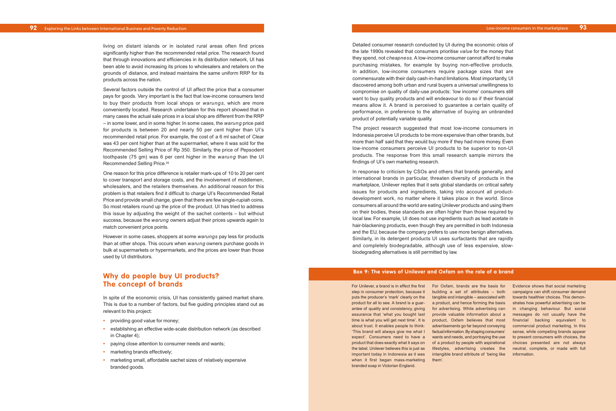Detailed consumer research conducted by UI during the economic crisis of the late 1990s revealed that consumers prioritise *value* for the money that they spend, not *cheapness*. A low-income consumer cannot afford to make purchasing mistakes, for example by buying non-effective products. In addition, low-income consumers require package sizes that are commensurate with their daily cash-in-hand limitations. Most importantly, UI discovered among both urban and rural buyers a universal unwillingness to compromise on quality of daily-use products: 'low income' consumers still want to buy quality products and will endeavour to do so if their financial means allow it. A brand is perceived to guarantee a certain quality of performance, in preference to the alternative of buying an unbranded product of potentially variable quality.

The project research suggested that most low-income consumers in Indonesia perceive UI products to be more expensive than other brands, but more than half said that they would buy more if they had more money. Even low-income consumers perceive UI products to be superior to non-UI products. The response from this small research sample mirrors the findings of UI's own marketing research.

In response to criticism by CSOs and others that brands generally, and international brands in particular, threaten diversity of products in the marketplace, Unilever replies that it sets global standards on critical safety issues for products and ingredients, taking into account all productdevelopment work, no matter where it takes place in the world. Since consumers all around the world are eating Unilever products and using them on their bodies, these standards are often higher than those required by local law. For example, UI does not use ingredients such as lead acetate in hair-blackening products, even though they are permitted in both Indonesia and the EU, because the company prefers to use more benign alternatives. Similarly, in its detergent products UI uses surfactants that are rapidly and completely biodegradable, although use of less expensive, slowbiodegrading alternatives is still permitted by law.

living on distant islands or in isolated rural areas often find prices significantly higher than the recommended retail price. The research found that through innovations and efficiencies in its distribution network, UI has been able to avoid increasing its prices to wholesalers and retailers on the grounds of distance, and instead maintains the same uniform RRP for its products across the nation.

Several factors outside the control of UI affect the price that a consumer pays for goods. Very important is the fact that low-income consumers tend to buy their products from local shops or *warungs*, which are more conveniently located. Research undertaken for this report showed that in many cases the actual sale prices in a local shop are different from the RRP – in some lower, and in some higher. In some cases, the *warung* price paid for products is between 20 and nearly 50 per cent higher than UI's recommended retail price. For example, the cost of a 6 ml sachet of Clear was 43 per cent higher than at the supermarket, where it was sold for the Recommended Selling Price of Rp 350. Similarly, the price of Pepsodent toothpaste (75 gm) was 6 per cent higher in the *warung* than the UI Recommended Selling Price.35

> For Unilever, a brand is in effect the first For Oxfam, brands are the basis for Evidence shows that social marketing step in consumer protection, because it building a set of attributes – both campaigns can shift consumer demand puts the producer's 'mark' clearly on the tangible and intangible – associated with towards healthier choices. This demonproduct for all to see. A brand is a guar- a product, and hence forming the basis strates how powerful advertising can be antee of quality and consistency, giving for advertising. While advertising can in changing behaviour. But social assurance that 'what you bought last provide valuable information about a messages do not usually have the time is what you will get next time'. It is cproduct, Oxfam believes that most financial backing equivalent to about trust. It enables people to think: advertisements go far beyond conveying commercial product marketing. In this 'This brand will always give me what I factual information. By shaping consumers' sense, while competing brands appear expect'. Consumers need to have a wants and needs, and portraying the use to present consumers with choices, the product that does exactly what it says on of a product by people with aspirational choices presented are not always the label. Unilever believes this is just as lifestyles, advertising creates the neutral, complete, or made with full important today in Indonesia as it was intangible brand attribute of 'being like information. them'.

One reason for this price difference is retailer mark-ups of 10 to 20 per cent to cover transport and storage costs, and the involvement of middlemen, wholesalers, and the retailers themselves. An additional reason for this problem is that retailers find it difficult to charge UI's Recommended Retail Price and provide small change, given that there are few single-rupiah coins. So most retailers round up the price of the product. UI has tried to address this issue by adjusting the weight of the sachet contents – but without success, because the *warung* owners adjust their prices upwards again to match convenient price points.

However in some cases, shoppers at some *warungs* pay less for products than at other shops. This occurs when *warung* owners purchase goods in bulk at supermarkets or hypermarkets, and the prices are lower than those used by UI distributors.

## **Why do people buy UI products? The concept of brands**

In spite of the economic crisis, UI has consistently gained market share. This is due to a number of factors, but five guiding principles stand out as relevant to this project:

- **•** providing good value for money;
- **•** establishing an effective wide-scale distribution network (as described in Chapter 4);
- **•** paying close attention to consumer needs and wants;
- marketing brands effectively;
- **•** marketing small, affordable sachet sizes of relatively expensive branded goods.

#### **Box 9: The views of Unilever and Oxfam on the role of a brand**

when it first began mass-marketing branded soap in Victorian England.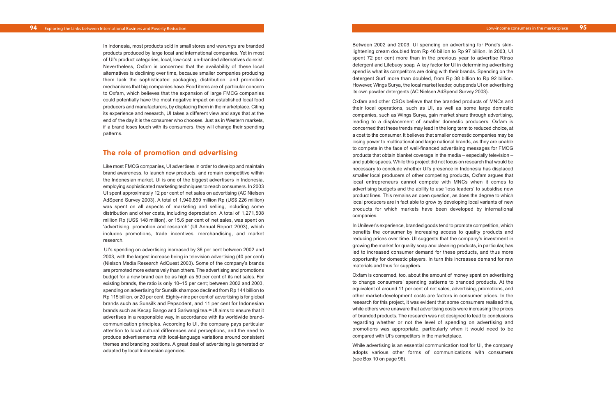Between 2002 and 2003, UI spending on advertising for Pond's skinlightening cream doubled from Rp 46 billion to Rp 97 billion. In 2003, UI spent 72 per cent more than in the previous year to advertise Rinso detergent and Lifebuoy soap. A key factor for UI in determining advertising spend is what its competitors are doing with their brands. Spending on the detergent Surf more than doubled, from Rp 38 billion to Rp 92 billion. However, Wings Surya, the local market leader, outspends UI on advertising its own powder detergents (AC Nielsen AdSpend Survey 2003).

Oxfam and other CSOs believe that the branded products of MNCs and their local operations, such as UI, as well as some large domestic companies, such as Wings Surya, gain market share through advertising, leading to a displacement of smaller domestic producers. Oxfam is concerned that these trends may lead in the long term to reduced choice, at a cost to the consumer. It believes that smaller domestic companies may be losing power to multinational and large national brands, as they are unable to compete in the face of well-financed advertising messages for FMCG products that obtain blanket coverage in the media – especially television – and public spaces. While this project did not focus on research that would be necessary to conclude whether UI's presence in Indonesia has displaced smaller local producers of other competing products, Oxfam argues that local entrepreneurs cannot compete with MNCs when it comes to advertising budgets and the ability to use 'loss leaders' to subsidise new product lines. This remains an open question, as does the degree to which local producers are in fact able to grow by developing local variants of new products for which markets have been developed by international companies.

In Unilever's experience, branded goods tend to promote competition, which benefits the consumer by increasing access to quality products and reducing prices over time. UI suggests that the company's investment in growing the market for quality soap and cleaning products, in particular, has led to increased consumer demand for these products, and thus more opportunity for domestic players. In turn this increases demand for raw materials and thus for suppliers.

Oxfam is concerned, too, about the amount of money spent on advertising to change consumers' spending patterns to branded products. At the equivalent of around 11 per cent of net sales, advertising, promotions, and other market-development costs are factors in consumer prices. In the research for this project, it was evident that some consumers realised this, while others were unaware that advertising costs were increasing the prices of branded products. The research was not designed to lead to conclusions regarding whether or not the level of spending on advertising and promotions was appropriate, particularly when it would need to be compared with UI's competitors in the marketplace.

While advertising is an essential communication tool for UI, the company adopts various other forms of communications with consumers (see Box 10 on page 96).

In Indonesia, most products sold in small stores and *warungs* are branded products produced by large local and international companies. Yet in most of UI's product categories, local, low-cost, un-branded alternatives do exist. Nevertheless, Oxfam is concerned that the availability of these local alternatives is declining over time, because smaller companies producing them lack the sophisticated packaging, distribution, and promotion mechanisms that big companies have. Food items are of particular concern to Oxfam, which believes that the expansion of large FMCG companies could potentially have the most negative impact on established local food producers and manufacturers, by displacing them in the marketplace. Citing its experience and research, UI takes a different view and says that at the end of the day it is the consumer who chooses. Just as in Western markets, if a brand loses touch with its consumers, they will change their spending patterns.

## **The role of promotion and advertising**

Like most FMCG companies, UI advertises in order to develop and maintain brand awareness, to launch new products, and remain competitive within the Indonesian market. UI is one of the biggest advertisers in Indonesia, employing sophisticated marketing techniques to reach consumers. In 2003 UI spent approximately 12 per cent of net sales on advertising (AC Nielsen AdSpend Survey 2003). A total of 1,940,859 million Rp (US\$ 226 million) was spent on all aspects of marketing and selling, including some distribution and other costs, including depreciation. A total of 1,271,508 million Rp (US\$ 148 million), or 15.6 per cent of net sales, was spent on 'advertising, promotion and research' (UI Annual Report 2003), which includes promotions, trade incentives, merchandising, and market research.

UI's spending on advertising increased by 36 per cent between 2002 and 2003, with the largest increase being in television advertising (40 per cent) (Nielson Media Research AdQuest 2003). Some of the company's brands are promoted more extensively than others. The advertising and promotions budget for a new brand can be as high as 50 per cent of its net sales. For existing brands, the ratio is only 10–15 per cent; between 2002 and 2003, spending on advertising for Sunsilk shampoo declined from Rp 144 billion to Rp 115 billion, or 20 per cent. Eighty-nine per cent of advertising is for global brands such as Sunsilk and Pepsodent, and 11 per cent for Indonesian brands such as Kecap Bango and Sariwangi tea.36 UI aims to ensure that it advertises in a responsible way, in accordance with its worldwide brandcommunication principles. According to UI, the company pays particular attention to local cultural differences and perceptions, and the need to produce advertisements with local-language variations around consistent themes and branding positions. A great deal of advertising is generated or adapted by local Indonesian agencies.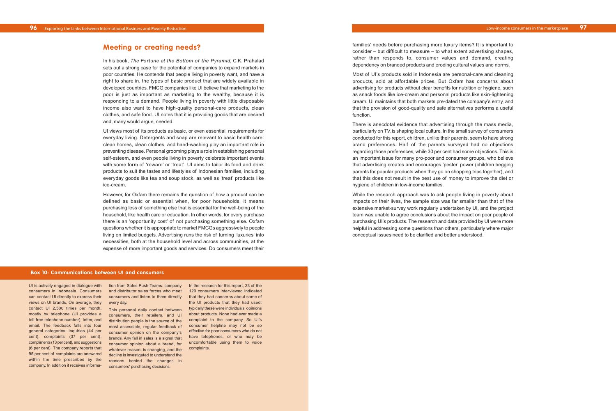families' needs before purchasing more luxury items? It is important to consider – but difficult to measure – to what extent advertising shapes, rather than responds to, consumer values and demand, creating dependency on branded products and eroding cultural values and norms.

Most of UI's products sold in Indonesia are personal-care and cleaning products, sold at affordable prices. But Oxfam has concerns about advertising for products without clear benefits for nutrition or hygiene, such as snack foods like ice-cream and personal products like skin-lightening cream. UI maintains that both markets pre-dated the company's entry, and that the provision of good-quality and safe alternatives performs a useful function.

There is anecdotal evidence that advertising through the mass media, particularly on TV, is shaping local culture. In the small survey of consumers conducted for this report, children, unlike their parents, seem to have strong brand preferences. Half of the parents surveyed had no objections regarding those preferences, while 30 per cent had some objections. This is an important issue for many pro-poor and consumer groups, who believe that advertising creates and encourages 'pester' power (children begging parents for popular products when they go on shopping trips together), and that this does not result in the best use of money to improve the diet or hygiene of children in low-income families.

While the research approach was to ask people living in poverty about impacts on their lives, the sample size was far smaller than that of the extensive market-survey work regularly undertaken by UI, and the project team was unable to agree conclusions about the impact on poor people of purchasing UI's products. The research and data provided by UI were more helpful in addressing some questions than others, particularly where major conceptual issues need to be clarified and better understood.

## **Meeting or creating needs?**

In his book, *The Fortune at the Bottom of the Pyramid*, C.K. Prahalad sets out a strong case for the potential of companies to expand markets in poor countries. He contends that people living in poverty want, and have a right to share in, the types of basic product that are widely available in developed countries. FMCG companies like UI believe that marketing to the poor is just as important as marketing to the wealthy, because it is responding to a demand. People living in poverty with little disposable income also want to have high-quality personal-care products, clean clothes, and safe food. UI notes that it is providing goods that are desired and, many would argue, needed.

> In the research for this report, 23 of the 120 consumers interviewed indicated that they had concerns about some of the UI products that they had used; typically these were individuals' opinions about products. None had ever made a complaint to the company. So UI's consumer helpline may not be so effective for poor consumers who do not have telephones, or who may be uncomfortable using them to voice complaints.

UI views most of its products as basic, or even essential, requirements for everyday living. Detergents and soap are relevant to basic health care: clean homes, clean clothes, and hand-washing play an important role in preventing disease. Personal grooming plays a role in establishing personal self-esteem, and even people living in poverty celebrate important events with some form of 'reward' or 'treat'. UI aims to tailor its food and drink products to suit the tastes and lifestyles of Indonesian families, including everyday goods like tea and soup stock, as well as 'treat' products like ice-cream.

However, for Oxfam there remains the question of how a product can be defined as basic or essential when, for poor households, it means purchasing less of something else that is essential for the well-being of the household, like health care or education. In other words, for every purchase there is an 'opportunity cost' of not purchasing something else. Oxfam questions whether it is appropriate to market FMCGs aggressively to people living on limited budgets. Advertising runs the risk of turning 'luxuries' into necessities, both at the household level and across communities, at the expense of more important goods and services. Do consumers meet their

#### **Box 10: Communications between UI and consumers**

UI is actively engaged in dialogue with tion from Sales Push Teams: company consumers in Indonesia. Consumers and distributor sales forces who meet can contact UI directly to express their consumers and listen to them directly views on UI brands. On average, they every day. contact UI 2,500 times per month, mostly by telephone (UI provides a toll-free telephone number), letter, and email. The feedback falls into four general categories: inquiries (44 per consumer opinion on the company's cent), complaints (37 per cent), brands. Any fall in sales is a signal that compliments (13 per cent), and suggestions consumer opinion about a brand, for (6 per cent). The company reports that 95 per cent of complaints are answered within the time prescribed by the company. In addition it receives informa-

This personal daily contact between consumers, their retailers, and UI distribution people is the source of the most accessible, regular feedback of whatever reason, is changing, and the decline is investigated to understand the reasons behind the changes in consumers' purchasing decisions.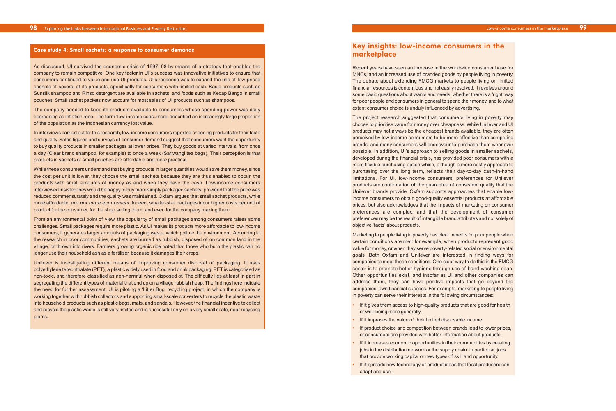## **Key insights: low-income consumers in the marketplace**

Recent years have seen an increase in the worldwide consumer base for MNCs, and an increased use of branded goods by people living in poverty. The debate about extending FMCG markets to people living on limited financial resources is contentious and not easily resolved. It revolves around some basic questions about wants and needs, whether there is a 'right' way for poor people and consumers in general to spend their money, and to what extent consumer choice is unduly influenced by advertising.

The project research suggested that consumers living in poverty may choose to prioritise value for money over cheapness. While Unilever and UI products may not always be the cheapest brands available, they are often perceived by low-income consumers to be more effective than competing brands, and many consumers will endeavour to purchase them whenever possible. In addition, UI's approach to selling goods in smaller sachets, developed during the financial crisis, has provided poor consumers with a more flexible purchasing option which, although a more costly approach to purchasing over the long term, reflects their day-to-day cash-in-hand limitations. For UI, low-income consumers' preferences for Unilever products are confirmation of the guarantee of consistent quality that the Unilever brands provide. Oxfam supports approaches that enable lowincome consumers to obtain good-quality essential products at affordable prices, but also acknowledges that the impacts of marketing on consumer preferences are complex, and that the development of consumer preferences may be the result of intangible brand attributes and not solely of objective 'facts' about products.

The company needed to keep its products available to consumers whose spending power was daily decreasing as inflation rose. The term 'low-income consumers' described an increasingly large proportion of the population as the Indonesian currency lost value.

> Marketing to people living in poverty has clear benefits for poor people when certain conditions are met: for example, when products represent good value for money, or when they serve poverty-related social or environmental goals. Both Oxfam and Unilever are interested in finding ways for companies to meet these conditions. One clear way to do this in the FMCG sector is to promote better hygiene through use of hand-washing soap. Other opportunities exist, and insofar as UI and other companies can address them, they can have positive impacts that go beyond the companies' own financial success. For example, marketing to people living in poverty can serve their interests in the following circumstances:

- **•** If it gives them access to high-quality products that are good for health or well-being more generally.
- **•** If it improves the value of their limited disposable income.
- **•** If product choice and competition between brands lead to lower prices, or consumers are provided with better information about products.
- **•** If it increases economic opportunities in their communities by creating jobs in the distribution network or the supply chain: in particular, jobs that provide working capital or new types of skill and opportunity.
- **•** If it spreads new technology or product ideas that local producers can adapt and use.

#### **Case study 4: Small sachets: a response to consumer demands**

As discussed, UI survived the economic crisis of 1997–98 by means of a strategy that enabled the company to remain competitive. One key factor in UI's success was innovative initiatives to ensure that consumers continued to value and use UI products. UI's response was to expand the use of low-priced sachets of several of its products, specifically for consumers with limited cash. Basic products such as Sunsilk shampoo and Rinso detergent are available in sachets, and foods such as Kecap Bango in small pouches. Small sachet packets now account for most sales of UI products such as shampoos.

In interviews carried out for this research, low-income consumers reported choosing products for their taste and quality. Sales figures and surveys of consumer demand suggest that consumers want the opportunity to buy quality products in smaller packages at lower prices. They buy goods at varied intervals, from once a day (Clear brand shampoo, for example) to once a week (Sariwangi tea bags). Their perception is that products in sachets or small pouches are affordable and more practical.

While these consumers understand that buying products in larger quantities would save them money, since the cost per unit is lower, they choose the small sachets because they are thus enabled to obtain the products with small amounts of money as and when they have the cash. Low-income consumers interviewed insisted they would be happy to buy more simply packaged sachets, provided that the price was reduced commensurately and the quality was maintained. Oxfam argues that small sachet products, while more affordable, *are not more economical.* Indeed, smaller-size packages incur higher costs per unit of product for the consumer, for the shop selling them, and even for the company making them.

From an environmental point of view, the popularity of small packages among consumers raises some challenges. Small packages require more plastic. As UI makes its products more affordable to low-income consumers, it generates larger amounts of packaging waste, which pollute the environment. According to the research in poor communities, sachets are burned as rubbish, disposed of on common land in the village, or thrown into rivers. Farmers growing organic rice noted that those who burn the plastic can no longer use their household ash as a fertiliser, because it damages their crops.

Unilever is investigating different means of improving consumer disposal of packaging. It uses polyethylene terephthalate (PET), a plastic widely used in food and drink packaging. PET is categorised as non-toxic, and therefore classified as non-harmful when disposed of. The difficulty lies at least in part in segregating the different types of material that end up on a village rubbish heap. The findings here indicate the need for further assessment. UI is piloting a 'Litter Bug' recycling project, in which the company is working together with rubbish collectors and supporting small-scale converters to recycle the plastic waste into household products such as plastic bags, mats, and sandals. However, the financial incentive to collect and recycle the plastic waste is still very limited and is successful only on a very small scale, near recycling plants.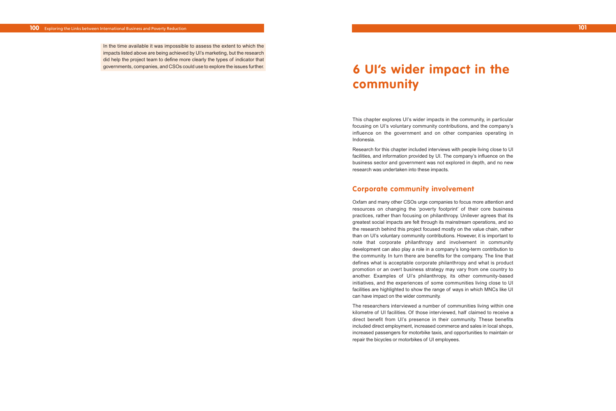This chapter explores UI's wider impacts in the community, in particular focusing on UI's voluntary community contributions, and the company's influence on the government and on other companies operating in Indonesia.

Research for this chapter included interviews with people living close to UI facilities, and information provided by UI. The company's influence on the business sector and government was not explored in depth, and no new research was undertaken into these impacts.

## **Corporate community involvement**

Oxfam and many other CSOs urge companies to focus more attention and resources on changing the 'poverty footprint' of their core business practices, rather than focusing on philanthropy. Unilever agrees that its greatest social impacts are felt through its mainstream operations, and so the research behind this project focused mostly on the value chain, rather than on UI's voluntary community contributions. However, it is important to note that corporate philanthropy and involvement in community development can also play a role in a company's long-term contribution to the community. In turn there are benefits for the company. The line that defines what is acceptable corporate philanthropy and what is product promotion or an overt business strategy may vary from one country to another. Examples of UI's philanthropy, its other community-based initiatives, and the experiences of some communities living close to UI facilities are highlighted to show the range of ways in which MNCs like UI can have impact on the wider community.

The researchers interviewed a number of communities living within one kilometre of UI facilities. Of those interviewed, half claimed to receive a direct benefit from UI's presence in their community. These benefits included direct employment, increased commerce and sales in local shops, increased passengers for motorbike taxis, and opportunities to maintain or repair the bicycles or motorbikes of UI employees.

**101**

In the time available it was impossible to assess the extent to which the impacts listed above are being achieved by UI's marketing, but the research did help the project team to define more clearly the types of indicator that governments, companies, and CSOs could use to explore the issues further.

# **6 UI's wider impact in the community**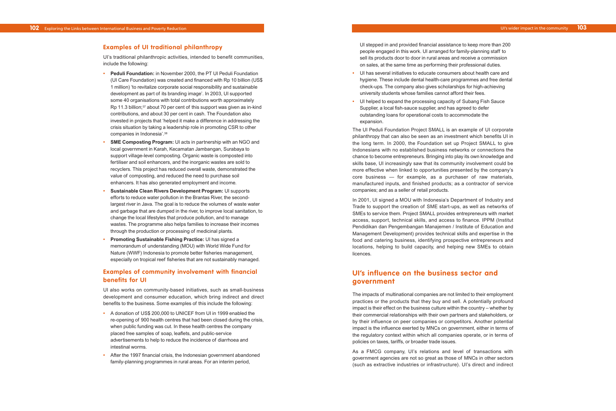UI stepped in and provided financial assistance to keep more than 200 people engaged in this work. UI arranged for family-planning staff to sell its products door to door in rural areas and receive a commission on sales, at the same time as performing their professional duties.

- **•** UI has several initiatives to educate consumers about health care and hygiene. These include dental health-care programmes and free dental check-ups. The company also gives scholarships for high-achieving university students whose families cannot afford their fees.
- **•** UI helped to expand the processing capacity of Subang Fish Sauce Supplier, a local fish-sauce supplier, and has agreed to defer outstanding loans for operational costs to accommodate the expansion.

The UI Peduli Foundation Project SMALL is an example of UI corporate philanthropy that can also be seen as an investment which benefits UI in the long term. In 2000, the Foundation set up Project SMALL to give Indonesians with no established business networks or connections the chance to become entrepreneurs. Bringing into play its own knowledge and skills base, UI increasingly saw that its community involvement could be more effective when linked to opportunities presented by the company's core business — for example, as a purchaser of raw materials, manufactured inputs, and finished products; as a contractor of service companies; and as a seller of retail products.

In 2001, UI signed a MOU with Indonesia's Department of Industry and Trade to support the creation of SME start-ups, as well as networks of SMEs to service them. Project SMALL provides entrepreneurs with market access, support, technical skills, and access to finance. IPPM (Institut Pendidikan dan Pengembangan Manajemen / Institute of Education and Management Development) provides technical skills and expertise in the food and catering business, identifying prospective entrepreneurs and locations, helping to build capacity, and helping new SMEs to obtain licences.

## **UI's influence on the business sector and government**

The impacts of multinational companies are not limited to their employment practices or the products that they buy and sell. A potentially profound impact is their effect on the business culture within the country – whether by their commercial relationships with their own partners and stakeholders, or by their influence on peer companies or competitors. Another potential impact is the influence exerted by MNCs on government, either in terms of the regulatory context within which all companies operate, or in terms of policies on taxes, tariffs, or broader trade issues.

As a FMCG company, UI's relations and level of transactions with government agencies are not so great as those of MNCs in other sectors (such as extractive industries or infrastructure). UI's direct and indirect

### **Examples of UI traditional philanthropy**

UI's traditional philanthropic activities, intended to benefit communities, include the following:

- **• Peduli Foundation:** in November 2000, the PT UI Peduli Foundation (UI Care Foundation) was created and financed with Rp 10 billion (US\$ 1 million) 'to revitalize corporate social responsibility and sustainable development as part of its branding image'. In 2003, UI supported some 40 organisations with total contributions worth approximately Rp 11.3 billion;<sup>37</sup> about 70 per cent of this support was given as in-kind contributions, and about 30 per cent in cash. The Foundation also invested in projects that 'helped it make a difference in addressing the crisis situation by taking a leadership role in promoting CSR to other companies in Indonesia'.38
- **SME Composting Program:** UI acts in partnership with an NGO and local government in Karah, Kecamatan Jambangan, Surabaya to support village-level composting. Organic waste is composted into fertiliser and soil enhancers, and the inorganic wastes are sold to recyclers. This project has reduced overall waste, demonstrated the value of composting, and reduced the need to purchase soil enhancers. It has also generated employment and income.
- **• Sustainable Clean Rivers Development Program:** UI supports efforts to reduce water pollution in the Brantas River, the secondlargest river in Java. The goal is to reduce the volumes of waste water and garbage that are dumped in the river, to improve local sanitation, to change the local lifestyles that produce pollution, and to manage wastes. The programme also helps families to increase their incomes through the production or processing of medicinal plants.
- **• Promoting Sustainable Fishing Practice:** UI has signed a memorandum of understanding (MOU) with World Wide Fund for Nature (WWF) Indonesia to promote better fisheries management, especially on tropical reef fisheries that are not sustainably managed.

## **Examples of community involvement with financial benefits for UI**

UI also works on community-based initiatives, such as small-business development and consumer education, which bring indirect and direct benefits to the business. Some examples of this include the following:

- **•** A donation of US\$ 200,000 to UNICEF from UI in 1999 enabled the re-opening of 900 health centres that had been closed during the crisis, when public funding was cut. In these health centres the company placed free samples of soap, leaflets, and public-service advertisements to help to reduce the incidence of diarrhoea and intestinal worms.
- **•** After the 1997 financial crisis, the Indonesian government abandoned family-planning programmes in rural areas. For an interim period,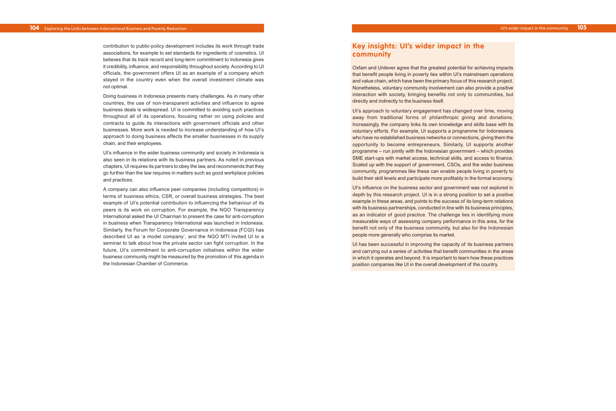## **Key insights: UI's wider impact in the community**

Oxfam and Unilever agree that the greatest potential for achieving impacts that benefit people living in poverty lies within UI's mainstream operations and value chain, which have been the primary focus of this research project. Nonetheless, voluntary community involvement can also provide a positive interaction with society, bringing benefits not only to communities, but directly and indirectly to the business itself.

UI's approach to voluntary engagement has changed over time, moving away from traditional forms of philanthropic giving and donations. Increasingly, the company links its own knowledge and skills base with its voluntary efforts. For example, UI supports a programme for Indonesians who have no established business networks or connections, giving them the opportunity to become entrepreneurs. Similarly, UI supports another programme – run jointly with the Indonesian government – which provides SME start-ups with market access, technical skills, and access to finance. Scaled up with the support of government, CSOs, and the wider business community, programmes like these can enable people living in poverty to build their skill levels and participate more profitably in the formal economy.

UI's influence on the business sector and government was not explored in depth by this research project. UI is in a strong position to set a positive example in these areas, and points to the success of its long-term relations with its business partnerships, conducted in line with its business principles, as an indicator of good practice. The challenge lies in identifying more measurable ways of assessing company performance in this area, for the benefit not only of the business community, but also for the Indonesian people more generally who comprise its market.

UI has been successful in improving the capacity of its business partners and carrying out a series of activities that benefit communities in the areas in which it operates and beyond. It is important to learn how these practices position companies like UI in the overall development of the country.

contribution to public-policy development includes its work through trade associations, for example to set standards for ingredients of cosmetics. UI believes that its track record and long-term commitment to Indonesia gives it credibility, influence, and responsibility throughout society. According to UI officials, the government offers UI as an example of a company which stayed in the country even when the overall investment climate was not optimal.

Doing business in Indonesia presents many challenges. As in many other countries, the use of non-transparent activities and influence to agree business deals is widespread. UI is committed to avoiding such practices throughout all of its operations, focusing rather on using policies and contracts to guide its interactions with government officials and other businesses. More work is needed to increase understanding of how UI's approach to doing business affects the smaller businesses in its supply chain, and their employees.

UI's influence in the wider business community and society in Indonesia is also seen in its relations with its business partners. As noted in previous chapters, UI requires its partners to obey the law, and recommends that they go further than the law requires in matters such as good workplace policies and practices.

A company can also influence peer companies (including competitors) in terms of business ethics, CSR, or overall business strategies. The best example of UI's potential contribution to influencing the behaviour of its peers is its work on corruption. For example, the NGO Transparency International asked the UI Chairman to present the case for anti-corruption in business when Transparency International was launched in Indonesia. Similarly, the Forum for Corporate Governance in Indonesia (FCGI) has described UI as 'a model company', and the NGO MTI invited UI to a seminar to talk about how the private sector can fight corruption. In the future, UI's commitment to anti-corruption initiatives within the wider business community might be measured by the promotion of this agenda in the Indonesian Chamber of Commerce.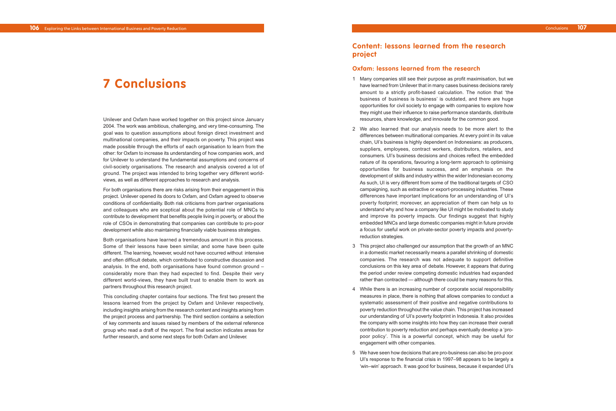## **Content: lessons learned from the research project**

## **Oxfam: lessons learned from the research**

- 1 Many companies still see their purpose as profit maximisation, but we have learned from Unilever that in many cases business decisions rarely amount to a strictly profit-based calculation. The notion that 'the business of business is business' is outdated, and there are huge opportunities for civil society to engage with companies to explore how they might use their influence to raise performance standards, distribute resources, share knowledge, and innovate for the common good.
- 2 We also learned that our analysis needs to be more alert to the differences between multinational companies. At every point in its value chain, UI's business is highly dependent on Indonesians: as producers, suppliers, employees, contract workers, distributors, retailers, and consumers. UI's business decisions and choices reflect the embedded nature of its operations, favouring a long-term approach to optimising opportunities for business success, and an emphasis on the development of skills and industry within the wider Indonesian economy. As such, UI is very different from some of the traditional targets of CSO campaigning, such as extractive or export-processing industries. These differences have important implications for an understanding of UI's poverty footprint; moreover, an appreciation of them can help us to understand why and how a company like UI might be motivated to study and improve its poverty impacts. Our findings suggest that highly embedded MNCs and large domestic companies might in future provide a focus for useful work on private-sector poverty impacts and povertyreduction strategies.
- 3 This project also challenged our assumption that the growth of an MNC in a domestic market necessarily means a parallel shrinking of domestic companies. The research was not adequate to support definitive conclusions on this key area of debate. However, it appears that during the period under review competing domestic industries had expanded rather than contracted — although there could be many reasons for this.
- 4 While there is an increasing number of corporate social responsibility measures in place, there is nothing that allows companies to conduct a systematic assessment of their positive and negative contributions to poverty reduction throughout the value chain. This project has increased our understanding of UI's poverty footprint in Indonesia. It also provides the company with some insights into how they can increase their overall contribution to poverty reduction and perhaps eventually develop a 'propoor policy'. This is a powerful concept, which may be useful for engagement with other companies.
- 5 We have seen how decisions that are pro-business can also be pro-poor. UI's response to the financial crisis in 1997–98 appears to be largely a 'win–win' approach. It was good for business, because it expanded UI's

Unilever and Oxfam have worked together on this project since January 2004. The work was ambitious, challenging, and very time-consuming. The goal was to question assumptions about foreign direct investment and multinational companies, and their impacts on poverty. This project was made possible through the efforts of each organisation to learn from the other: for Oxfam to increase its understanding of how companies work, and for Unilever to understand the fundamental assumptions and concerns of civil-society organisations. The research and analysis covered a lot of ground. The project was intended to bring together very different worldviews, as well as different approaches to research and analysis.

For both organisations there are risks arising from their engagement in this project. Unilever opened its doors to Oxfam, and Oxfam agreed to observe conditions of confidentiality. Both risk criticisms from partner organisations and colleagues who are sceptical about the potential role of MNCs to contribute to development that benefits people living in poverty, or about the role of CSOs in demonstrating that companies can contribute to pro-poor development while also maintaining financially viable business strategies.

Both organisations have learned a tremendous amount in this process. Some of their lessons have been similar, and some have been quite different. The learning, however, would not have occurred without intensive and often difficult debate, which contributed to constructive discussion and analysis. In the end, both organisations have found common ground – considerably more than they had expected to find. Despite their very different world-views, they have built trust to enable them to work as partners throughout this research project.

This concluding chapter contains four sections. The first two present the lessons learned from the project by Oxfam and Unilever respectively, including insights arising from the research content and insights arising from the project process and partnership. The third section contains a selection of key comments and issues raised by members of the external reference group who read a draft of the report. The final section indicates areas for further research, and some next steps for both Oxfam and Unilever.

# **7 Conclusions**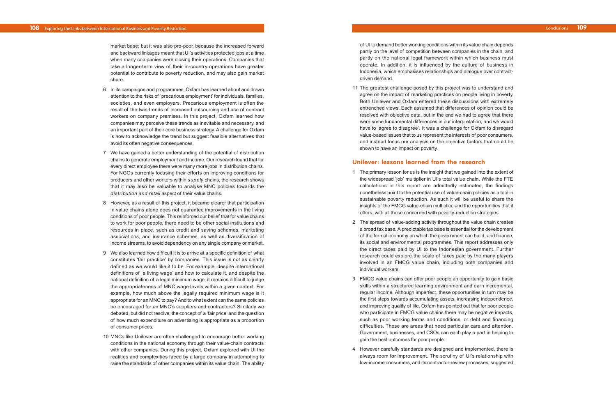of UI to demand better working conditions within its value chain depends partly on the level of competition between companies in the chain, and partly on the national legal framework within which business must operate. In addition, it is influenced by the culture of business in Indonesia, which emphasises relationships and dialogue over contractdriven demand.

11 The greatest challenge posed by this project was to understand and agree on the impact of marketing practices on people living in poverty. Both Unilever and Oxfam entered these discussions with extremely entrenched views. Each assumed that differences of opinion could be resolved with objective data, but in the end we had to agree that there were some fundamental differences in our interpretation, and we would have to 'agree to disagree'. It was a challenge for Oxfam to disregard value-based issues that to us represent the interests of poor consumers, and instead focus our analysis on the objective factors that could be shown to have an impact on poverty.

### **Unilever: lessons learned from the research**

- 1 The primary lesson for us is the insight that we gained into the extent of the widespread 'job' multiplier in UI's total value chain. While the FTE calculations in this report are admittedly estimates, the findings nonetheless point to the potential use of value-chain policies as a tool in sustaina ble poverty reduction. As such it will be useful to share the insights of the FMCG value-chain multiplier, and the opportunities that it of fer s , with all those concerned with poverty-reduction strategies.
- 2 The spread of value-adding activity throughout the value chain creates a broad tax base. A predictable tax base is essential for the development of the formal economy on which the government can build, and finance, its social and environmental programmes. This report addresses only the direct taxes paid by UI to the Indonesian government. Further research could explore the scale of taxes paid by the many players involved in an FMCG value chain, including both companies and individual workers.
- 3 FMCG value chains can offer poor people an opportunity to gain basic skills within a structured learning environment and earn incremental, regular income. Although imperfect, these opportunities in turn may be the first steps towards accumulating assets, increasing independence, and impr oving quality of life. Oxfam has pointed out that for poor people who participate in FMCG value chains there may be negative impacts, such as poor working terms and conditions, or debt and financing difficulties . These ar e areas that need particular care and attention. Government, businesses, and CSOs can each play a part in helping to gain the best outcomes for poor people.
- 4 Ho w e ver carefully standards are designed and implemented, there is always room for improvement. The scrutiny of UI's relationship with low-income consumers, and its contractor-review processes, suggested

Conclusions **109**

market base; but it was also pro-poor, because the increased forward and backward linkages meant that UI's activities protected jobs at a time when many companies were closing their operations. Companies that take a longer-term view of their in-country operations have greater potential to contribute to poverty reduction, and may also gain market share.

- 6 In its campaigns and programmes, Oxfam has learned about and drawn attention to the risks of 'precarious employment' for individuals, families, societies, and even employers. Precarious employment is often the result of the twin trends of increased outsourcing and use of contract workers on company premises. In this project, Oxfam learned how companies ma y perceive these trends as inevitable and necessary, and an important part of their core business strategy. A challenge for Oxfam is how to acknowledge the trend but suggest feasible alternatives that avoid its often negative consequences.
- 7 We have gained a better understanding of the potential of distribution chains to generate employment and income. Our research found that for every direct employee there were many more jobs in distribution chains. For NGOs currently focusing their efforts on improving conditions for producer s and other workers within *supply* chains , the research shows that it may also be valuable to analyse MNC policies towards the *distribution and retail* aspect of their value chains.
- 8 However, as a result of this project, it became clearer that participation in value chains alone does not guarantee improvements in the living conditions of poor people. This reinforced our belief that for value chains to work for poor people, there need to be other social institutions and resources in place, such as credit and saving schemes, marketing associations , and insurance schemes, as well as diversification of income streams, to avoid dependency on any single company or market.
- 9 We also learned how difficult it is to arrive at a specific definition of what constitutes 'fair practice' by companies. This issue is not as clearly defined as we would like it to be. For example, despite international definitions of 'a living wage' and how to calculate it, and despite the national definition of a legal minimum wage, it remains difficult to judge the appropriateness of MNC wage levels within a given context. For example, how much above the legally required minimum wage is it appropriate for an MNC to pay? And to what extent can the same policies be encour a ged for an MNC's suppliers and contractors? Similarly we debated, but did not resolve, the concept of a 'fair price' and the question of how much expenditure on advertising is appropriate as a proportion of consumer prices .
- 10 MNCs lik e Unile ver are often challenged to encourage better working conditions in the national economy through their value-chain contracts with other companies. During this project, Oxfam explored with UI the realities and complexities faced by a large company in attempting to raise the standards of other companies within its value chain. The ability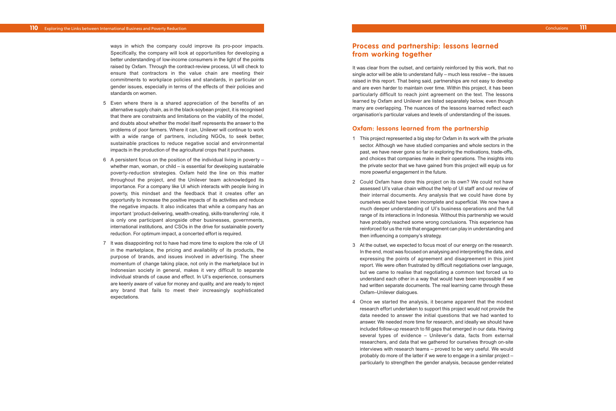## **Process and partnership: lessons learned from working together**

It was clear from the outset, and certainly reinforced by this work, that no single actor will be able to understand fully – much less resolve – the issues raised in this report. That being said, partnerships are not easy to develop and are even harder to maintain over time. Within this project, it has been particularly difficult to reach joint agreement on the text. The lessons learned by Oxfam and Unilever are listed separately below, even though many are overlapping. The nuances of the lessons learned reflect each organisation's particular values and levels of understanding of the issues.

## **Oxfam: lessons learned from the partnership**

- 1 This project represented a big step for Oxfam in its work with the private sector. Although we have studied companies and whole sectors in the past, we have never gone so far in exploring the motivations, trade-offs, and choices that companies make in their operations. The insights into the private sector that we have gained from this project will equip us for more powerful engagement in the future.
- 2 Could Oxfam have done this project on its own? We could not have assessed UI's value chain without the help of UI staff and our review of their internal documents. Any analysis that we could have done by ourselves would have been incomplete and superficial. We now have a much deeper understanding of UI's business operations and the full range of its interactions in Indonesia. Without this partnership we would have probably reached some wrong conclusions. This experience has reinforced for us the role that engagement can play in understanding and then influencing a company's strategy.
- 3 At the outset, we expected to focus most of our energy on the research. In the end, most was focused on analysing and interpreting the data, and expressing the points of agreement and disagreement in this joint report. We were often frustrated by difficult negotiations over language, but we came to realise that negotiating a common text forced us to understand each other in a way that would have been impossible if we had written separate documents. The real learning came through these Oxfam–Unilever dialogues.
- 4 Once we started the analysis, it became apparent that the modest research effort undertaken to support this project would not provide the data needed to answer the initial questions that we had wanted to ans wer. We needed more time for research, and ideally we should have included follow-up research to fill gaps that emerged in our data. Having several types of evidence – Unilever's data, facts from external researchers, and data that we gathered for ourselves through on-site interviews with research teams – proved to be very useful. We would probably do more of the latter if we were to engage in a similar project – particularly to strengthen the gender analysis, because gender-related

Conclusions **111**

ways in which the company could improve its pro-poor impacts. Specifically, the company will look at opportunities for developing a better understanding of low-income consumers in the light of the points raised by Oxfam. Through the contract-review process, UI will check to ensure that contractors in the value chain are meeting their commitments to workplace policies and standards, in particular on gender issues, especially in terms of the effects of their policies and standards on women.

- 5 Even where there is a shared appreciation of the benefits of an alternative supply chain, as in the black-soybean project, it is recognised that there are constraints and limitations on the viability of the model, and doubts about whether the model itself represents the answer to the problems of poor farmers. Where it can, Unilever will continue to work with a wide range of partners, including NGOs, to seek better, sustainable practices to reduce negative social and environmental impacts in the production of the agricultural crops that it purchases.
- 6 A persistent focus on the position of the individual living in poverty whether man, woman, or child – is essential for developing sustainable po verty-reduction strategies. Oxfam held the line on this matter throughout the project, and the Unilever team acknowledged its importance. For a company like UI which interacts with people living in poverty, this mindset and the feedback that it creates offer an opportunity to increase the positive impacts of its activities and reduce the ne gative impacts. It also indicates that while a company has an important 'product-delivering, wealth-creating, skills-transferring' role, it is only one participant alongside other businesses, governments, international institutions , and CSOs in the dri v e for sustaina ble poverty reduction. For optimum impact, a concerted effort is required.
- 7 It was disappointing not to have had more time to explore the role of UI in the marketplace, the pricing and availability of its products, the purpose of brands, and issues involved in advertising. The sheer momentum of change taking place, not only in the marketplace but in Indonesian society in general, makes it very difficult to separate individual strands of cause and effect. In UI's experience, consumers ar e keenly aware of value for money and quality, and are ready to reject any brand that fails to meet their increasingly sophisticated expectations.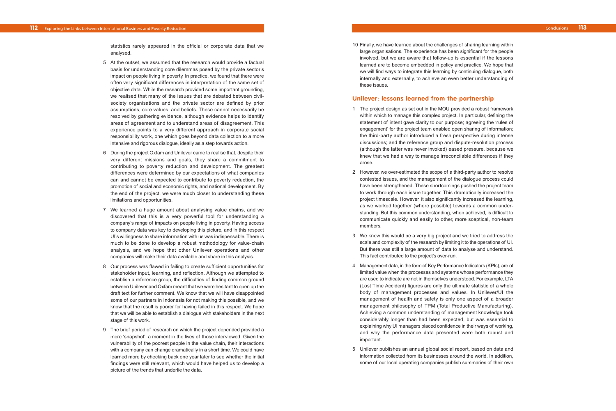10 Finally, we have learned about the challenges of sharing learning within large organisations. The experience has been significant for the people involved, but we are aware that follow-up is essential if the lessons learned are to become embedded in policy and practice. We hope that we will find ways to integrate this learning by continuing dialogue, both internally and externally, to achieve an even better understanding of these issues.

## **Unilever: lessons learned from the partnership**

- 1 The project design as set out in the MOU provided a robust framework within which to manage this complex project. In particular, defining the statement of intent gave clarity to our purpose; agreeing the 'rules of engagement' for the project team enabled open sharing of information; the third-party author introduced a fresh perspective during intense discussions; and the reference group and dispute-resolution process (although the latter was never invoked) eased pressure, because we knew that we had a way to manage irreconcilable differences if they arose.
- 2 However, we over-estimated the scope of a third-party author to resolve contested issues, and the management of the dialogue process could have been strengthened. These shortcomings pushed the project team to work through each issue together. This dramatically increased the project timescale. However, it also significantly increased the learning, as w e wor ked together (where possible) towards a common understanding. But this common understanding, when achieved, is difficult to communicate quickly and easily to other, more sceptical, non-team members.
- 3 We knew this would be a very big project and we tried to address the scale and complexity of the research by limiting it to the operations of UI. But there was still a large amount of data to analyse and understand. This fact contributed to the project's over-run.
- 4 Management data, in the form of Key Performance Indicators (KPIs), are of limited value when the processes and systems whose performance they are used to indicate are not in themselves understood. For example, LTA (Lost Time Accident) figures are only the ultimate statistic of a whole body of management processes and values. In Unilever/UI the management of health and safety is only one aspect of a broader mana gement philosophy of TPM (Total Productive Manufacturing). Achieving a common understanding of management knowledge took considerably longer than had been expected, but was essential to explaining why UI managers placed confidence in their ways of working, and why the performance data presented were both robust and important.
- 5 Unile ver publishes an annual global social report, based on data and information collected from its businesses around the world. In addition, some of our local operating companies publish summaries of their own

Conclusions **113**

statistics rarely appeared in the official or corporate data that we analysed.

- 5 At the outset, we assumed that the research would provide a factual basis for understanding core dilemmas posed by the private sector's impact on people living in poverty. In practice, we found that there were often very significant differences in interpretation of the same set of objective data. While the research provided some important grounding, we realised that many of the issues that are debated between civilsociety organisations and the private sector are defined by prior assumptions, core values, and beliefs. These cannot necessarily be resolved by gathering evidence, although evidence helps to identify areas of agreement and to understand areas of disagreement. This experience points to a very different approach in corporate social responsibility work, one which goes beyond data collection to a more intensive and rigorous dialogue, ideally as a step towards action.
- 6 During the project Oxfam and Unilever came to realise that, despite their very different missions and goals, they share a commitment to contributing to poverty reduction and development. The greatest dif ferences were determined by our expectations of what companies can and cannot be expected to contribute to po verty reduction, the promotion of social and economic rights , and national development. By the end of the project, we were much closer to understanding these limitations and opportunities.
- 7 We learned a huge amount about analysing value chains, and we discovered that this is a very powerful tool for understanding a company's range of impacts on people living in poverty. Having access to compan y data was key to developing this picture, and in this respect UI' s willingness to shar e information with us was indispensable. There is much to be done to develop a robust methodology for value-chain analysis, and we hope that other Unilever operations and other companies will mak e their data available and share in this analysis.
- 8 Our process was fla wed in failing to create sufficient opportunities for stakeholder input, learning, and reflection. Although we attempted to establish a reference group, the difficulties of finding common ground between Unilever and Oxfam meant that we were hesitant to open up the draft text for further comment. We know that we will have disappointed some of our partners in Indonesia for not making this possible, and we kno w tha t the result is poorer for having failed in this respect. We hope tha t w e will be a ble to establish a dialogue with stakeholders in the next stage of this work.
- 9 The brief period of research on which the project depended provided a mer e 'snapshot', a moment in the lives of those interviewed. Given the vulnerability of the poorest people in the value chain, their interactions with a company can change dramatically in a short time. We could have learned more by checking back one year later to see whether the initial findings were still relevant, which would have helped us to develop a picture of the trends that underlie the data.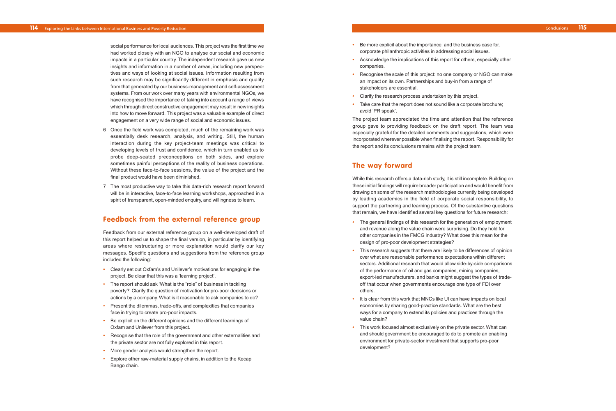- **•** Be more explicit about the importance, and the business case for, corporate philanthropic activities in addressing social issues.
- **•** Acknowledge the implications of this report for others, especially other companies.
- **•** Recognise the scale of this project: no one company or NGO can make an impact on its own. Partnerships and buy-in from a range of stakeholders are essential.
- **•** Clarify the research process undertaken by this project.
- **•** Take care that the report does not sound like a corporate brochure; avoid 'PR speak'.

The project team appreciated the time and attention that the reference group gave to providing feedback on the draft report. The team was especiall y grateful for the detailed comments and suggestions, which were incorporated wherever possible when finalising the report. Responsibility for the report and its conclusions remains with the project team.

## **The way forward**

While this research offers a data-rich study, it is still incomplete. Building on these initial findings will requir e broader participation and would benefit from drawing on some of the research methodologies currently being developed by leading academics in the field of corporate social responsibility, to suppor t the partnering and learning process. Of the substantive questions that remain, we have identified several key questions for future research:

- **•** The general findings of this research for the generation of employment and r e venue along the value chain were surprising. Do they hold for other companies in the FMCG industry? Wha t does this mean for the design of pro-poor development strategies?
- **•** This research suggests that there are likely to be differences of opinion over what are reasonable performance expectations within different sectors. Additional research that would allow side-by-side comparisons of the performance of oil and gas companies, mining companies, export-led manufacturers, and banks might suggest the types of tradeoff that occur when governments encourage one type of FDI over others.
- **•** It is clear from this work that MNCs like UI can have impacts on local economies by sharing good-practice standards. What are the best ways for a company to extend its policies and practices through the value chain?
- **•** This work focused almost exclusively on the private sector. What can and should government be encouraged to do to promote an enabling environment for private-sector investment that supports pro-poor development?

Conclusions **115**

social performance for local audiences. This project was the first time we had worked closely with an NGO to analyse our social and economic impacts in a particular country. The independent research gave us new insights and information in a number of areas, including new perspectives and ways of looking at social issues. Information resulting from such research may be significantly different in emphasis and quality from that generated by our business-management and self-assessment systems. From our work over many years with environmental NGOs, we have recognised the importance of taking into account a range of views which through direct constructive engagement may result in new insights into how to move forward. This project was a valuable example of direct engagement on a very wide range of social and economic issues.

- 6 Once the field work was completed, much of the remaining work was essentially desk research, analysis, and writing. Still, the human interaction during the key project-team meetings was critical to developing levels of trust and confidence, which in turn enabled us to probe deep-seated preconceptions on both sides, and explore sometimes painful perceptions of the reality of business operations. Without these face-to-face sessions, the value of the project and the final product would have been diminished.
- 7 The most productive way to take this data-rich research report forward will be in interactive, face-to-face learning workshops, approached in a spirit of transparent, open-minded enquiry, and willingness to learn.

## **Feedback from the external reference group**

Feedback from our external reference group on a well-developed draft of this report helped us to shape the final version, in particular by identifying areas where restructuring or more explanation would clarify our key messages. Specific questions and suggestions from the reference group included the following:

- **•** Clearly set out Oxfam's and Unilever's motivations for engaging in the project. Be clear that this was a 'learning project'.
- **•** The report should ask 'What is the "role" of business in tackling poverty?' Clarify the question of motivation for pro-poor decisions or actions by a company. What is it reasonable to ask companies to do?
- **•** Present the dilemmas, trade-offs, and complexities that companies face in trying to create pro-poor impacts.
- **•** Be explicit on the different opinions and the different learnings of Oxfam and Unilever from this project.
- **•** Recognise that the role of the government and other externalities and the private sector are not fully explored in this report.
- **•** More gender analysis would strengthen the report.
- **•** Explore other raw-material supply chains, in addition to the Kecap Bang o chain.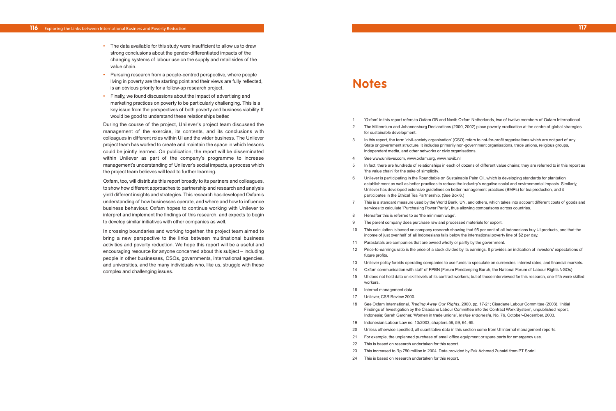1 'Oxfam' in this report refers to Oxfam GB and Novib Oxfam Netherlands, two of twelve members of Oxfam International. 2 The Millennium and Johannesburg Declarations (2000, 2002) place poverty eradication at the centre of global strategies

3 In this report, the term 'civil-society organisation' (CSO) refers to not-for-profit organisations which are not part of any State or government structure. It includes primarily non-government organisations, trade unions, religious groups,

In fact, there are hundreds of relationships in each of dozens of different value chains; they are referred to in this report as

6 Unilever is participating in the Roundtable on Sustainable Palm Oil, which is developing standards for plantation establishment as well as better practices to reduce the industry's negative social and environmental impacts. Similarly,

7 This is a standard measure used by the World Bank, UN, and others, which takes into account different costs of goods and

10 This calculation is based on company research showing that 95 per cent of all Indonesians buy UI products, and that the

- 
- for sustainable development.
- independent media, and other networks or civic organisations.
- 4 See www.unilever.com, www.oxfam.org, www.novib.nl
- 'the value chain' for the sake of simplicity.
- Unilever has developed extensive guidelines on better management practices (BMPs) for tea production, and it participates in the Ethical Tea Partnership. (See Box 6.)
- services to calculate 'Purchasing Power Parity', thus allowing comparisons across countries.
- 8 Hereafter this is referred to as 'the minimum wage'.
- 9 The parent company does purchase raw and processed materials for export.
- income of just over half of all Indonesians falls below the international poverty line of \$2 per day.
- 11 Parastatals are companies that are owned wholly or partly by the government.
- future profits.
- 
- 
- 15 UI does not hold data on skill levels of its contract workers; but of those interviewed for this research, one-fifth were skilled workers.
- 16 Internal management data.
- 17 Unilever, CSR Review 2000.
- Indonesia; Sarah Gardner, 'Women in trade unions', *Inside Indonesia*, No. 76, October–December, 2003.
- 19 Indonesian Labour Law no. 13/2003, chapters 56, 59, 64, 65.
- 20 Unless otherwise specified, all quantitative data in this section come from UI internal management reports.
- 21 For example, the unplanned purchase of small office equipment or spare parts for emergency use.
- 22 This is based on research undertaken for this report.
- 23 This increased to Rp 750 million in 2004. Data provided by Pak Achmad Zubaidi from PT Sorini.
- 24 This is based on research undertaken for this report.

12 Price-to-earnings ratio is the price of a stock divided by its earnings. It provides an indication of investors' expectations of

13 Unilever policy forbids operating companies to use funds to speculate on currencies, interest rates, and financial markets. 14 Oxfam communication with staff of FPBN (Forum Pendamping Buruh, the National Forum of Labour Rights NGOs).

18 See Oxfam International, *Trading Away Our Rights*, 2000, pp. 17-21; Cisadane Labour Committee (2003), 'Initial Findings of Investigation by the Cisadane Labour Committee into the Contract Work System', unpublished report,

- **•** The data available for this study were insufficient to allow us to draw strong conclusions about the gender-differentiated impacts of the changing systems of labour use on the supply and retail sides of the value chain.
- **•** Pursuing research from a people-centred perspective, where people living in poverty are the starting point and their views are fully reflected, is an obvious priority for a follow-up research project.
- **•** Finally, we found discussions about the impact of advertising and marketing practices on poverty to be particularly challenging. This is a key issue from the perspectives of both poverty and business viability. It would be good to understand these relationships better.

During the course of the project, Unilever's project team discussed the management of the exercise, its contents, and its conclusions with colleagues in different roles within UI and the wider business. The Unilever project team has worked to create and maintain the space in which lessons could be jointly learned. On publication, the report will be disseminated within Unilever as part of the company's programme to increase management's understanding of Unilever's social impacts, a process which the project team believes will lead to further learning.

Oxfam, too, will distribute this report broadly to its partners and colleagues, to show how different approaches to partnership and research and analysis yield different insights and strategies. This research has developed Oxfam's understanding of how businesses operate, and where and how to influence business behaviour. Oxfam hopes to continue working with Unilever to interpret and implement the findings of this research, and expects to begin to develop similar initiatives with other companies as well.

In crossing boundaries and working together, the project team aimed to bring a new perspective to the links between multinational business activities and poverty reduction. We hope this report will be a useful and encouraging resource for anyone concerned about this subject – including people in other businesses, CSOs, governments, international agencies, and universities, and the many individuals who, like us, struggle with these complex and challenging issues.

## **Notes**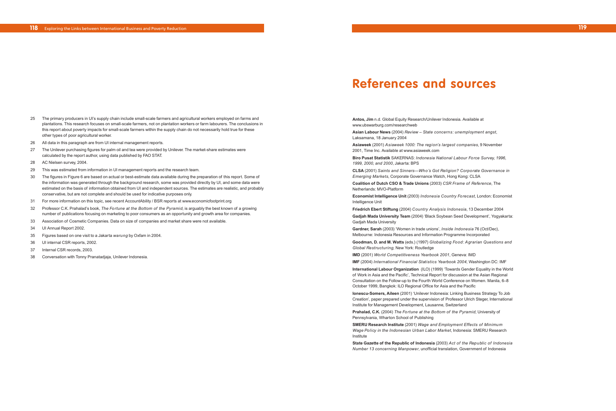**Antos, Jim** n.d. Global Equity Research/Unilever Indonesia. Available at www.ubswarburg.com/researchweb

**Asian Labour News** (2004) *Review – State concerns: unemployment angst*, Laksamana, 18 January 2004

**Asiaweek** (2001) *Asiaweek 1000: The region's largest companies*, 9 November 2001, Time Inc. Available at www.asiaweek.com

**Biro Pusat Statistik** SAKERNAS: *Indonesia National Labour Force Survey, 1996, 1999, 2000, and 2000*, Jakarta: BPS

**CLSA** (2001) *Saints and Sinners—Who's Got Religion? Corporate Governance in Emerging Markets*, Corporate Governance Watch, Hong Kong: CLSA

**Coalition of Dutch CSO & Trade Unions** (2003) *CSR Frame of Reference*, The Netherlands: MVO-Platform

**Economist Intelligence Unit** (2003) *Indonesia Country Forecast*, London: Economist Intelligence Unit

**Friedrich Ebert Stiftung** (2004) *Country Analysis Indonesia*, 13 December 2004

**Gadjah Mada University Team** (2004) 'Black Soybean Seed Development', Yogyakarta: Gadjah Mada University

**Gardner, Sarah** (2003) 'Women in trade unions', *Inside Indonesia* 76 (Oct/Dec), Melbourne: Indonesia Resources and Information Programme Incorporated

**Goodman, D. and M. Watts** (eds.) (1997) *Globalizing Food: Agrarian Questions and Global Restructuring,* New York: Routledge

**IMD** (2001) *World Competitiveness Yearbook 2001*, Geneva: IMD

**IMF** (2004) *International Financial Statistics Yearbook 2004,* Washington DC: IMF **International Labour Organization** (ILO) (1999) 'Towards Gender Equality in the World of Work in Asia and the Pacific', Technical Report for discussion at the Asian Regional Consultation on the Follow-up to the Fourth World Conference on Women. Manila, 6–8 October 1999, Bangkok: ILO Regional Office for Asia and the Pacific

**Ionescu-Somers, Aileen** (2001) 'Unilever Indonesia: Linking Business Strategy To Job Creation', paper prepared under the supervision of Professor Ulrich Steger, International Institute for Management Development, Lausanne, Switzerland

**Prahalad, C.K.** (2004) *The Fortune at the Bottom of the Pyramid*, University of Pennsylvania, Wharton School of Publishing

**SMERU Research Institute** (2001) *Wage and Employment Effects of Minimum Wage Policy in the Indonesian Urban Labor Market*, Indonesia: SMERU Research Institute

**State Gazette of the Republic of Indonesia** (2003) *Act of the Republic of Indonesia Number 13 concerning Manpower*, unofficial translation, Government of Indonesia

**119**

- 25 The primary producers in UI's supply chain include small-scale farmers and agricultural workers employed on farms and plantations. This research focuses on small-scale farmers, not on plantation workers or farm labourers. The conclusions in this report about poverty impacts for small-scale farmers within the supply chain do not necessarily hold true for these other types of poor agricultural worker.
- 26 All data in this paragraph are from UI internal management reports.
- 27 The Unilever purchasing figures for palm oil and tea were provided by Unilever. The market-share estimates were calculated by the report author, using data published by FAO STAT.
- 28 AC Nielsen survey, 2004.
- 29 This was estimated from information in UI management reports and the research team.
- 30 The figures in Figure 6 are based on actual or best-estimate data available during the preparation of this report. Some of the information was generated through the background research, some was provided directly by UI, and some data were estimated on the basis of information obtained from UI and independent sources. The estimates are realistic, and probably conservative, but are not complete and should be used for indicative purposes only.
- 31 For more information on this topic, see recent AccountAbility / BSR reports at www.economicfootprint.org
- 32 Professor C.K. Prahalad's book, *The Fortune at the Bottom of the Pyramid*, is arguably the best known of a growing number of publications focusing on marketing to poor consumers as an opportunity and growth area for companies.
- 33 Association of Cosmetic Companies. Data on size of companies and market share were not available.
- 34 UI Annual Report 2002.
- 35 Figures based on one visit to a Jakarta *warung* by Oxfam in 2004.
- 36 UI internal CSR reports, 2002.
- 37 Internal CSR records, 2003.
- 38 Conversation with Tonny Pranatadjaja, Unilever Indonesia.

# **References and sources**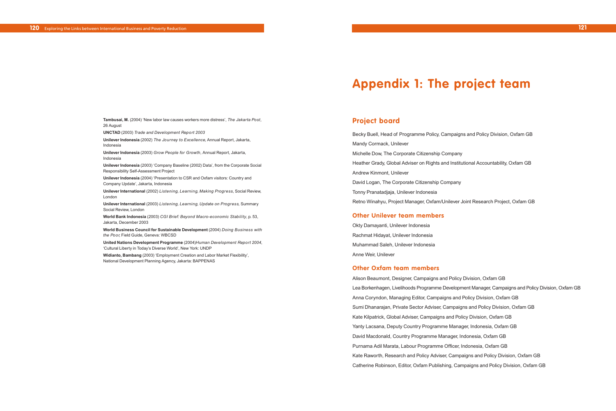## **Project board**

Becky Buell, Head of Programme Policy, Campaigns and Policy Division, Oxfam GB Mandy Cormack, Unilever Michelle Dow, The Corporate Citizenship Company Heather Grady, Global Adviser on Rights and Institutional Accountability, Oxfam GB Andrew Kinmont, Unilever David Logan, The Corporate Citizenship Company Tonny Pranatadjaja, Unilever Indonesia Retno Winahyu, Project Manager, Oxfam/Unilever Joint Research Project, Oxfam GB

### **Other Unilever team members**

Okty Damayanti, Unilever Indonesia Rachmat Hidayat, Unilever Indonesia Muhammad Saleh, Unilever Indonesia Anne Weir, Unilever

### **Other Oxfam team members**

Alison Beaumont, Designer, Campaigns and Policy Division, Oxfam GB Lea Borkenhagen, Livelihoods Programme Development Manager, Campaigns and Policy Division, Oxfam GB Anna Coryndon, Managing Editor, Campaigns and Policy Division, Oxfam GB Sumi Dhanarajan, Private Sector Adviser, Campaigns and Policy Division, Oxfam GB Kate Kilpatrick, Global Adviser, Campaigns and Policy Division, Oxfam GB Yanty Lacsana, Deputy Country Programme Manager, Indonesia, Oxfam GB David Macdonald, Country Programme Manager, Indonesia, Oxfam GB Purnama Adil Marata, Labour Programme Officer, Indonesia, Oxfam GB Kate Raworth, Research and Policy Adviser, Campaigns and Policy Division, Oxfam GB Catherine Robinson, Editor, Oxfam Publishing, Campaigns and Policy Division, Oxfam GB

**121**

- 
- 
- 
- 
- 
- 
- 
- 

**Tambusai, M.** (2004) 'New labor law causes workers more distress', *The Jakarta Post,* 26 August

**UNCTAD** (2003) *Trade and Development Report 2003*

**Unilever Indonesia** (2002) *The Journey to Excellence,* Annual Report, Jakarta, Indonesia

**Unilever Indonesia** (2003) *Grow People for Growth,* Annual Report, Jakarta, Indonesia

**Unilever Indonesia** (2003) 'Company Baseline (2002) Data', from the Corporate Social Responsibility Self-Assessment Project

**Unilever Indonesia** (2004) 'Presentation to CSR and Oxfam visitors: Country and Company Update', Jakarta, Indonesia

**Unilever International** (2002) *Listening, Learning, Making Progress*, Social Review, London

**Unilever International** (2003) *Listening, Learning, Update on Progress,* Summary Social Review, London

**World Bank Indonesia** (2003) *CGI Brief: Beyond Macro-economic Stability*, p. 53, Jakarta, December 2003

**World Business Council for Sustainable Development** (2004) *Doing Business with the Poor,* Field Guide, Geneva: WBCSD

**United Nations Development Programme** (2004)*Human Development Report 2004*, 'Cultural Liberty in Today's Diverse World', New York: UNDP

**Widianto, Bambang** (2003) 'Employment Creation and Labor Market Flexibility', National Development Planning Agency, Jakarta: BAPPENAS

# **Appendix 1: The project team**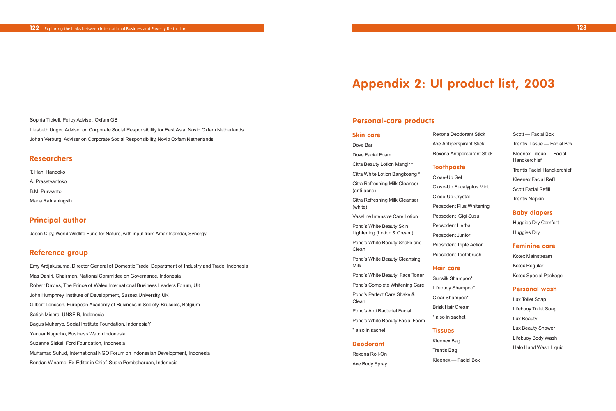**Skin care**

Dove Bar

Dove Facial Foam

(anti-acne)

(white)

Clean

Milk

Pond's Perfect Care Shake &

Clean

#### Citra Beauty Lotion Mangir \* Citra White Lotion Bangkoang \* Citra Refreshing Milk Cleanser Citra Refreshing Milk Cleanser Vaseline Intensive Care Lotion Pond's White Beauty Skin Lightening (Lotion & Cream) Pond's White Beauty Shake and Pond's White Beauty Cleansing Pond's White Beauty Face Toner Pond's Complete Whitening Care Axe Antiperspirant Stick Rexona Antiperspirant Stick **Toothpaste** Close-Up Gel Close-Up Eucalyptus Mint Close-Up Crystal Pepsodent Plus Whitening Pepsodent Gigi Susu Pepsodent Herbal Pepsodent Junior Pepsodent Triple Action Pepsodent Toothbrush **Hair care** Sunsilk Shampoo\*

Pond's Anti Bacterial Facial

\* also in sachet

**Deodorant** Rexona Roll-On Axe Body Spray Rexona Deodorant Stick

Lux Toilet Soap Lifebuoy Toilet Soap Lux Beauty Lux Beauty Shower Lifebuoy Body Wash Halo Hand Wash Liquid

Pond's White Beauty Facial Foam Lifebuoy Shampoo\* Clear Shampoo\* Brisk Hair Cream \* also in sachet

## **Tissues**

Kleenex Bag Trentis Bag Kleenex — Facial Box

Scott — Facial Box Trentis Tissue — Facial Box Kleenex Tissue — Facial Handkerchief Trentis Facial Handkerchief Kleenex Facial Refill Scott Facial Refill Trentis Napkin

## **Baby diapers**

Huggies Dry Comfort Huggies Dry

### **Feminine care**

Kotex Mainstream Kotex Regular Kotex Special Package

### **Personal wash**

### **123**

Sophia Tickell, Policy Adviser, Oxfam GB Liesbeth Unger, Adviser on Corporate Social Responsibility for East Asia, Novib Oxfam Netherlands Johan Verburg, Adviser on Corporate Social Responsibility, Novib Oxfam Netherlands

## **Researchers**

- T. Hani Handoko
- A. Prasetyantoko
- B.M. Purwanto
- Maria Ratnaningsih

## **Principal author**

Jason Clay, World Wildlife Fund for Nature, with input from Amar Inamdar, Synergy

## **Reference group**

Emy Ardjakusuma, Director General of Domestic Trade, Department of Industry and Trade, Indonesia Mas Daniri, Chairman, National Committee on Governance, Indonesia Robert Davies, The Prince of Wales International Business Leaders Forum, UK John Humphrey, Institute of Development, Sussex University, UK Gilbert Lenssen, European Academy of Business in Society, Brussels, Belgium Satish Mishra, UNSFIR, Indonesia Bagus Muharyo, Social Institute Foundation, IndonesiaY Yanuar Nugroho, Business Watch Indonesia Suzanne Siskel, Ford Foundation, Indonesia Muhamad Suhud, International NGO Forum on Indonesian Development, Indonesia Bondan Winarno, Ex-Editor in Chief, Suara Pembaharuan, Indonesia

# **Appendix 2: UI product list, 2003**

## **Personal-care products**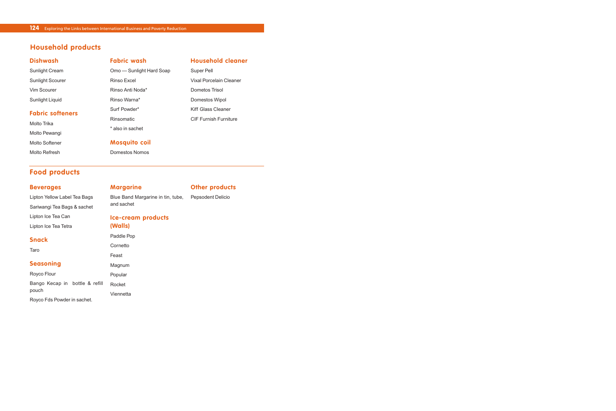| <b>Dishwash</b>         | <b>Fabric wash</b>       | <b>Household cleaner</b>     |
|-------------------------|--------------------------|------------------------------|
| Sunlight Cream          | Omo — Sunlight Hard Soap | Super Pell                   |
| <b>Sunlight Scourer</b> | Rinso Excel              | Vixal Porcelain Cleaner      |
| Vim Scourer             | Rinso Anti Noda*         | Dometos Trisol               |
| Sunlight Liquid         | Rinso Warna*             | Domestos Wipol               |
| <b>Fabric softeners</b> | Surf Powder*             | Kiff Glass Cleaner           |
| Molto Trika             | <b>Rinsomatic</b>        | <b>CIF Furnish Furniture</b> |
| Molto Pewangi           | * also in sachet         |                              |
|                         |                          |                              |
| Molto Softener          | <b>Mosquito coil</b>     |                              |
| Molto Refresh           | Domestos Nomos           |                              |
|                         |                          |                              |

## **Household products**

## **Food products**

| <b>Beverages</b>             | <b>Margarine</b>                  | <b>Other products</b> |  |
|------------------------------|-----------------------------------|-----------------------|--|
| Lipton Yellow Label Tea Bags | Blue Band Margarine in tin, tube, | Pepsodent Delicio     |  |
| Sariwangi Tea Bags & sachet  | and sachet                        |                       |  |
| Lipton Ice Tea Can           | <b>Ice-cream products</b>         |                       |  |
| Lipton Ice Tea Tetra         | (Walls)                           |                       |  |
| <b>Snack</b>                 | Paddle Pop                        |                       |  |
| Taro                         | Cornetto                          |                       |  |
|                              | Feast                             |                       |  |
| <b>Seasoning</b>             | Magnum                            |                       |  |

Royco Flour Bango Kecap in bottle & refill Rocket pouch Royco Fds Powder in sachet.  $P<sub>0</sub>$ Viennetta

| .          |  |
|------------|--|
| Paddle Pop |  |
| Cornetto   |  |
| Feast      |  |
| Magnum     |  |
| Popular    |  |
| Rocket     |  |
|            |  |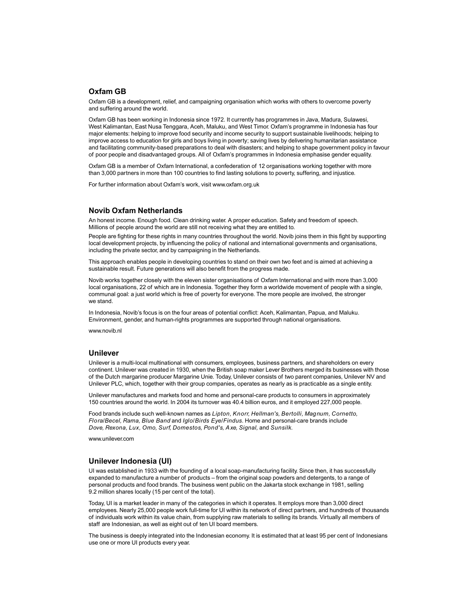#### **Oxfam GB**

Oxfam GB is a development, relief, and campaigning organisation which works with others to overcome poverty and suffering around the world.

Oxfam GB has been working in Indonesia since 1972. It currently has programmes in Java, Madura, Sulawesi, West Kalimantan, East Nusa Tenggara, Aceh, Maluku, and West Timor. Oxfam's programme in Indonesia has four major elements: helping to improve food security and income security to support sustainable livelihoods; helping to improve access to education for girls and boys living in poverty; saving lives by delivering humanitarian assistance and facilitating community-based preparations to deal with disasters; and helping to shape government policy in favour of poor people and disadvantaged groups. All of Oxfam's programmes in Indonesia emphasise gender equality.

Oxfam GB is a member of Oxfam International, a confederation of 12 organisations working together with more than 3,000 partners in more than 100 countries to find lasting solutions to poverty, suffering, and injustice.

For further information about Oxfam's work, visit www.oxfam.org.uk

#### **Novib Oxfam Netherlands**

An honest income. Enough food. Clean drinking water. A proper education. Safety and freedom of speech. Millions of people around the world are still not receiving what they are entitled to.

People are fighting for these rights in many countries throughout the world. Novib joins them in this fight by supporting local development projects, by influencing the policy of national and international governments and organisations, including the private sector, and by campaigning in the Netherlands.

This approach enables people in developing countries to stand on their own two feet and is aimed at achieving a sustainable result. Future generations will also benefit from the progress made.

Novib works together closely with the eleven sister organisations of Oxfam International and with more than 3,000 local organisations, 22 of which are in Indonesia. Together they form a worldwide movement of people with a single, communal goal: a just world which is free of poverty for everyone. The more people are involved, the stronger we stand.

In Indonesia, Novib's focus is on the four areas of potential conflict: Aceh, Kalimantan, Papua, and Maluku. Environment, gender, and human-rights programmes are supported through national organisations.

www.novib.nl

#### **Unilever**

Unilever is a multi-local multinational with consumers, employees, business partners, and shareholders on every continent. Unilever was created in 1930, when the British soap maker Lever Brothers merged its businesses with those of the Dutch margarine producer Margarine Unie. Today, Unilever consists of two parent companies, Unilever NV and Unilever PLC, which, together with their group companies, operates as nearly as is practicable as a single entity.

Unilever manufactures and markets food and home and personal-care products to consumers in approximately 150 countries around the world. In 2004 its turnover was 40.4 billion euros, and it employed 227,000 people.

Food brands include such well-known names as *Lipton, Knorr, Hellman's, Bertolli, Magnum, Cornetto, Flora/Becel, Rama, Blue Band* and *Iglo/Birds Eye/Findus*. Home and personal-care brands include *Dove, Rexona, Lux, Omo, Surf, Domestos, Pond's, Axe, Signal,* and *Sunsilk*.

www.unilever.com

#### **Unilever Indonesia (UI)**

UI was established in 1933 with the founding of a local soap-manufacturing facility. Since then, it has successfully expanded to manufacture a number of products – from the original soap powders and detergents, to a range of personal products and food brands. The business went public on the Jakarta stock exchange in 1981, selling 9.2 million shares locally (15 per cent of the total).

Today, UI is a market leader in many of the categories in which it operates. It employs more than 3,000 direct employees. Nearly 25,000 people work full-time for UI within its network of direct partners, and hundreds of thousands of individuals work within its value chain, from supplying raw materials to selling its brands. Virtually all members of staff are Indonesian, as well as eight out of ten UI board members.

The business is deeply integrated into the Indonesian economy. It is estimated that at least 95 per cent of Indonesians use one or more UI products every year.